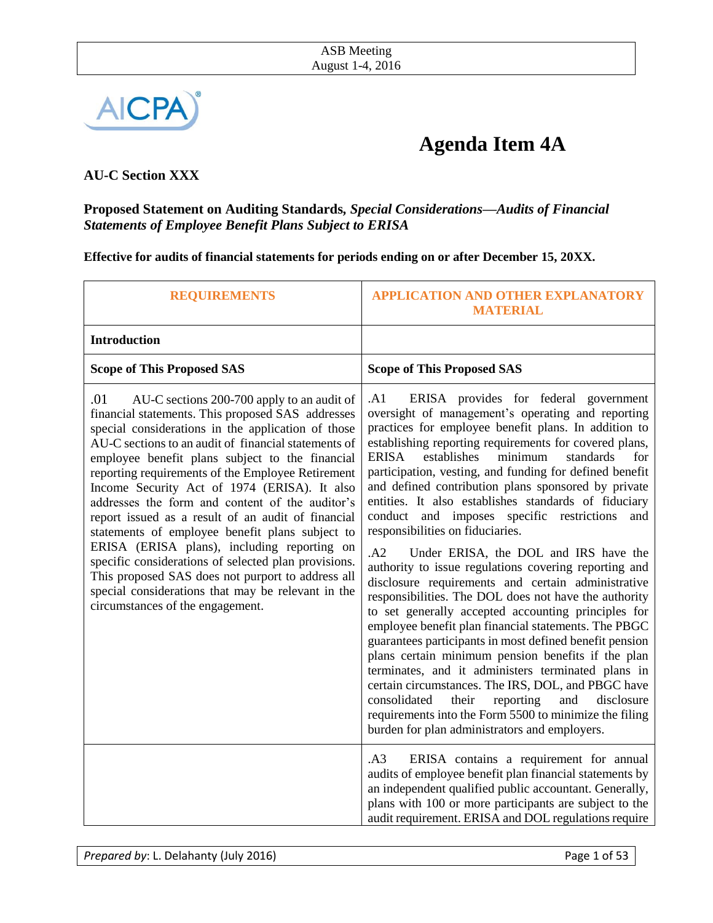

# **Agenda Item 4A**

# **AU-C Section XXX**

#### **Proposed Statement on Auditing Standards***, Special Considerations—Audits of Financial Statements of Employee Benefit Plans Subject to ERISA*

**Effective for audits of financial statements for periods ending on or after December 15, 20XX.**

| <b>REQUIREMENTS</b>                                                                                                                                                                                                                                                                                                                                                                                                                                                                                                                                                                                                                                                                                                                                                                            | <b>APPLICATION AND OTHER EXPLANATORY</b><br><b>MATERIAL</b>                                                                                                                                                                                                                                                                                                                                                                                                                                                                                                                                                                                                                                                                                                                                                                                                                                                                                                                                                                                                                                                                                                                                                                                                                                   |
|------------------------------------------------------------------------------------------------------------------------------------------------------------------------------------------------------------------------------------------------------------------------------------------------------------------------------------------------------------------------------------------------------------------------------------------------------------------------------------------------------------------------------------------------------------------------------------------------------------------------------------------------------------------------------------------------------------------------------------------------------------------------------------------------|-----------------------------------------------------------------------------------------------------------------------------------------------------------------------------------------------------------------------------------------------------------------------------------------------------------------------------------------------------------------------------------------------------------------------------------------------------------------------------------------------------------------------------------------------------------------------------------------------------------------------------------------------------------------------------------------------------------------------------------------------------------------------------------------------------------------------------------------------------------------------------------------------------------------------------------------------------------------------------------------------------------------------------------------------------------------------------------------------------------------------------------------------------------------------------------------------------------------------------------------------------------------------------------------------|
| <b>Introduction</b>                                                                                                                                                                                                                                                                                                                                                                                                                                                                                                                                                                                                                                                                                                                                                                            |                                                                                                                                                                                                                                                                                                                                                                                                                                                                                                                                                                                                                                                                                                                                                                                                                                                                                                                                                                                                                                                                                                                                                                                                                                                                                               |
| <b>Scope of This Proposed SAS</b>                                                                                                                                                                                                                                                                                                                                                                                                                                                                                                                                                                                                                                                                                                                                                              | <b>Scope of This Proposed SAS</b>                                                                                                                                                                                                                                                                                                                                                                                                                                                                                                                                                                                                                                                                                                                                                                                                                                                                                                                                                                                                                                                                                                                                                                                                                                                             |
| .01<br>AU-C sections 200-700 apply to an audit of<br>financial statements. This proposed SAS addresses<br>special considerations in the application of those<br>AU-C sections to an audit of financial statements of<br>employee benefit plans subject to the financial<br>reporting requirements of the Employee Retirement<br>Income Security Act of 1974 (ERISA). It also<br>addresses the form and content of the auditor's<br>report issued as a result of an audit of financial<br>statements of employee benefit plans subject to<br>ERISA (ERISA plans), including reporting on<br>specific considerations of selected plan provisions.<br>This proposed SAS does not purport to address all<br>special considerations that may be relevant in the<br>circumstances of the engagement. | ERISA provides for federal government<br>.A1<br>oversight of management's operating and reporting<br>practices for employee benefit plans. In addition to<br>establishing reporting requirements for covered plans,<br><b>ERISA</b><br>establishes<br>minimum<br>standards<br>for<br>participation, vesting, and funding for defined benefit<br>and defined contribution plans sponsored by private<br>entities. It also establishes standards of fiduciary<br>conduct and imposes specific restrictions<br>and<br>responsibilities on fiduciaries.<br>.A2<br>Under ERISA, the DOL and IRS have the<br>authority to issue regulations covering reporting and<br>disclosure requirements and certain administrative<br>responsibilities. The DOL does not have the authority<br>to set generally accepted accounting principles for<br>employee benefit plan financial statements. The PBGC<br>guarantees participants in most defined benefit pension<br>plans certain minimum pension benefits if the plan<br>terminates, and it administers terminated plans in<br>certain circumstances. The IRS, DOL, and PBGC have<br>consolidated<br>their<br>reporting<br>and<br>disclosure<br>requirements into the Form 5500 to minimize the filing<br>burden for plan administrators and employers. |
|                                                                                                                                                                                                                                                                                                                                                                                                                                                                                                                                                                                                                                                                                                                                                                                                | ERISA contains a requirement for annual<br>AA3<br>audits of employee benefit plan financial statements by<br>an independent qualified public accountant. Generally,<br>plans with 100 or more participants are subject to the<br>audit requirement. ERISA and DOL regulations require                                                                                                                                                                                                                                                                                                                                                                                                                                                                                                                                                                                                                                                                                                                                                                                                                                                                                                                                                                                                         |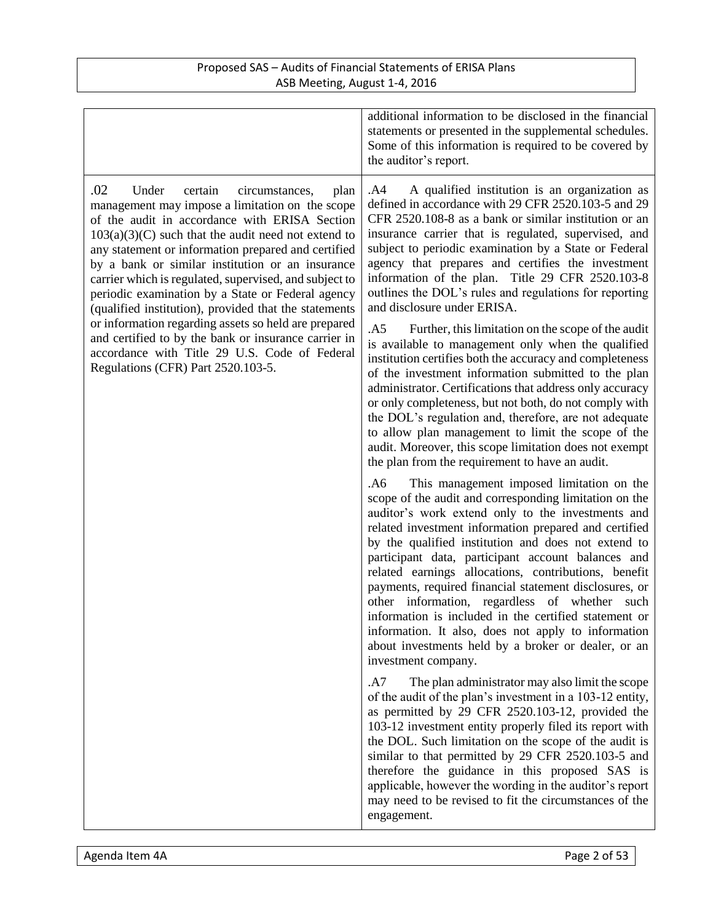|                                                                                                                                                                                                                                                                                                                                                                                                                                                                                                                                                                                                                                                                                                          | additional information to be disclosed in the financial<br>statements or presented in the supplemental schedules.<br>Some of this information is required to be covered by<br>the auditor's report.                                                                                                                                                                                                                                                                                                                                                                                                                                                                                                       |
|----------------------------------------------------------------------------------------------------------------------------------------------------------------------------------------------------------------------------------------------------------------------------------------------------------------------------------------------------------------------------------------------------------------------------------------------------------------------------------------------------------------------------------------------------------------------------------------------------------------------------------------------------------------------------------------------------------|-----------------------------------------------------------------------------------------------------------------------------------------------------------------------------------------------------------------------------------------------------------------------------------------------------------------------------------------------------------------------------------------------------------------------------------------------------------------------------------------------------------------------------------------------------------------------------------------------------------------------------------------------------------------------------------------------------------|
| .02<br>Under<br>certain<br>circumstances,<br>plan<br>management may impose a limitation on the scope<br>of the audit in accordance with ERISA Section<br>$103(a)(3)(C)$ such that the audit need not extend to<br>any statement or information prepared and certified<br>by a bank or similar institution or an insurance<br>carrier which is regulated, supervised, and subject to<br>periodic examination by a State or Federal agency<br>(qualified institution), provided that the statements<br>or information regarding assets so held are prepared<br>and certified to by the bank or insurance carrier in<br>accordance with Title 29 U.S. Code of Federal<br>Regulations (CFR) Part 2520.103-5. | A qualified institution is an organization as<br>.A4<br>defined in accordance with 29 CFR 2520.103-5 and 29<br>CFR 2520.108-8 as a bank or similar institution or an<br>insurance carrier that is regulated, supervised, and<br>subject to periodic examination by a State or Federal<br>agency that prepares and certifies the investment<br>information of the plan. Title 29 CFR 2520.103-8<br>outlines the DOL's rules and regulations for reporting<br>and disclosure under ERISA.                                                                                                                                                                                                                   |
|                                                                                                                                                                                                                                                                                                                                                                                                                                                                                                                                                                                                                                                                                                          | .A5<br>Further, this limitation on the scope of the audit<br>is available to management only when the qualified<br>institution certifies both the accuracy and completeness<br>of the investment information submitted to the plan<br>administrator. Certifications that address only accuracy<br>or only completeness, but not both, do not comply with<br>the DOL's regulation and, therefore, are not adequate<br>to allow plan management to limit the scope of the<br>audit. Moreover, this scope limitation does not exempt<br>the plan from the requirement to have an audit.                                                                                                                      |
|                                                                                                                                                                                                                                                                                                                                                                                                                                                                                                                                                                                                                                                                                                          | This management imposed limitation on the<br>.A6<br>scope of the audit and corresponding limitation on the<br>auditor's work extend only to the investments and<br>related investment information prepared and certified<br>by the qualified institution and does not extend to<br>participant data, participant account balances and<br>related earnings allocations, contributions, benefit<br>payments, required financial statement disclosures, or<br>other information, regardless of whether<br>such<br>information is included in the certified statement or<br>information. It also, does not apply to information<br>about investments held by a broker or dealer, or an<br>investment company. |
|                                                                                                                                                                                                                                                                                                                                                                                                                                                                                                                                                                                                                                                                                                          | .A7<br>The plan administrator may also limit the scope<br>of the audit of the plan's investment in a 103-12 entity,<br>as permitted by 29 CFR 2520.103-12, provided the<br>103-12 investment entity properly filed its report with<br>the DOL. Such limitation on the scope of the audit is<br>similar to that permitted by 29 CFR 2520.103-5 and<br>therefore the guidance in this proposed SAS is<br>applicable, however the wording in the auditor's report<br>may need to be revised to fit the circumstances of the<br>engagement.                                                                                                                                                                   |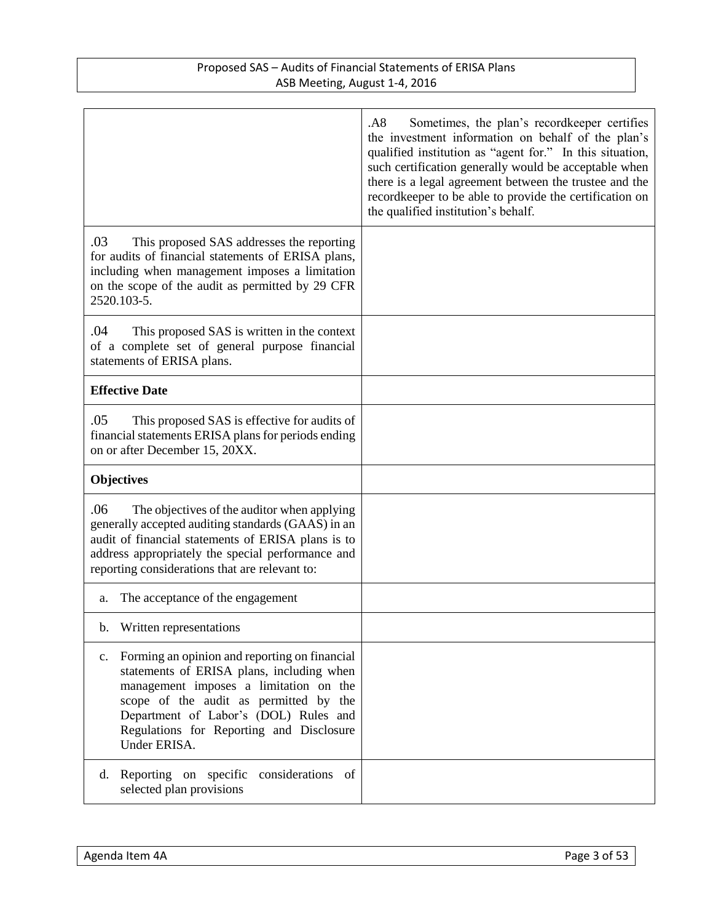|                                                                                                                                                                                                                                                                                                       | Sometimes, the plan's recordkeeper certifies<br>.A8<br>the investment information on behalf of the plan's<br>qualified institution as "agent for." In this situation,<br>such certification generally would be acceptable when<br>there is a legal agreement between the trustee and the<br>recordkeeper to be able to provide the certification on<br>the qualified institution's behalf. |
|-------------------------------------------------------------------------------------------------------------------------------------------------------------------------------------------------------------------------------------------------------------------------------------------------------|--------------------------------------------------------------------------------------------------------------------------------------------------------------------------------------------------------------------------------------------------------------------------------------------------------------------------------------------------------------------------------------------|
| .03<br>This proposed SAS addresses the reporting<br>for audits of financial statements of ERISA plans,<br>including when management imposes a limitation<br>on the scope of the audit as permitted by 29 CFR<br>2520.103-5.                                                                           |                                                                                                                                                                                                                                                                                                                                                                                            |
| .04<br>This proposed SAS is written in the context<br>of a complete set of general purpose financial<br>statements of ERISA plans.                                                                                                                                                                    |                                                                                                                                                                                                                                                                                                                                                                                            |
| <b>Effective Date</b>                                                                                                                                                                                                                                                                                 |                                                                                                                                                                                                                                                                                                                                                                                            |
| .05<br>This proposed SAS is effective for audits of<br>financial statements ERISA plans for periods ending<br>on or after December 15, 20XX.                                                                                                                                                          |                                                                                                                                                                                                                                                                                                                                                                                            |
| <b>Objectives</b>                                                                                                                                                                                                                                                                                     |                                                                                                                                                                                                                                                                                                                                                                                            |
| .06<br>The objectives of the auditor when applying<br>generally accepted auditing standards (GAAS) in an<br>audit of financial statements of ERISA plans is to<br>address appropriately the special performance and<br>reporting considerations that are relevant to:                                 |                                                                                                                                                                                                                                                                                                                                                                                            |
| The acceptance of the engagement<br>a.                                                                                                                                                                                                                                                                |                                                                                                                                                                                                                                                                                                                                                                                            |
| b. Written representations                                                                                                                                                                                                                                                                            |                                                                                                                                                                                                                                                                                                                                                                                            |
| Forming an opinion and reporting on financial<br>$\mathbf{c}$ .<br>statements of ERISA plans, including when<br>management imposes a limitation on the<br>scope of the audit as permitted by the<br>Department of Labor's (DOL) Rules and<br>Regulations for Reporting and Disclosure<br>Under ERISA. |                                                                                                                                                                                                                                                                                                                                                                                            |
| Reporting on specific considerations of<br>d.<br>selected plan provisions                                                                                                                                                                                                                             |                                                                                                                                                                                                                                                                                                                                                                                            |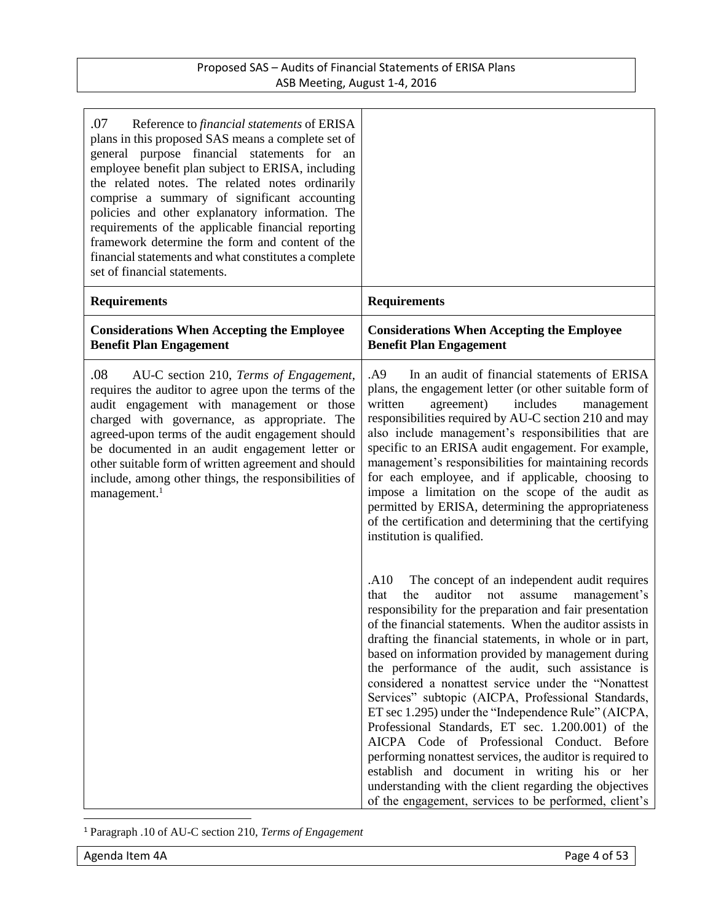| .07<br>Reference to financial statements of ERISA<br>plans in this proposed SAS means a complete set of<br>general purpose financial statements for an<br>employee benefit plan subject to ERISA, including<br>the related notes. The related notes ordinarily<br>comprise a summary of significant accounting<br>policies and other explanatory information. The<br>requirements of the applicable financial reporting<br>framework determine the form and content of the<br>financial statements and what constitutes a complete<br>set of financial statements. |                                                                                                                                                                                                                                                                                                                                                                                                                                                                                                                                                                                                                                                                                                                                                                                                                                                                                                                     |
|--------------------------------------------------------------------------------------------------------------------------------------------------------------------------------------------------------------------------------------------------------------------------------------------------------------------------------------------------------------------------------------------------------------------------------------------------------------------------------------------------------------------------------------------------------------------|---------------------------------------------------------------------------------------------------------------------------------------------------------------------------------------------------------------------------------------------------------------------------------------------------------------------------------------------------------------------------------------------------------------------------------------------------------------------------------------------------------------------------------------------------------------------------------------------------------------------------------------------------------------------------------------------------------------------------------------------------------------------------------------------------------------------------------------------------------------------------------------------------------------------|
| <b>Requirements</b>                                                                                                                                                                                                                                                                                                                                                                                                                                                                                                                                                | <b>Requirements</b>                                                                                                                                                                                                                                                                                                                                                                                                                                                                                                                                                                                                                                                                                                                                                                                                                                                                                                 |
| <b>Considerations When Accepting the Employee</b><br><b>Benefit Plan Engagement</b>                                                                                                                                                                                                                                                                                                                                                                                                                                                                                | <b>Considerations When Accepting the Employee</b><br><b>Benefit Plan Engagement</b>                                                                                                                                                                                                                                                                                                                                                                                                                                                                                                                                                                                                                                                                                                                                                                                                                                 |
| .08<br>AU-C section 210, Terms of Engagement,<br>requires the auditor to agree upon the terms of the<br>audit engagement with management or those<br>charged with governance, as appropriate. The<br>agreed-upon terms of the audit engagement should<br>be documented in an audit engagement letter or<br>other suitable form of written agreement and should<br>include, among other things, the responsibilities of<br>management. <sup>1</sup>                                                                                                                 | .A9<br>In an audit of financial statements of ERISA<br>plans, the engagement letter (or other suitable form of<br>written<br>includes<br>agreement)<br>management<br>responsibilities required by AU-C section 210 and may<br>also include management's responsibilities that are<br>specific to an ERISA audit engagement. For example,<br>management's responsibilities for maintaining records<br>for each employee, and if applicable, choosing to<br>impose a limitation on the scope of the audit as<br>permitted by ERISA, determining the appropriateness<br>of the certification and determining that the certifying<br>institution is qualified.                                                                                                                                                                                                                                                          |
|                                                                                                                                                                                                                                                                                                                                                                                                                                                                                                                                                                    | The concept of an independent audit requires<br>.A10<br>auditor<br>that<br>the<br>not<br>assume<br>management's<br>responsibility for the preparation and fair presentation<br>of the financial statements. When the auditor assists in<br>drafting the financial statements, in whole or in part,<br>based on information provided by management during<br>the performance of the audit, such assistance is<br>considered a nonattest service under the "Nonattest<br>Services" subtopic (AICPA, Professional Standards,<br>ET sec 1.295) under the "Independence Rule" (AICPA,<br>Professional Standards, ET sec. 1.200.001) of the<br>AICPA Code of Professional Conduct. Before<br>performing nonattest services, the auditor is required to<br>establish and document in writing his or her<br>understanding with the client regarding the objectives<br>of the engagement, services to be performed, client's |

<sup>1</sup> Paragraph .10 of AU-C section 210, *Terms of Engagement*

 $\overline{\phantom{a}}$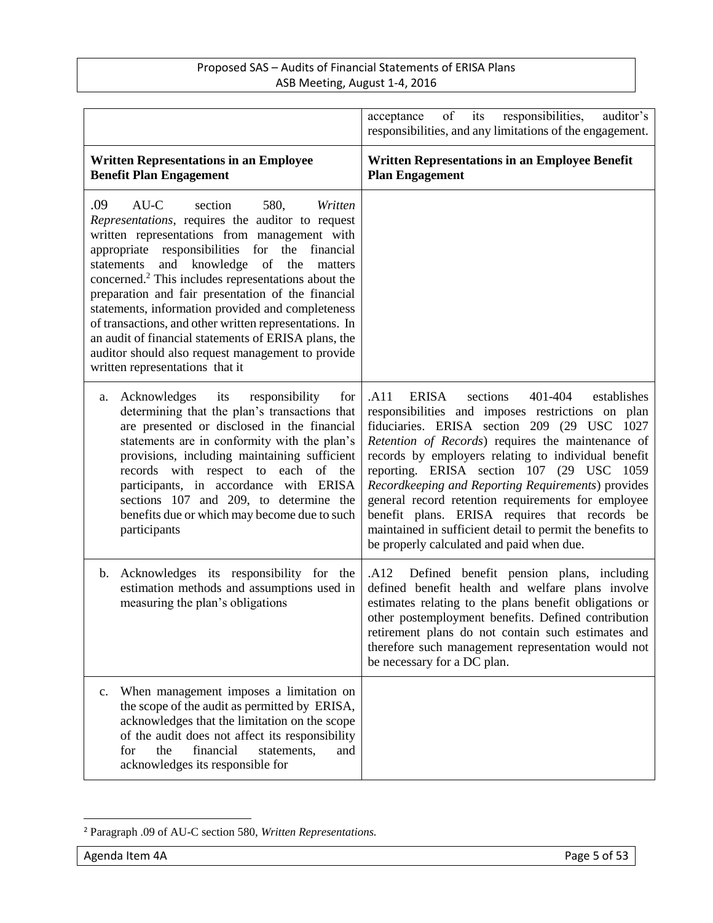|                                                                                                                                                                                                                                                                                                                                                                                                                                                                                                                                                                                                                                               | of<br>its<br>responsibilities,<br>auditor's<br>acceptance<br>responsibilities, and any limitations of the engagement.                                                                                                                                                                                                                                                                                                                                                                                                                                                                          |
|-----------------------------------------------------------------------------------------------------------------------------------------------------------------------------------------------------------------------------------------------------------------------------------------------------------------------------------------------------------------------------------------------------------------------------------------------------------------------------------------------------------------------------------------------------------------------------------------------------------------------------------------------|------------------------------------------------------------------------------------------------------------------------------------------------------------------------------------------------------------------------------------------------------------------------------------------------------------------------------------------------------------------------------------------------------------------------------------------------------------------------------------------------------------------------------------------------------------------------------------------------|
| <b>Written Representations in an Employee</b><br><b>Benefit Plan Engagement</b>                                                                                                                                                                                                                                                                                                                                                                                                                                                                                                                                                               | <b>Written Representations in an Employee Benefit</b><br><b>Plan Engagement</b>                                                                                                                                                                                                                                                                                                                                                                                                                                                                                                                |
| .09<br>$AU-C$<br>580,<br>section<br>Written<br>Representations, requires the auditor to request<br>written representations from management with<br>appropriate responsibilities for the financial<br>and knowledge<br>of the<br>statements<br>matters<br>concerned. <sup>2</sup> This includes representations about the<br>preparation and fair presentation of the financial<br>statements, information provided and completeness<br>of transactions, and other written representations. In<br>an audit of financial statements of ERISA plans, the<br>auditor should also request management to provide<br>written representations that it |                                                                                                                                                                                                                                                                                                                                                                                                                                                                                                                                                                                                |
| Acknowledges<br>its<br>responsibility<br>for<br>a.<br>determining that the plan's transactions that<br>are presented or disclosed in the financial<br>statements are in conformity with the plan's<br>provisions, including maintaining sufficient<br>records with respect to each of the<br>participants, in accordance with ERISA<br>sections 107 and 209, to determine the<br>benefits due or which may become due to such<br>participants                                                                                                                                                                                                 | 401-404<br>.A11<br><b>ERISA</b><br>sections<br>establishes<br>responsibilities and imposes restrictions on plan<br>fiduciaries. ERISA section 209 (29 USC 1027<br>Retention of Records) requires the maintenance of<br>records by employers relating to individual benefit<br>reporting. ERISA section 107 (29 USC 1059<br>Recordkeeping and Reporting Requirements) provides<br>general record retention requirements for employee<br>benefit plans. ERISA requires that records be<br>maintained in sufficient detail to permit the benefits to<br>be properly calculated and paid when due. |
| Acknowledges its responsibility for the<br>b.<br>estimation methods and assumptions used in<br>measuring the plan's obligations                                                                                                                                                                                                                                                                                                                                                                                                                                                                                                               | Defined benefit pension plans, including<br>.A12<br>defined benefit health and welfare plans involve<br>estimates relating to the plans benefit obligations or<br>other postemployment benefits. Defined contribution<br>retirement plans do not contain such estimates and<br>therefore such management representation would not<br>be necessary for a DC plan.                                                                                                                                                                                                                               |
| When management imposes a limitation on<br>$\mathbf{c}$ .<br>the scope of the audit as permitted by ERISA,<br>acknowledges that the limitation on the scope<br>of the audit does not affect its responsibility<br>the<br>financial<br>for<br>statements,<br>and<br>acknowledges its responsible for                                                                                                                                                                                                                                                                                                                                           |                                                                                                                                                                                                                                                                                                                                                                                                                                                                                                                                                                                                |

 $\overline{\phantom{a}}$ <sup>2</sup> Paragraph .09 of AU-C section 580, *Written Representations.*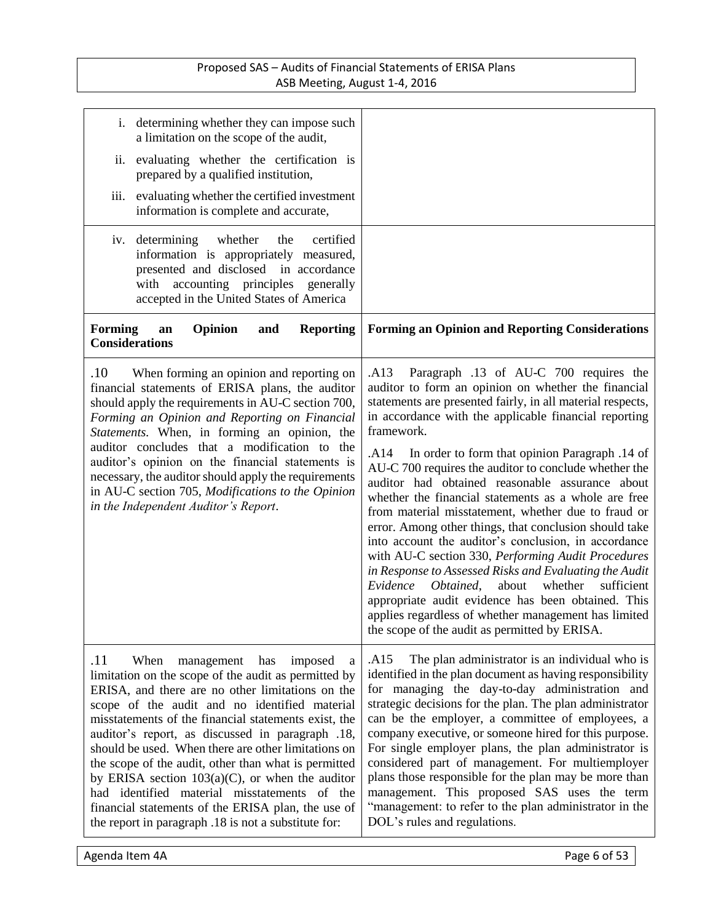| determining whether they can impose such<br>i.<br>a limitation on the scope of the audit,<br>evaluating whether the certification is<br>ii.<br>prepared by a qualified institution,                                                                                                                                                                                                                                                                                                                                                                                                                                                                     |           |                                                                                                                                                                                                                                                                                                                                                                                                                                                                                                                                                                                                                                                                                                                                                                                                                                                                                                                                                                                             |
|---------------------------------------------------------------------------------------------------------------------------------------------------------------------------------------------------------------------------------------------------------------------------------------------------------------------------------------------------------------------------------------------------------------------------------------------------------------------------------------------------------------------------------------------------------------------------------------------------------------------------------------------------------|-----------|---------------------------------------------------------------------------------------------------------------------------------------------------------------------------------------------------------------------------------------------------------------------------------------------------------------------------------------------------------------------------------------------------------------------------------------------------------------------------------------------------------------------------------------------------------------------------------------------------------------------------------------------------------------------------------------------------------------------------------------------------------------------------------------------------------------------------------------------------------------------------------------------------------------------------------------------------------------------------------------------|
| evaluating whether the certified investment<br>iii.<br>information is complete and accurate,                                                                                                                                                                                                                                                                                                                                                                                                                                                                                                                                                            |           |                                                                                                                                                                                                                                                                                                                                                                                                                                                                                                                                                                                                                                                                                                                                                                                                                                                                                                                                                                                             |
| whether<br>the<br>determining<br>iv.<br>information is appropriately measured,<br>presented and disclosed in accordance<br>with accounting principles generally<br>accepted in the United States of America                                                                                                                                                                                                                                                                                                                                                                                                                                             | certified |                                                                                                                                                                                                                                                                                                                                                                                                                                                                                                                                                                                                                                                                                                                                                                                                                                                                                                                                                                                             |
| <b>Forming</b><br>Opinion<br><b>Reporting</b><br>and<br>an<br><b>Considerations</b>                                                                                                                                                                                                                                                                                                                                                                                                                                                                                                                                                                     |           | <b>Forming an Opinion and Reporting Considerations</b>                                                                                                                                                                                                                                                                                                                                                                                                                                                                                                                                                                                                                                                                                                                                                                                                                                                                                                                                      |
| .10<br>When forming an opinion and reporting on<br>financial statements of ERISA plans, the auditor<br>should apply the requirements in AU-C section 700,<br>Forming an Opinion and Reporting on Financial<br>Statements. When, in forming an opinion, the<br>auditor concludes that a modification to the<br>auditor's opinion on the financial statements is<br>necessary, the auditor should apply the requirements<br>in AU-C section 705, Modifications to the Opinion<br>in the Independent Auditor's Report.                                                                                                                                     |           | Paragraph .13 of AU-C 700 requires the<br>.A13<br>auditor to form an opinion on whether the financial<br>statements are presented fairly, in all material respects,<br>in accordance with the applicable financial reporting<br>framework.<br>In order to form that opinion Paragraph .14 of<br>.A14<br>AU-C 700 requires the auditor to conclude whether the<br>auditor had obtained reasonable assurance about<br>whether the financial statements as a whole are free<br>from material misstatement, whether due to fraud or<br>error. Among other things, that conclusion should take<br>into account the auditor's conclusion, in accordance<br>with AU-C section 330, Performing Audit Procedures<br>in Response to Assessed Risks and Evaluating the Audit<br>whether<br>Evidence<br>Obtained,<br>about<br>sufficient<br>appropriate audit evidence has been obtained. This<br>applies regardless of whether management has limited<br>the scope of the audit as permitted by ERISA. |
| .11<br>When<br>management<br>has<br>imposed<br>limitation on the scope of the audit as permitted by<br>ERISA, and there are no other limitations on the<br>scope of the audit and no identified material<br>misstatements of the financial statements exist, the<br>auditor's report, as discussed in paragraph .18,<br>should be used. When there are other limitations on<br>the scope of the audit, other than what is permitted<br>by ERISA section $103(a)(C)$ , or when the auditor<br>had identified material misstatements of the<br>financial statements of the ERISA plan, the use of<br>the report in paragraph .18 is not a substitute for: | a         | The plan administrator is an individual who is<br>. A15<br>identified in the plan document as having responsibility<br>for managing the day-to-day administration and<br>strategic decisions for the plan. The plan administrator<br>can be the employer, a committee of employees, a<br>company executive, or someone hired for this purpose.<br>For single employer plans, the plan administrator is<br>considered part of management. For multiemployer<br>plans those responsible for the plan may be more than<br>management. This proposed SAS uses the term<br>"management: to refer to the plan administrator in the<br>DOL's rules and regulations.                                                                                                                                                                                                                                                                                                                                |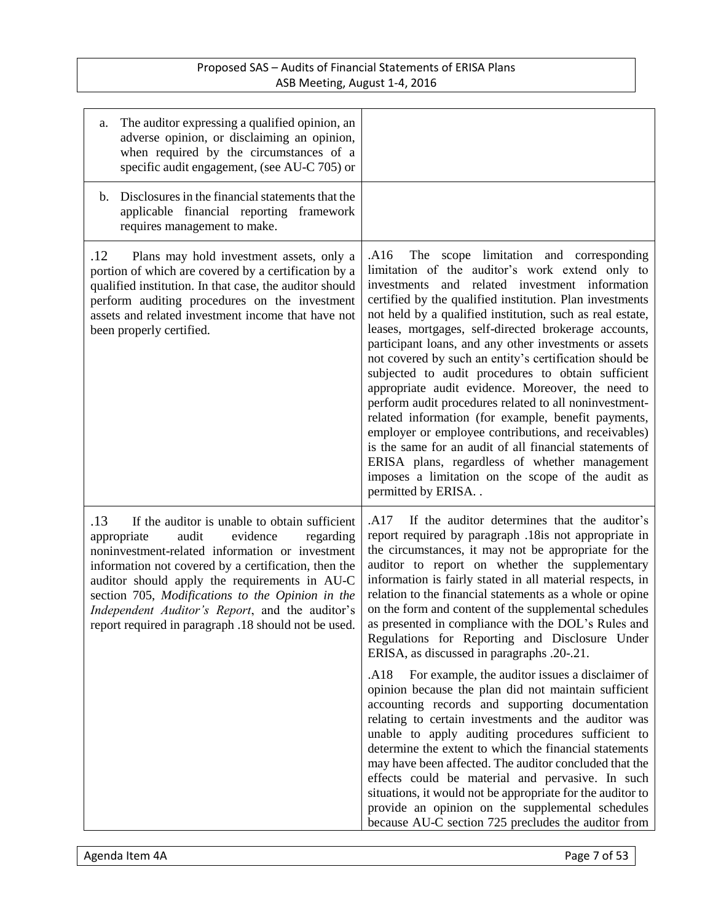<span id="page-6-0"></span>

| The auditor expressing a qualified opinion, an<br>a.<br>adverse opinion, or disclaiming an opinion,<br>when required by the circumstances of a<br>specific audit engagement, (see AU-C 705) or                                                                                                                                                                                                                                   |                                                                                                                                                                                                                                                                                                                                                                                                                                                                                                                                                                                                                                                                                                                                                                                                                                                                                                                                         |
|----------------------------------------------------------------------------------------------------------------------------------------------------------------------------------------------------------------------------------------------------------------------------------------------------------------------------------------------------------------------------------------------------------------------------------|-----------------------------------------------------------------------------------------------------------------------------------------------------------------------------------------------------------------------------------------------------------------------------------------------------------------------------------------------------------------------------------------------------------------------------------------------------------------------------------------------------------------------------------------------------------------------------------------------------------------------------------------------------------------------------------------------------------------------------------------------------------------------------------------------------------------------------------------------------------------------------------------------------------------------------------------|
| Disclosures in the financial statements that the<br>$\mathbf{b}$ .<br>applicable financial reporting framework<br>requires management to make.                                                                                                                                                                                                                                                                                   |                                                                                                                                                                                                                                                                                                                                                                                                                                                                                                                                                                                                                                                                                                                                                                                                                                                                                                                                         |
| .12<br>Plans may hold investment assets, only a<br>portion of which are covered by a certification by a<br>qualified institution. In that case, the auditor should<br>perform auditing procedures on the investment<br>assets and related investment income that have not<br>been properly certified.                                                                                                                            | The scope limitation and corresponding<br>.A16<br>limitation of the auditor's work extend only to<br>and related investment information<br>investments<br>certified by the qualified institution. Plan investments<br>not held by a qualified institution, such as real estate,<br>leases, mortgages, self-directed brokerage accounts,<br>participant loans, and any other investments or assets<br>not covered by such an entity's certification should be<br>subjected to audit procedures to obtain sufficient<br>appropriate audit evidence. Moreover, the need to<br>perform audit procedures related to all noninvestment-<br>related information (for example, benefit payments,<br>employer or employee contributions, and receivables)<br>is the same for an audit of all financial statements of<br>ERISA plans, regardless of whether management<br>imposes a limitation on the scope of the audit as<br>permitted by ERISA |
| .13<br>If the auditor is unable to obtain sufficient<br>audit<br>evidence<br>appropriate<br>regarding<br>noninvestment-related information or investment<br>information not covered by a certification, then the<br>auditor should apply the requirements in AU-C<br>section 705, Modifications to the Opinion in the<br>Independent Auditor's Report, and the auditor's<br>report required in paragraph .18 should not be used. | If the auditor determines that the auditor's<br>.A17<br>report required by paragraph .18is not appropriate in<br>the circumstances, it may not be appropriate for the<br>auditor to report on whether the supplementary<br>information is fairly stated in all material respects, in<br>relation to the financial statements as a whole or opine<br>on the form and content of the supplemental schedules<br>as presented in compliance with the DOL's Rules and<br>Regulations for Reporting and Disclosure Under<br>ERISA, as discussed in paragraphs .20-.21.                                                                                                                                                                                                                                                                                                                                                                        |
|                                                                                                                                                                                                                                                                                                                                                                                                                                  | For example, the auditor issues a disclaimer of<br>.A18<br>opinion because the plan did not maintain sufficient<br>accounting records and supporting documentation<br>relating to certain investments and the auditor was<br>unable to apply auditing procedures sufficient to<br>determine the extent to which the financial statements<br>may have been affected. The auditor concluded that the<br>effects could be material and pervasive. In such<br>situations, it would not be appropriate for the auditor to<br>provide an opinion on the supplemental schedules<br>because AU-C section 725 precludes the auditor from                                                                                                                                                                                                                                                                                                         |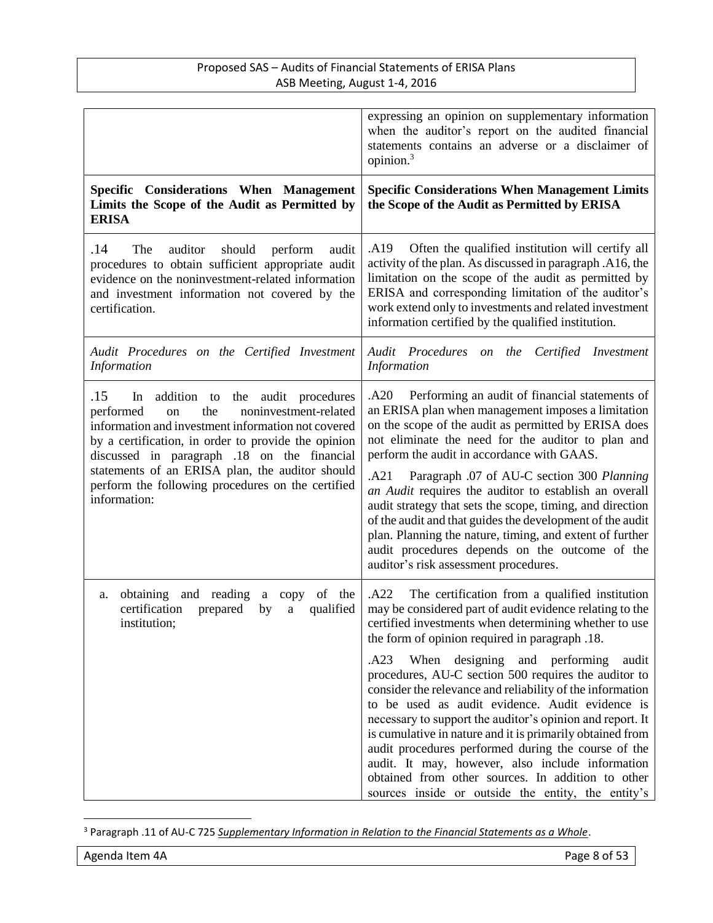|                                                                                                                                                                                                                                                                                                                                                                                   | expressing an opinion on supplementary information<br>when the auditor's report on the audited financial<br>statements contains an adverse or a disclaimer of<br>opinion. <sup>3</sup>                                                                                                                                                                                                                                                                                                                                                                                                                                                                                   |
|-----------------------------------------------------------------------------------------------------------------------------------------------------------------------------------------------------------------------------------------------------------------------------------------------------------------------------------------------------------------------------------|--------------------------------------------------------------------------------------------------------------------------------------------------------------------------------------------------------------------------------------------------------------------------------------------------------------------------------------------------------------------------------------------------------------------------------------------------------------------------------------------------------------------------------------------------------------------------------------------------------------------------------------------------------------------------|
| <b>Specific Considerations When Management</b><br>Limits the Scope of the Audit as Permitted by<br><b>ERISA</b>                                                                                                                                                                                                                                                                   | <b>Specific Considerations When Management Limits</b><br>the Scope of the Audit as Permitted by ERISA                                                                                                                                                                                                                                                                                                                                                                                                                                                                                                                                                                    |
| .14<br>The<br>auditor<br>should<br>perform<br>audit<br>procedures to obtain sufficient appropriate audit<br>evidence on the noninvestment-related information<br>and investment information not covered by the<br>certification.                                                                                                                                                  | Often the qualified institution will certify all<br>.A19<br>activity of the plan. As discussed in paragraph .A16, the<br>limitation on the scope of the audit as permitted by<br>ERISA and corresponding limitation of the auditor's<br>work extend only to investments and related investment<br>information certified by the qualified institution.                                                                                                                                                                                                                                                                                                                    |
| Audit Procedures on the Certified Investment<br><b>Information</b>                                                                                                                                                                                                                                                                                                                | Audit Procedures on the Certified Investment<br><b>Information</b>                                                                                                                                                                                                                                                                                                                                                                                                                                                                                                                                                                                                       |
| .15<br>In addition to the audit procedures<br>the<br>performed<br>noninvestment-related<br>on<br>information and investment information not covered<br>by a certification, in order to provide the opinion<br>discussed in paragraph .18 on the financial<br>statements of an ERISA plan, the auditor should<br>perform the following procedures on the certified<br>information: | Performing an audit of financial statements of<br>.A20<br>an ERISA plan when management imposes a limitation<br>on the scope of the audit as permitted by ERISA does<br>not eliminate the need for the auditor to plan and<br>perform the audit in accordance with GAAS.<br>.A21<br>Paragraph .07 of AU-C section 300 Planning<br>an Audit requires the auditor to establish an overall<br>audit strategy that sets the scope, timing, and direction<br>of the audit and that guides the development of the audit<br>plan. Planning the nature, timing, and extent of further<br>audit procedures depends on the outcome of the<br>auditor's risk assessment procedures. |
| and reading a copy of the<br>obtaining<br>a.<br>certification<br>prepared<br>qualified<br>$\rm{a}$<br>by<br>institution;                                                                                                                                                                                                                                                          | .A22<br>The certification from a qualified institution<br>may be considered part of audit evidence relating to the<br>certified investments when determining whether to use<br>the form of opinion required in paragraph .18.                                                                                                                                                                                                                                                                                                                                                                                                                                            |
|                                                                                                                                                                                                                                                                                                                                                                                   | When<br>designing<br>and<br>performing<br>A23.<br>audit<br>procedures, AU-C section 500 requires the auditor to<br>consider the relevance and reliability of the information<br>to be used as audit evidence. Audit evidence is<br>necessary to support the auditor's opinion and report. It<br>is cumulative in nature and it is primarily obtained from<br>audit procedures performed during the course of the<br>audit. It may, however, also include information<br>obtained from other sources. In addition to other<br>sources inside or outside the entity, the entity's                                                                                          |

<sup>3</sup> Paragraph .11 of AU-C 725 *Supplementary Information in Relation to the Financial Statements as a Whole*.

 $\overline{\phantom{a}}$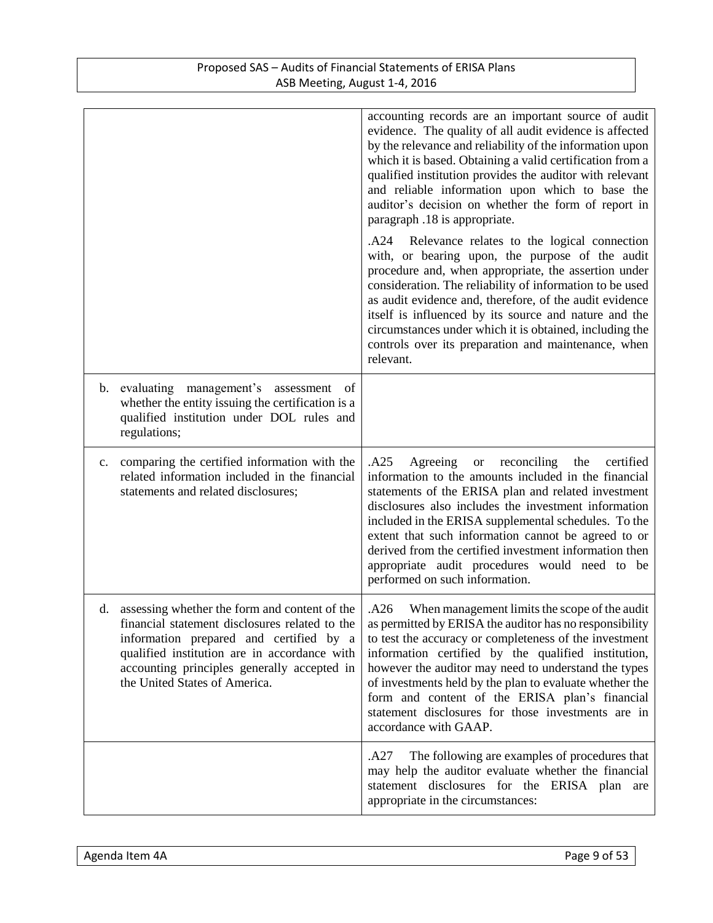|                |                                                                                                                                                                                                                                                                            | accounting records are an important source of audit<br>evidence. The quality of all audit evidence is affected<br>by the relevance and reliability of the information upon<br>which it is based. Obtaining a valid certification from a<br>qualified institution provides the auditor with relevant<br>and reliable information upon which to base the<br>auditor's decision on whether the form of report in<br>paragraph .18 is appropriate.<br>Relevance relates to the logical connection<br>.A24<br>with, or bearing upon, the purpose of the audit<br>procedure and, when appropriate, the assertion under<br>consideration. The reliability of information to be used<br>as audit evidence and, therefore, of the audit evidence<br>itself is influenced by its source and nature and the<br>circumstances under which it is obtained, including the<br>controls over its preparation and maintenance, when<br>relevant. |
|----------------|----------------------------------------------------------------------------------------------------------------------------------------------------------------------------------------------------------------------------------------------------------------------------|---------------------------------------------------------------------------------------------------------------------------------------------------------------------------------------------------------------------------------------------------------------------------------------------------------------------------------------------------------------------------------------------------------------------------------------------------------------------------------------------------------------------------------------------------------------------------------------------------------------------------------------------------------------------------------------------------------------------------------------------------------------------------------------------------------------------------------------------------------------------------------------------------------------------------------|
| b.             | evaluating management's assessment of<br>whether the entity issuing the certification is a<br>qualified institution under DOL rules and<br>regulations;                                                                                                                    |                                                                                                                                                                                                                                                                                                                                                                                                                                                                                                                                                                                                                                                                                                                                                                                                                                                                                                                                 |
| $\mathbf{c}$ . | comparing the certified information with the<br>related information included in the financial<br>statements and related disclosures;                                                                                                                                       | .A25<br>the<br>Agreeing<br>reconciling<br>certified<br><b>or</b><br>information to the amounts included in the financial<br>statements of the ERISA plan and related investment<br>disclosures also includes the investment information<br>included in the ERISA supplemental schedules. To the<br>extent that such information cannot be agreed to or<br>derived from the certified investment information then<br>appropriate audit procedures would need to be<br>performed on such information.                                                                                                                                                                                                                                                                                                                                                                                                                             |
| d.             | assessing whether the form and content of the<br>financial statement disclosures related to the<br>information prepared and certified by a<br>qualified institution are in accordance with<br>accounting principles generally accepted in<br>the United States of America. | .A26<br>When management limits the scope of the audit<br>as permitted by ERISA the auditor has no responsibility<br>to test the accuracy or completeness of the investment<br>information certified by the qualified institution,<br>however the auditor may need to understand the types<br>of investments held by the plan to evaluate whether the<br>form and content of the ERISA plan's financial<br>statement disclosures for those investments are in<br>accordance with GAAP.                                                                                                                                                                                                                                                                                                                                                                                                                                           |
|                |                                                                                                                                                                                                                                                                            | The following are examples of procedures that<br>.A27<br>may help the auditor evaluate whether the financial<br>statement disclosures for the ERISA plan are<br>appropriate in the circumstances:                                                                                                                                                                                                                                                                                                                                                                                                                                                                                                                                                                                                                                                                                                                               |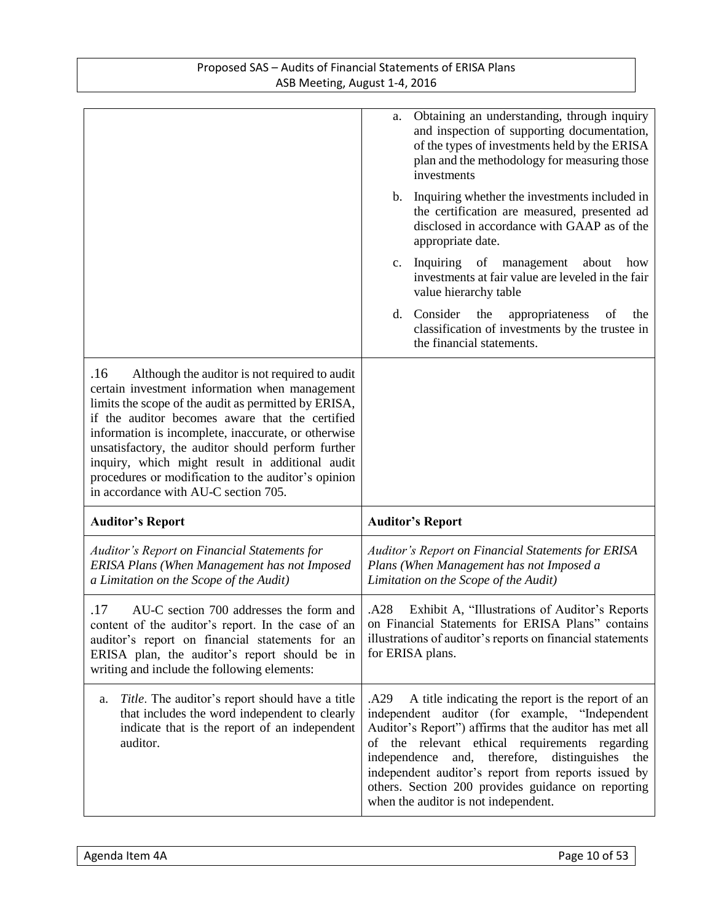|                                                                                                                                                                                                                                                                                                                                                                                                                                                                                  | Obtaining an understanding, through inquiry<br>a.<br>and inspection of supporting documentation,<br>of the types of investments held by the ERISA<br>plan and the methodology for measuring those<br>investments<br>Inquiring whether the investments included in<br>b.<br>the certification are measured, presented ad<br>disclosed in accordance with GAAP as of the<br>appropriate date.<br>Inquiring<br>management<br>about<br>of<br>how<br>c.<br>investments at fair value are leveled in the fair<br>value hierarchy table<br>d. Consider<br>the<br>appropriateness<br>the<br>of<br>classification of investments by the trustee in<br>the financial statements. |
|----------------------------------------------------------------------------------------------------------------------------------------------------------------------------------------------------------------------------------------------------------------------------------------------------------------------------------------------------------------------------------------------------------------------------------------------------------------------------------|------------------------------------------------------------------------------------------------------------------------------------------------------------------------------------------------------------------------------------------------------------------------------------------------------------------------------------------------------------------------------------------------------------------------------------------------------------------------------------------------------------------------------------------------------------------------------------------------------------------------------------------------------------------------|
| .16<br>Although the auditor is not required to audit<br>certain investment information when management<br>limits the scope of the audit as permitted by ERISA,<br>if the auditor becomes aware that the certified<br>information is incomplete, inaccurate, or otherwise<br>unsatisfactory, the auditor should perform further<br>inquiry, which might result in additional audit<br>procedures or modification to the auditor's opinion<br>in accordance with AU-C section 705. |                                                                                                                                                                                                                                                                                                                                                                                                                                                                                                                                                                                                                                                                        |
| <b>Auditor's Report</b>                                                                                                                                                                                                                                                                                                                                                                                                                                                          | <b>Auditor's Report</b>                                                                                                                                                                                                                                                                                                                                                                                                                                                                                                                                                                                                                                                |
| <b>Auditor's Report on Financial Statements for</b><br>ERISA Plans (When Management has not Imposed<br>a Limitation on the Scope of the Audit)                                                                                                                                                                                                                                                                                                                                   | <b>Auditor's Report on Financial Statements for ERISA</b><br>Plans (When Management has not Imposed a<br>Limitation on the Scope of the Audit)                                                                                                                                                                                                                                                                                                                                                                                                                                                                                                                         |
| .17<br>AU-C section 700 addresses the form and<br>content of the auditor's report. In the case of an<br>auditor's report on financial statements for an<br>ERISA plan, the auditor's report should be in<br>writing and include the following elements:                                                                                                                                                                                                                          | Exhibit A, "Illustrations of Auditor's Reports<br>.A28<br>on Financial Statements for ERISA Plans" contains<br>illustrations of auditor's reports on financial statements<br>for ERISA plans.                                                                                                                                                                                                                                                                                                                                                                                                                                                                          |
| Title. The auditor's report should have a title<br>a.<br>that includes the word independent to clearly<br>indicate that is the report of an independent<br>auditor.                                                                                                                                                                                                                                                                                                              | A title indicating the report is the report of an<br>A29.<br>independent auditor (for example, "Independent<br>Auditor's Report") affirms that the auditor has met all<br>of the relevant ethical requirements regarding<br>independence and,<br>therefore, distinguishes<br>the<br>independent auditor's report from reports issued by<br>others. Section 200 provides guidance on reporting<br>when the auditor is not independent.                                                                                                                                                                                                                                  |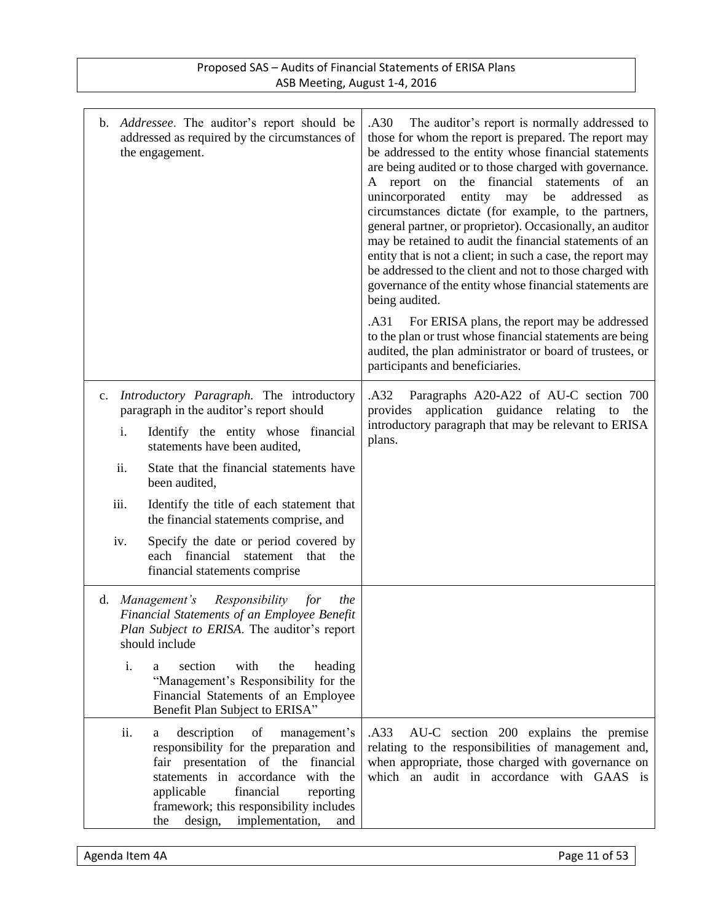| the engagement.                      | b. Addressee. The auditor's report should be<br>addressed as required by the circumstances of                                                                                                                                                                                  | The auditor's report is normally addressed to<br>.A30<br>those for whom the report is prepared. The report may<br>be addressed to the entity whose financial statements<br>are being audited or to those charged with governance.<br>A report on the financial statements of<br>an<br>unincorporated<br>entity<br>may<br>be<br>addressed<br>as<br>circumstances dictate (for example, to the partners,<br>general partner, or proprietor). Occasionally, an auditor<br>may be retained to audit the financial statements of an<br>entity that is not a client; in such a case, the report may<br>be addressed to the client and not to those charged with<br>governance of the entity whose financial statements are<br>being audited.<br>.A31<br>For ERISA plans, the report may be addressed<br>to the plan or trust whose financial statements are being<br>audited, the plan administrator or board of trustees, or<br>participants and beneficiaries. |
|--------------------------------------|--------------------------------------------------------------------------------------------------------------------------------------------------------------------------------------------------------------------------------------------------------------------------------|------------------------------------------------------------------------------------------------------------------------------------------------------------------------------------------------------------------------------------------------------------------------------------------------------------------------------------------------------------------------------------------------------------------------------------------------------------------------------------------------------------------------------------------------------------------------------------------------------------------------------------------------------------------------------------------------------------------------------------------------------------------------------------------------------------------------------------------------------------------------------------------------------------------------------------------------------------|
| c.                                   | Introductory Paragraph. The introductory<br>paragraph in the auditor's report should                                                                                                                                                                                           | Paragraphs A20-A22 of AU-C section 700<br>.A32<br>application guidance relating<br>provides<br>to<br>the                                                                                                                                                                                                                                                                                                                                                                                                                                                                                                                                                                                                                                                                                                                                                                                                                                                   |
| i.                                   | Identify the entity whose financial<br>statements have been audited,                                                                                                                                                                                                           | introductory paragraph that may be relevant to ERISA<br>plans.                                                                                                                                                                                                                                                                                                                                                                                                                                                                                                                                                                                                                                                                                                                                                                                                                                                                                             |
| ii.                                  | State that the financial statements have<br>been audited,                                                                                                                                                                                                                      |                                                                                                                                                                                                                                                                                                                                                                                                                                                                                                                                                                                                                                                                                                                                                                                                                                                                                                                                                            |
| iii.                                 | Identify the title of each statement that<br>the financial statements comprise, and                                                                                                                                                                                            |                                                                                                                                                                                                                                                                                                                                                                                                                                                                                                                                                                                                                                                                                                                                                                                                                                                                                                                                                            |
| iv.                                  | Specify the date or period covered by<br>each financial<br>statement<br>that<br>the<br>financial statements comprise                                                                                                                                                           |                                                                                                                                                                                                                                                                                                                                                                                                                                                                                                                                                                                                                                                                                                                                                                                                                                                                                                                                                            |
| Management's<br>d.<br>should include | Responsibility<br>for<br>the<br>Financial Statements of an Employee Benefit<br>Plan Subject to ERISA. The auditor's report                                                                                                                                                     |                                                                                                                                                                                                                                                                                                                                                                                                                                                                                                                                                                                                                                                                                                                                                                                                                                                                                                                                                            |
| i.<br>a                              | section<br>with<br>the<br>heading<br>"Management's Responsibility for the<br>Financial Statements of an Employee<br>Benefit Plan Subject to ERISA"                                                                                                                             |                                                                                                                                                                                                                                                                                                                                                                                                                                                                                                                                                                                                                                                                                                                                                                                                                                                                                                                                                            |
| ii.<br>a<br>the                      | description<br>of<br>management's<br>responsibility for the preparation and<br>fair presentation of the financial<br>statements in accordance with the<br>applicable<br>financial<br>reporting<br>framework; this responsibility includes<br>design,<br>implementation,<br>and | AU-C section 200 explains the premise<br>.A33<br>relating to the responsibilities of management and,<br>when appropriate, those charged with governance on<br>which an audit in accordance with GAAS is                                                                                                                                                                                                                                                                                                                                                                                                                                                                                                                                                                                                                                                                                                                                                    |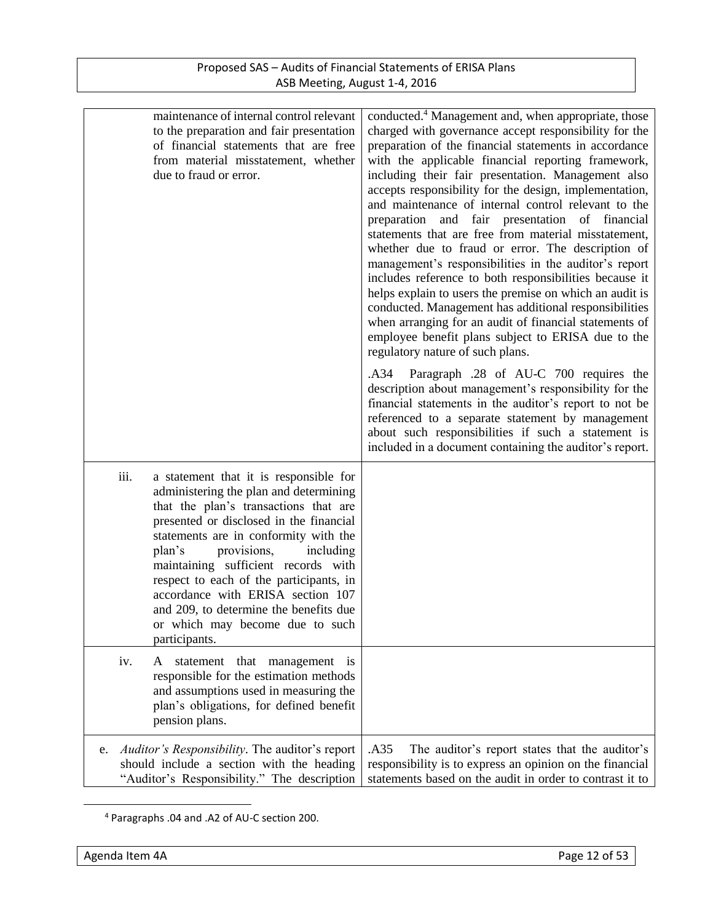|    |      | maintenance of internal control relevant<br>to the preparation and fair presentation<br>of financial statements that are free<br>from material misstatement, whether<br>due to fraud or error.                                                      | conducted. <sup>4</sup> Management and, when appropriate, those<br>charged with governance accept responsibility for the<br>preparation of the financial statements in accordance<br>with the applicable financial reporting framework,<br>including their fair presentation. Management also<br>accepts responsibility for the design, implementation,<br>and maintenance of internal control relevant to the<br>preparation and fair presentation of financial<br>statements that are free from material misstatement,<br>whether due to fraud or error. The description of<br>management's responsibilities in the auditor's report<br>includes reference to both responsibilities because it<br>helps explain to users the premise on which an audit is<br>conducted. Management has additional responsibilities<br>when arranging for an audit of financial statements of<br>employee benefit plans subject to ERISA due to the<br>regulatory nature of such plans.<br>Paragraph .28 of AU-C 700 requires the<br>.A34<br>description about management's responsibility for the<br>financial statements in the auditor's report to not be<br>referenced to a separate statement by management<br>about such responsibilities if such a statement is |
|----|------|-----------------------------------------------------------------------------------------------------------------------------------------------------------------------------------------------------------------------------------------------------|---------------------------------------------------------------------------------------------------------------------------------------------------------------------------------------------------------------------------------------------------------------------------------------------------------------------------------------------------------------------------------------------------------------------------------------------------------------------------------------------------------------------------------------------------------------------------------------------------------------------------------------------------------------------------------------------------------------------------------------------------------------------------------------------------------------------------------------------------------------------------------------------------------------------------------------------------------------------------------------------------------------------------------------------------------------------------------------------------------------------------------------------------------------------------------------------------------------------------------------------------------|
|    | iii. | a statement that it is responsible for<br>administering the plan and determining<br>that the plan's transactions that are<br>presented or disclosed in the financial<br>statements are in conformity with the<br>including<br>plan's<br>provisions, | included in a document containing the auditor's report.                                                                                                                                                                                                                                                                                                                                                                                                                                                                                                                                                                                                                                                                                                                                                                                                                                                                                                                                                                                                                                                                                                                                                                                                 |
|    |      | maintaining sufficient records with<br>respect to each of the participants, in<br>accordance with ERISA section 107<br>and 209, to determine the benefits due<br>or which may become due to such<br>participants.                                   |                                                                                                                                                                                                                                                                                                                                                                                                                                                                                                                                                                                                                                                                                                                                                                                                                                                                                                                                                                                                                                                                                                                                                                                                                                                         |
|    | iv.  | that<br>statement<br>management is<br>A<br>responsible for the estimation methods<br>and assumptions used in measuring the<br>plan's obligations, for defined benefit<br>pension plans.                                                             |                                                                                                                                                                                                                                                                                                                                                                                                                                                                                                                                                                                                                                                                                                                                                                                                                                                                                                                                                                                                                                                                                                                                                                                                                                                         |
| e. |      | <i>Auditor's Responsibility</i> . The auditor's report<br>should include a section with the heading<br>"Auditor's Responsibility." The description                                                                                                  | .A35<br>The auditor's report states that the auditor's<br>responsibility is to express an opinion on the financial<br>statements based on the audit in order to contrast it to                                                                                                                                                                                                                                                                                                                                                                                                                                                                                                                                                                                                                                                                                                                                                                                                                                                                                                                                                                                                                                                                          |

<sup>4</sup> Paragraphs .04 and .A2 of AU-C section 200.

 $\overline{\phantom{a}}$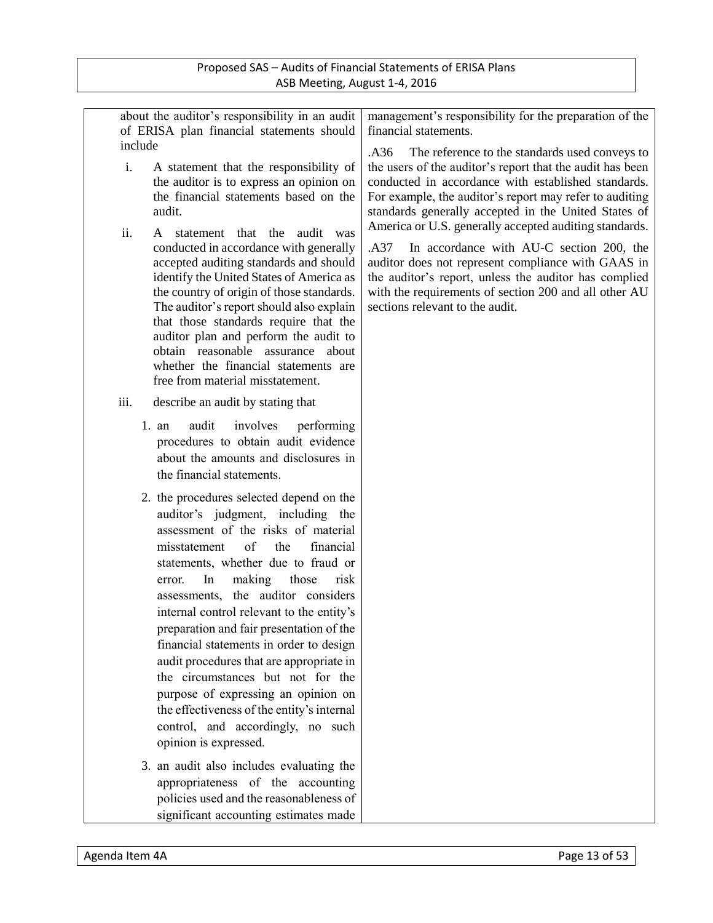| about the auditor's responsibility in an audit<br>of ERISA plan financial statements should<br>include<br>i.<br>A statement that the responsibility of<br>the auditor is to express an opinion on<br>the financial statements based on the<br>audit.                                                                                                                                                                                                                                                                                                                                                                                                        | management's responsibility for the preparation of the<br>financial statements.<br>.A36<br>The reference to the standards used conveys to<br>the users of the auditor's report that the audit has been<br>conducted in accordance with established standards.<br>For example, the auditor's report may refer to auditing<br>standards generally accepted in the United States of |
|-------------------------------------------------------------------------------------------------------------------------------------------------------------------------------------------------------------------------------------------------------------------------------------------------------------------------------------------------------------------------------------------------------------------------------------------------------------------------------------------------------------------------------------------------------------------------------------------------------------------------------------------------------------|----------------------------------------------------------------------------------------------------------------------------------------------------------------------------------------------------------------------------------------------------------------------------------------------------------------------------------------------------------------------------------|
| ii.<br>A statement that the audit was<br>conducted in accordance with generally<br>accepted auditing standards and should<br>identify the United States of America as<br>the country of origin of those standards.<br>The auditor's report should also explain<br>that those standards require that the<br>auditor plan and perform the audit to<br>obtain reasonable assurance about<br>whether the financial statements are<br>free from material misstatement.                                                                                                                                                                                           | America or U.S. generally accepted auditing standards.<br>.A37<br>In accordance with AU-C section 200, the<br>auditor does not represent compliance with GAAS in<br>the auditor's report, unless the auditor has complied<br>with the requirements of section 200 and all other AU<br>sections relevant to the audit.                                                            |
| iii.<br>describe an audit by stating that<br>audit<br>involves<br>performing<br>$1.$ an<br>procedures to obtain audit evidence<br>about the amounts and disclosures in<br>the financial statements.                                                                                                                                                                                                                                                                                                                                                                                                                                                         |                                                                                                                                                                                                                                                                                                                                                                                  |
| 2. the procedures selected depend on the<br>auditor's judgment, including the<br>assessment of the risks of material<br>of<br>the<br>financial<br>misstatement<br>statements, whether due to fraud or<br>making those<br>In<br>risk<br>error.<br>assessments, the auditor considers<br>internal control relevant to the entity's<br>preparation and fair presentation of the<br>financial statements in order to design<br>audit procedures that are appropriate in<br>the circumstances but not for the<br>purpose of expressing an opinion on<br>the effectiveness of the entity's internal<br>control, and accordingly, no such<br>opinion is expressed. |                                                                                                                                                                                                                                                                                                                                                                                  |
| 3. an audit also includes evaluating the<br>appropriateness of the accounting                                                                                                                                                                                                                                                                                                                                                                                                                                                                                                                                                                               |                                                                                                                                                                                                                                                                                                                                                                                  |

policies used and the reasonableness of significant accounting estimates made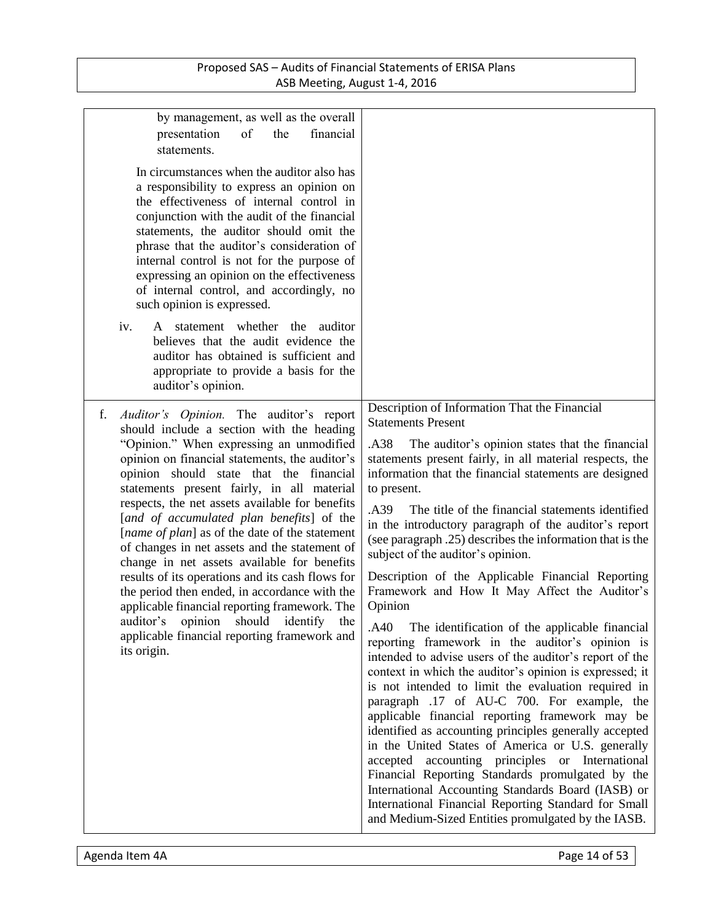| by management, as well as the overall<br>of<br>presentation<br>financial<br>the<br>statements.                                                                                                                                                                                                                                                                                                                                                                                                                                                                                                                                                                                                                                                                                                       |                                                                                                                                                                                                                                                                                                                                                                                                                                                                                                                                                                                                                                                                                                                                                                                                                                                                                                                                                                                                                                                                                                                                                                                                                                                                                                                                                                                                       |
|------------------------------------------------------------------------------------------------------------------------------------------------------------------------------------------------------------------------------------------------------------------------------------------------------------------------------------------------------------------------------------------------------------------------------------------------------------------------------------------------------------------------------------------------------------------------------------------------------------------------------------------------------------------------------------------------------------------------------------------------------------------------------------------------------|-------------------------------------------------------------------------------------------------------------------------------------------------------------------------------------------------------------------------------------------------------------------------------------------------------------------------------------------------------------------------------------------------------------------------------------------------------------------------------------------------------------------------------------------------------------------------------------------------------------------------------------------------------------------------------------------------------------------------------------------------------------------------------------------------------------------------------------------------------------------------------------------------------------------------------------------------------------------------------------------------------------------------------------------------------------------------------------------------------------------------------------------------------------------------------------------------------------------------------------------------------------------------------------------------------------------------------------------------------------------------------------------------------|
| In circumstances when the auditor also has<br>a responsibility to express an opinion on<br>the effectiveness of internal control in<br>conjunction with the audit of the financial<br>statements, the auditor should omit the<br>phrase that the auditor's consideration of<br>internal control is not for the purpose of<br>expressing an opinion on the effectiveness<br>of internal control, and accordingly, no<br>such opinion is expressed.                                                                                                                                                                                                                                                                                                                                                    |                                                                                                                                                                                                                                                                                                                                                                                                                                                                                                                                                                                                                                                                                                                                                                                                                                                                                                                                                                                                                                                                                                                                                                                                                                                                                                                                                                                                       |
| iv.<br>A statement whether the<br>auditor<br>believes that the audit evidence the<br>auditor has obtained is sufficient and<br>appropriate to provide a basis for the<br>auditor's opinion.                                                                                                                                                                                                                                                                                                                                                                                                                                                                                                                                                                                                          |                                                                                                                                                                                                                                                                                                                                                                                                                                                                                                                                                                                                                                                                                                                                                                                                                                                                                                                                                                                                                                                                                                                                                                                                                                                                                                                                                                                                       |
| f.<br>Auditor's Opinion. The auditor's report<br>should include a section with the heading<br>"Opinion." When expressing an unmodified<br>opinion on financial statements, the auditor's<br>opinion should state that the financial<br>statements present fairly, in all material<br>respects, the net assets available for benefits<br>[and of accumulated plan benefits] of the<br>[name of plan] as of the date of the statement<br>of changes in net assets and the statement of<br>change in net assets available for benefits<br>results of its operations and its cash flows for<br>the period then ended, in accordance with the<br>applicable financial reporting framework. The<br>auditor's opinion should identify<br>the<br>applicable financial reporting framework and<br>its origin. | Description of Information That the Financial<br><b>Statements Present</b><br>The auditor's opinion states that the financial<br>.A38<br>statements present fairly, in all material respects, the<br>information that the financial statements are designed<br>to present.<br>The title of the financial statements identified<br>.A39<br>in the introductory paragraph of the auditor's report<br>(see paragraph .25) describes the information that is the<br>subject of the auditor's opinion.<br>Description of the Applicable Financial Reporting<br>Framework and How It May Affect the Auditor's<br>Opinion<br>.A40 The identification of the applicable financial<br>reporting framework in the auditor's opinion is<br>intended to advise users of the auditor's report of the<br>context in which the auditor's opinion is expressed; it<br>is not intended to limit the evaluation required in<br>paragraph .17 of AU-C 700. For example, the<br>applicable financial reporting framework may be<br>identified as accounting principles generally accepted<br>in the United States of America or U.S. generally<br>accepted accounting principles or International<br>Financial Reporting Standards promulgated by the<br>International Accounting Standards Board (IASB) or<br>International Financial Reporting Standard for Small<br>and Medium-Sized Entities promulgated by the IASB. |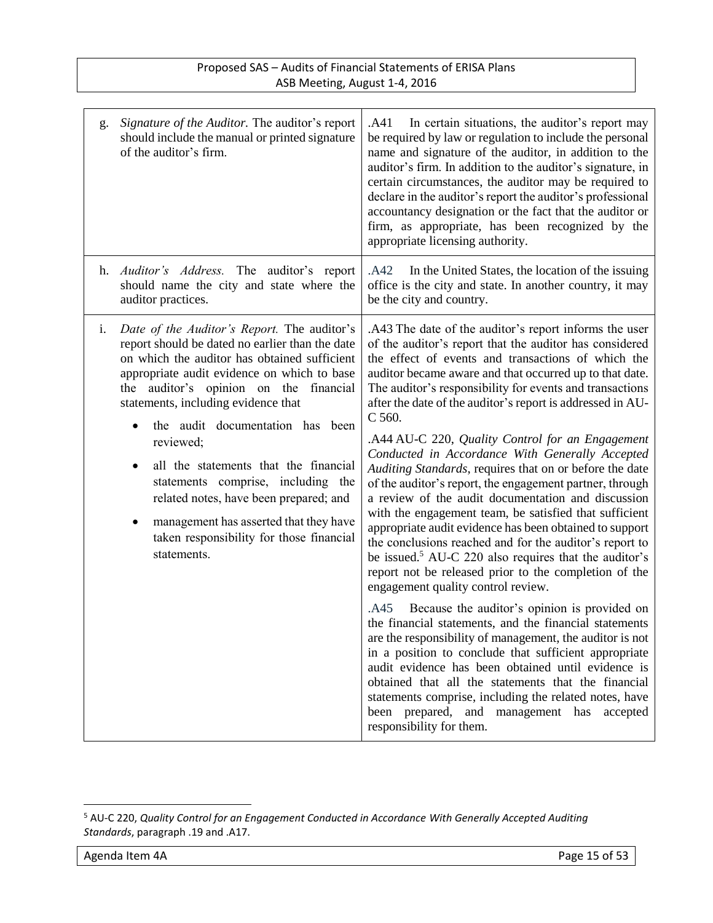| g. | Signature of the Auditor. The auditor's report<br>should include the manual or printed signature<br>of the auditor's firm.                                                                                                                                                                                                                                                                                                                                                                                                                                                              | In certain situations, the auditor's report may<br>.A41<br>be required by law or regulation to include the personal<br>name and signature of the auditor, in addition to the<br>auditor's firm. In addition to the auditor's signature, in<br>certain circumstances, the auditor may be required to<br>declare in the auditor's report the auditor's professional<br>accountancy designation or the fact that the auditor or<br>firm, as appropriate, has been recognized by the<br>appropriate licensing authority.                                                                                                                                                                                                                                                                                                                                                                                                                                                                                                                                                                                                                                                                                                                                                                                                                                                                                                                                                                                   |
|----|-----------------------------------------------------------------------------------------------------------------------------------------------------------------------------------------------------------------------------------------------------------------------------------------------------------------------------------------------------------------------------------------------------------------------------------------------------------------------------------------------------------------------------------------------------------------------------------------|--------------------------------------------------------------------------------------------------------------------------------------------------------------------------------------------------------------------------------------------------------------------------------------------------------------------------------------------------------------------------------------------------------------------------------------------------------------------------------------------------------------------------------------------------------------------------------------------------------------------------------------------------------------------------------------------------------------------------------------------------------------------------------------------------------------------------------------------------------------------------------------------------------------------------------------------------------------------------------------------------------------------------------------------------------------------------------------------------------------------------------------------------------------------------------------------------------------------------------------------------------------------------------------------------------------------------------------------------------------------------------------------------------------------------------------------------------------------------------------------------------|
| h. | Auditor's Address. The auditor's report<br>should name the city and state where the<br>auditor practices.                                                                                                                                                                                                                                                                                                                                                                                                                                                                               | In the United States, the location of the issuing<br>.A42<br>office is the city and state. In another country, it may<br>be the city and country.                                                                                                                                                                                                                                                                                                                                                                                                                                                                                                                                                                                                                                                                                                                                                                                                                                                                                                                                                                                                                                                                                                                                                                                                                                                                                                                                                      |
| i. | Date of the Auditor's Report. The auditor's<br>report should be dated no earlier than the date<br>on which the auditor has obtained sufficient<br>appropriate audit evidence on which to base<br>the auditor's opinion on the financial<br>statements, including evidence that<br>the audit documentation has been<br>reviewed;<br>all the statements that the financial<br>$\bullet$<br>statements comprise, including the<br>related notes, have been prepared; and<br>management has asserted that they have<br>$\bullet$<br>taken responsibility for those financial<br>statements. | .A43 The date of the auditor's report informs the user<br>of the auditor's report that the auditor has considered<br>the effect of events and transactions of which the<br>auditor became aware and that occurred up to that date.<br>The auditor's responsibility for events and transactions<br>after the date of the auditor's report is addressed in AU-<br>C 560.<br>.A44 AU-C 220, Quality Control for an Engagement<br>Conducted in Accordance With Generally Accepted<br>Auditing Standards, requires that on or before the date<br>of the auditor's report, the engagement partner, through<br>a review of the audit documentation and discussion<br>with the engagement team, be satisfied that sufficient<br>appropriate audit evidence has been obtained to support<br>the conclusions reached and for the auditor's report to<br>be issued. <sup>5</sup> AU-C 220 also requires that the auditor's<br>report not be released prior to the completion of the<br>engagement quality control review.<br>Because the auditor's opinion is provided on<br>.A45<br>the financial statements, and the financial statements<br>are the responsibility of management, the auditor is not<br>in a position to conclude that sufficient appropriate<br>audit evidence has been obtained until evidence is<br>obtained that all the statements that the financial<br>statements comprise, including the related notes, have<br>been prepared, and management has accepted<br>responsibility for them. |

l

<sup>5</sup> AU-C 220, *Quality Control for an Engagement Conducted in Accordance With Generally Accepted Auditing Standards*, paragraph .19 and .A17.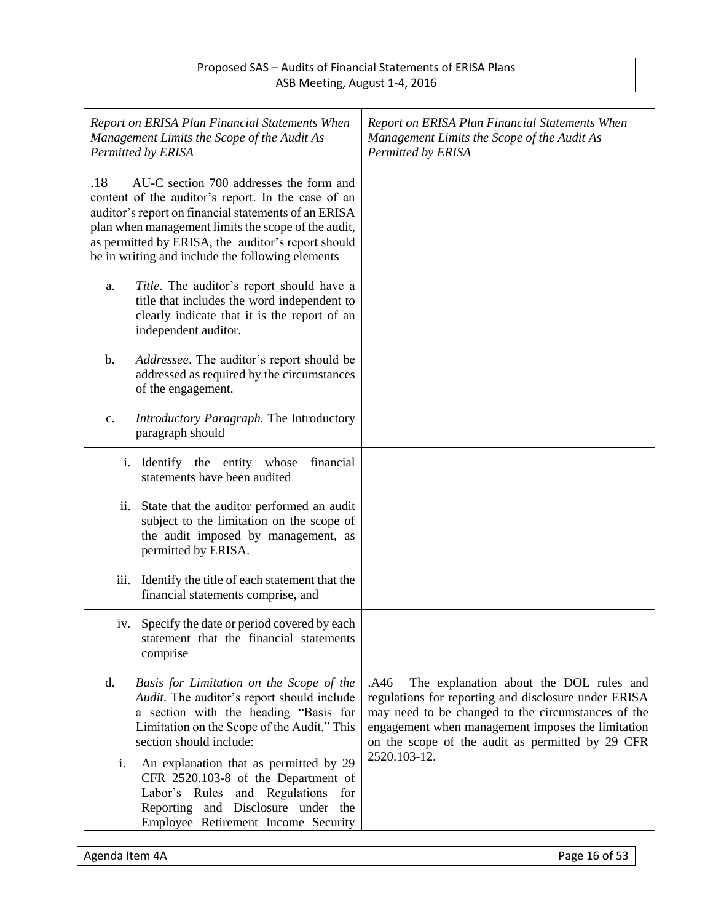<span id="page-15-0"></span>

| Report on ERISA Plan Financial Statements When<br>Management Limits the Scope of the Audit As<br>Permitted by ERISA                                                                                                                                                                                                                                                                                                      | Report on ERISA Plan Financial Statements When<br>Management Limits the Scope of the Audit As<br>Permitted by ERISA                                                                                                                                                                    |
|--------------------------------------------------------------------------------------------------------------------------------------------------------------------------------------------------------------------------------------------------------------------------------------------------------------------------------------------------------------------------------------------------------------------------|----------------------------------------------------------------------------------------------------------------------------------------------------------------------------------------------------------------------------------------------------------------------------------------|
| .18<br>AU-C section 700 addresses the form and<br>content of the auditor's report. In the case of an<br>auditor's report on financial statements of an ERISA<br>plan when management limits the scope of the audit,<br>as permitted by ERISA, the auditor's report should<br>be in writing and include the following elements                                                                                            |                                                                                                                                                                                                                                                                                        |
| Title. The auditor's report should have a<br>a.<br>title that includes the word independent to<br>clearly indicate that it is the report of an<br>independent auditor.                                                                                                                                                                                                                                                   |                                                                                                                                                                                                                                                                                        |
| Addressee. The auditor's report should be<br>b.<br>addressed as required by the circumstances<br>of the engagement.                                                                                                                                                                                                                                                                                                      |                                                                                                                                                                                                                                                                                        |
| Introductory Paragraph. The Introductory<br>c.<br>paragraph should                                                                                                                                                                                                                                                                                                                                                       |                                                                                                                                                                                                                                                                                        |
| Identify the entity whose<br>financial<br>i.<br>statements have been audited                                                                                                                                                                                                                                                                                                                                             |                                                                                                                                                                                                                                                                                        |
| ii.<br>State that the auditor performed an audit<br>subject to the limitation on the scope of<br>the audit imposed by management, as<br>permitted by ERISA.                                                                                                                                                                                                                                                              |                                                                                                                                                                                                                                                                                        |
| Identify the title of each statement that the<br>iii.<br>financial statements comprise, and                                                                                                                                                                                                                                                                                                                              |                                                                                                                                                                                                                                                                                        |
| iv. Specify the date or period covered by each<br>statement that the financial statements<br>comprise                                                                                                                                                                                                                                                                                                                    |                                                                                                                                                                                                                                                                                        |
| d.<br>Basis for Limitation on the Scope of the<br>Audit. The auditor's report should include<br>a section with the heading "Basis for<br>Limitation on the Scope of the Audit." This<br>section should include:<br>i.<br>An explanation that as permitted by 29<br>CFR 2520.103-8 of the Department of<br>Labor's Rules and Regulations for<br>Reporting and Disclosure under the<br>Employee Retirement Income Security | .A46<br>The explanation about the DOL rules and<br>regulations for reporting and disclosure under ERISA<br>may need to be changed to the circumstances of the<br>engagement when management imposes the limitation<br>on the scope of the audit as permitted by 29 CFR<br>2520.103-12. |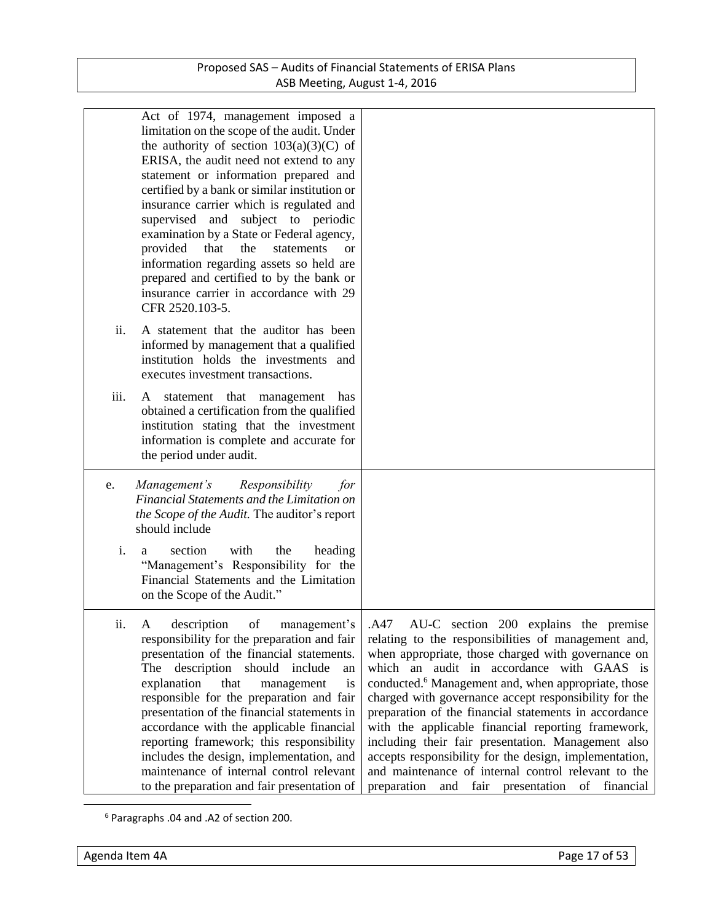|      | Act of 1974, management imposed a<br>limitation on the scope of the audit. Under<br>the authority of section $103(a)(3)(C)$ of<br>ERISA, the audit need not extend to any<br>statement or information prepared and<br>certified by a bank or similar institution or<br>insurance carrier which is regulated and<br>supervised and subject to periodic<br>examination by a State or Federal agency,<br>provided<br>that<br>the<br>statements<br><sub>or</sub><br>information regarding assets so held are<br>prepared and certified to by the bank or<br>insurance carrier in accordance with 29<br>CFR 2520.103-5. |                                                                                                                                                                                                                                                                                                                                                                                                                                                                                                                                                                                                                                                                             |
|------|--------------------------------------------------------------------------------------------------------------------------------------------------------------------------------------------------------------------------------------------------------------------------------------------------------------------------------------------------------------------------------------------------------------------------------------------------------------------------------------------------------------------------------------------------------------------------------------------------------------------|-----------------------------------------------------------------------------------------------------------------------------------------------------------------------------------------------------------------------------------------------------------------------------------------------------------------------------------------------------------------------------------------------------------------------------------------------------------------------------------------------------------------------------------------------------------------------------------------------------------------------------------------------------------------------------|
| ii.  | A statement that the auditor has been<br>informed by management that a qualified<br>institution holds the investments and<br>executes investment transactions.                                                                                                                                                                                                                                                                                                                                                                                                                                                     |                                                                                                                                                                                                                                                                                                                                                                                                                                                                                                                                                                                                                                                                             |
| iii. | statement that management<br>A<br>has<br>obtained a certification from the qualified<br>institution stating that the investment<br>information is complete and accurate for<br>the period under audit.                                                                                                                                                                                                                                                                                                                                                                                                             |                                                                                                                                                                                                                                                                                                                                                                                                                                                                                                                                                                                                                                                                             |
| e.   | Management's<br>Responsibility<br>for<br>Financial Statements and the Limitation on<br>the Scope of the Audit. The auditor's report<br>should include                                                                                                                                                                                                                                                                                                                                                                                                                                                              |                                                                                                                                                                                                                                                                                                                                                                                                                                                                                                                                                                                                                                                                             |
| i.   | with<br>section<br>the<br>heading<br>a<br>"Management's Responsibility for the<br>Financial Statements and the Limitation<br>on the Scope of the Audit."                                                                                                                                                                                                                                                                                                                                                                                                                                                           |                                                                                                                                                                                                                                                                                                                                                                                                                                                                                                                                                                                                                                                                             |
| 11.  | A description of management's<br>responsibility for the preparation and fair<br>presentation of the financial statements.<br>The description should include<br>an<br>explanation<br>that<br>management<br><i>is</i><br>responsible for the preparation and fair<br>presentation of the financial statements in<br>accordance with the applicable financial<br>reporting framework; this responsibility<br>includes the design, implementation, and<br>maintenance of internal control relevant<br>to the preparation and fair presentation of                                                                      | .A47<br>AU-C section 200 explains the premise<br>relating to the responsibilities of management and,<br>when appropriate, those charged with governance on<br>which an audit in accordance with GAAS is<br>conducted. <sup>6</sup> Management and, when appropriate, those<br>charged with governance accept responsibility for the<br>preparation of the financial statements in accordance<br>with the applicable financial reporting framework,<br>including their fair presentation. Management also<br>accepts responsibility for the design, implementation,<br>and maintenance of internal control relevant to the<br>preparation and fair presentation of financial |

<sup>6</sup> Paragraphs .04 and .A2 of section 200.

 $\overline{\phantom{a}}$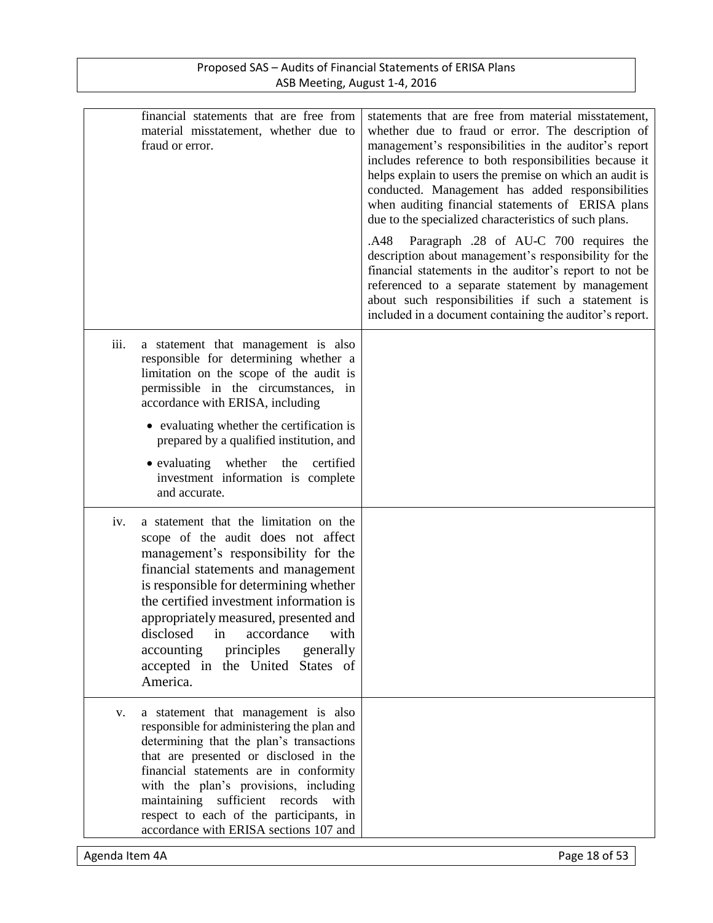| Proposed SAS - Audits of Financial Statements of ERISA Plans |                                                                                                                                                                                                                                                                                                                                                                                                                            |                                                                                                                                                                                                                                                                                                                                                                                                                                                           |
|--------------------------------------------------------------|----------------------------------------------------------------------------------------------------------------------------------------------------------------------------------------------------------------------------------------------------------------------------------------------------------------------------------------------------------------------------------------------------------------------------|-----------------------------------------------------------------------------------------------------------------------------------------------------------------------------------------------------------------------------------------------------------------------------------------------------------------------------------------------------------------------------------------------------------------------------------------------------------|
| ASB Meeting, August 1-4, 2016                                |                                                                                                                                                                                                                                                                                                                                                                                                                            |                                                                                                                                                                                                                                                                                                                                                                                                                                                           |
|                                                              | financial statements that are free from<br>material misstatement, whether due to<br>fraud or error.                                                                                                                                                                                                                                                                                                                        | statements that are free from material misstatement,<br>whether due to fraud or error. The description of<br>management's responsibilities in the auditor's report<br>includes reference to both responsibilities because it<br>helps explain to users the premise on which an audit is<br>conducted. Management has added responsibilities<br>when auditing financial statements of ERISA plans<br>due to the specialized characteristics of such plans. |
|                                                              |                                                                                                                                                                                                                                                                                                                                                                                                                            | Paragraph .28 of AU-C 700 requires the<br>.A48<br>description about management's responsibility for the<br>financial statements in the auditor's report to not be<br>referenced to a separate statement by management<br>about such responsibilities if such a statement is<br>included in a document containing the auditor's report.                                                                                                                    |
| iii.                                                         | a statement that management is also<br>responsible for determining whether a<br>limitation on the scope of the audit is<br>permissible in the circumstances,<br>in<br>accordance with ERISA, including                                                                                                                                                                                                                     |                                                                                                                                                                                                                                                                                                                                                                                                                                                           |
|                                                              | • evaluating whether the certification is<br>prepared by a qualified institution, and                                                                                                                                                                                                                                                                                                                                      |                                                                                                                                                                                                                                                                                                                                                                                                                                                           |
|                                                              | • evaluating<br>whether the<br>certified<br>investment information is complete<br>and accurate.                                                                                                                                                                                                                                                                                                                            |                                                                                                                                                                                                                                                                                                                                                                                                                                                           |
| iv.                                                          | a statement that the limitation on the<br>scope of the audit does not affect<br>management's responsibility for the<br>financial statements and management<br>is responsible for determining whether<br>the certified investment information is<br>appropriately measured, presented and<br>disclosed<br>in<br>accordance<br>with<br>principles<br>generally<br>accounting<br>accepted in the United States of<br>America. |                                                                                                                                                                                                                                                                                                                                                                                                                                                           |
| V.                                                           | a statement that management is also<br>responsible for administering the plan and<br>determining that the plan's transactions<br>that are presented or disclosed in the<br>financial statements are in conformity<br>with the plan's provisions, including<br>maintaining sufficient records<br>with<br>respect to each of the participants, in<br>accordance with ERISA sections 107 and                                  |                                                                                                                                                                                                                                                                                                                                                                                                                                                           |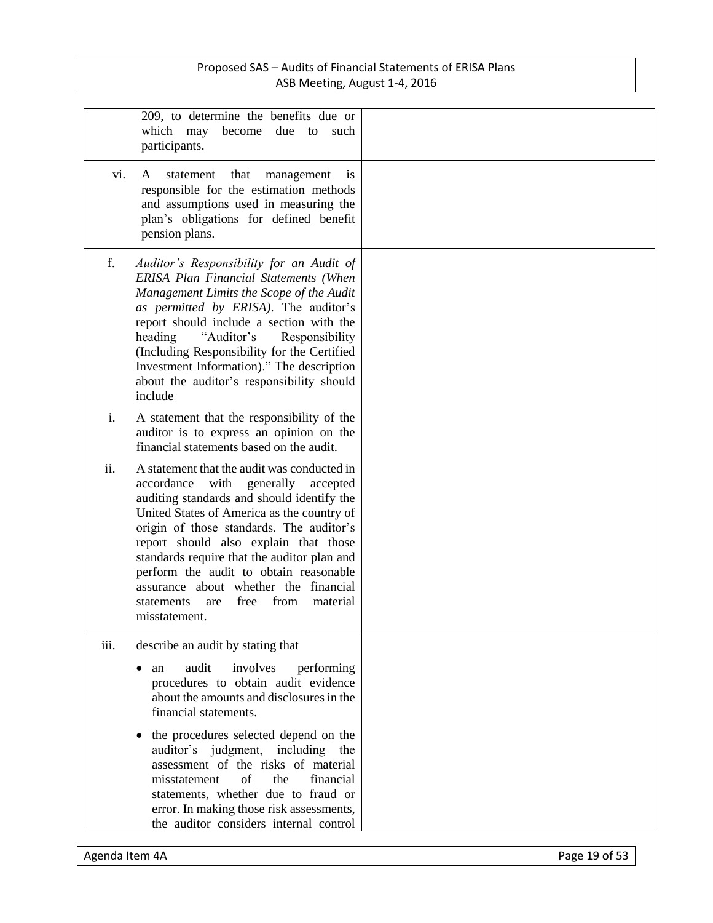|      | 209, to determine the benefits due or<br>which may<br>become<br>due<br>such<br>to<br>participants.                                                                                                                                                                                                                                                                                                                                                                              |  |
|------|---------------------------------------------------------------------------------------------------------------------------------------------------------------------------------------------------------------------------------------------------------------------------------------------------------------------------------------------------------------------------------------------------------------------------------------------------------------------------------|--|
| vi.  | that<br>A<br>statement<br>management<br>1S<br>responsible for the estimation methods<br>and assumptions used in measuring the<br>plan's obligations for defined benefit<br>pension plans.                                                                                                                                                                                                                                                                                       |  |
| f.   | Auditor's Responsibility for an Audit of<br><b>ERISA Plan Financial Statements (When</b><br>Management Limits the Scope of the Audit<br>as permitted by ERISA). The auditor's<br>report should include a section with the<br>"Auditor's<br>heading<br>Responsibility<br>(Including Responsibility for the Certified<br>Investment Information)." The description<br>about the auditor's responsibility should<br>include                                                        |  |
| i.   | A statement that the responsibility of the<br>auditor is to express an opinion on the<br>financial statements based on the audit.                                                                                                                                                                                                                                                                                                                                               |  |
| ii.  | A statement that the audit was conducted in<br>with<br>accordance<br>generally<br>accepted<br>auditing standards and should identify the<br>United States of America as the country of<br>origin of those standards. The auditor's<br>report should also explain that those<br>standards require that the auditor plan and<br>perform the audit to obtain reasonable<br>assurance about whether the financial<br>free<br>from<br>material<br>statements<br>are<br>misstatement. |  |
| iii. | describe an audit by stating that                                                                                                                                                                                                                                                                                                                                                                                                                                               |  |
|      | audit<br>involves<br>performing<br>an<br>procedures to obtain audit evidence<br>about the amounts and disclosures in the<br>financial statements.                                                                                                                                                                                                                                                                                                                               |  |
|      | the procedures selected depend on the<br>auditor's judgment, including the<br>assessment of the risks of material<br>of<br>the<br>financial<br>misstatement<br>statements, whether due to fraud or<br>error. In making those risk assessments,<br>the auditor considers internal control                                                                                                                                                                                        |  |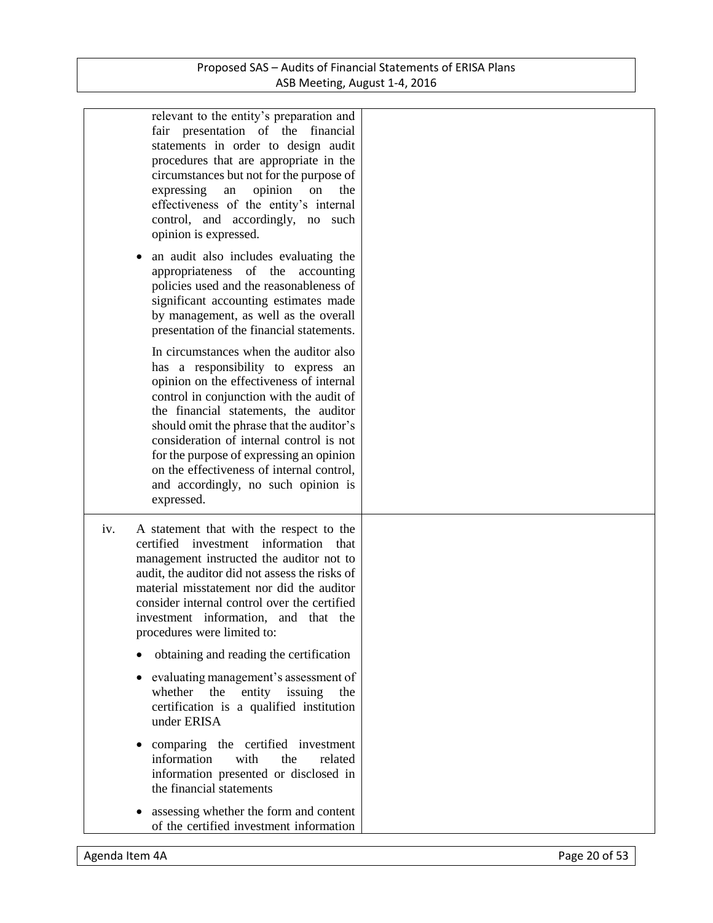| relevant to the entity's preparation and<br>fair presentation of the financial<br>statements in order to design audit<br>procedures that are appropriate in the<br>circumstances but not for the purpose of<br>expressing<br>opinion<br>an<br>on<br>the<br>effectiveness of the entity's internal<br>control, and accordingly, no such<br>opinion is expressed.                                                                                      |  |
|------------------------------------------------------------------------------------------------------------------------------------------------------------------------------------------------------------------------------------------------------------------------------------------------------------------------------------------------------------------------------------------------------------------------------------------------------|--|
| an audit also includes evaluating the<br>appropriateness of the accounting<br>policies used and the reasonableness of<br>significant accounting estimates made<br>by management, as well as the overall<br>presentation of the financial statements.                                                                                                                                                                                                 |  |
| In circumstances when the auditor also<br>has a responsibility to express an<br>opinion on the effectiveness of internal<br>control in conjunction with the audit of<br>the financial statements, the auditor<br>should omit the phrase that the auditor's<br>consideration of internal control is not<br>for the purpose of expressing an opinion<br>on the effectiveness of internal control,<br>and accordingly, no such opinion is<br>expressed. |  |
| iv.<br>A statement that with the respect to the<br>certified investment information that<br>management instructed the auditor not to<br>audit, the auditor did not assess the risks of<br>material misstatement nor did the auditor<br>consider internal control over the certified<br>investment information, and that the<br>procedures were limited to:                                                                                           |  |
| obtaining and reading the certification                                                                                                                                                                                                                                                                                                                                                                                                              |  |
| evaluating management's assessment of<br>٠<br>whether the<br>entity issuing<br>the<br>certification is a qualified institution<br>under ERISA                                                                                                                                                                                                                                                                                                        |  |
| comparing the certified investment<br>information<br>with<br>the<br>related<br>information presented or disclosed in<br>the financial statements                                                                                                                                                                                                                                                                                                     |  |
| assessing whether the form and content<br>of the certified investment information                                                                                                                                                                                                                                                                                                                                                                    |  |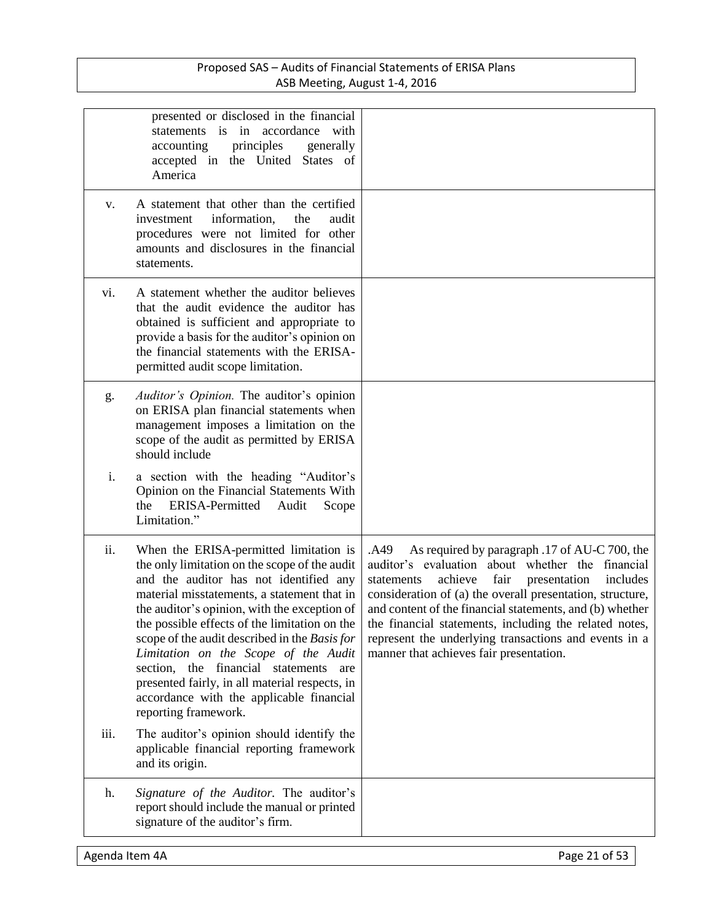|             | presented or disclosed in the financial<br>statements is in accordance<br>with<br>generally<br>accounting<br>principles<br>accepted in the United States of<br>America                                                                                                                                                                                                                                                                                                                                                                                                                    |                                                                                                                                                                                                                                                                                                                                                                                                                                                               |
|-------------|-------------------------------------------------------------------------------------------------------------------------------------------------------------------------------------------------------------------------------------------------------------------------------------------------------------------------------------------------------------------------------------------------------------------------------------------------------------------------------------------------------------------------------------------------------------------------------------------|---------------------------------------------------------------------------------------------------------------------------------------------------------------------------------------------------------------------------------------------------------------------------------------------------------------------------------------------------------------------------------------------------------------------------------------------------------------|
| V.          | A statement that other than the certified<br>information,<br>investment<br>the<br>audit<br>procedures were not limited for other<br>amounts and disclosures in the financial<br>statements.                                                                                                                                                                                                                                                                                                                                                                                               |                                                                                                                                                                                                                                                                                                                                                                                                                                                               |
| vi.         | A statement whether the auditor believes<br>that the audit evidence the auditor has<br>obtained is sufficient and appropriate to<br>provide a basis for the auditor's opinion on<br>the financial statements with the ERISA-<br>permitted audit scope limitation.                                                                                                                                                                                                                                                                                                                         |                                                                                                                                                                                                                                                                                                                                                                                                                                                               |
| g.          | Auditor's Opinion. The auditor's opinion<br>on ERISA plan financial statements when<br>management imposes a limitation on the<br>scope of the audit as permitted by ERISA<br>should include                                                                                                                                                                                                                                                                                                                                                                                               |                                                                                                                                                                                                                                                                                                                                                                                                                                                               |
| i.          | a section with the heading "Auditor's<br>Opinion on the Financial Statements With<br>ERISA-Permitted<br>the<br>Audit<br>Scope<br>Limitation."                                                                                                                                                                                                                                                                                                                                                                                                                                             |                                                                                                                                                                                                                                                                                                                                                                                                                                                               |
| ii.<br>iii. | When the ERISA-permitted limitation is<br>the only limitation on the scope of the audit<br>and the auditor has not identified any<br>material misstatements, a statement that in<br>the auditor's opinion, with the exception of<br>the possible effects of the limitation on the<br>scope of the audit described in the Basis for<br>Limitation on the Scope of the Audit<br>section, the financial statements<br>are<br>presented fairly, in all material respects, in<br>accordance with the applicable financial<br>reporting framework.<br>The auditor's opinion should identify the | As required by paragraph .17 of AU-C 700, the<br>.A49<br>auditor's evaluation about whether the financial<br>achieve<br>fair<br>presentation<br>includes<br>statements<br>consideration of (a) the overall presentation, structure,<br>and content of the financial statements, and (b) whether<br>the financial statements, including the related notes,<br>represent the underlying transactions and events in a<br>manner that achieves fair presentation. |
|             | applicable financial reporting framework<br>and its origin.                                                                                                                                                                                                                                                                                                                                                                                                                                                                                                                               |                                                                                                                                                                                                                                                                                                                                                                                                                                                               |
| h.          | Signature of the Auditor. The auditor's<br>report should include the manual or printed<br>signature of the auditor's firm.                                                                                                                                                                                                                                                                                                                                                                                                                                                                |                                                                                                                                                                                                                                                                                                                                                                                                                                                               |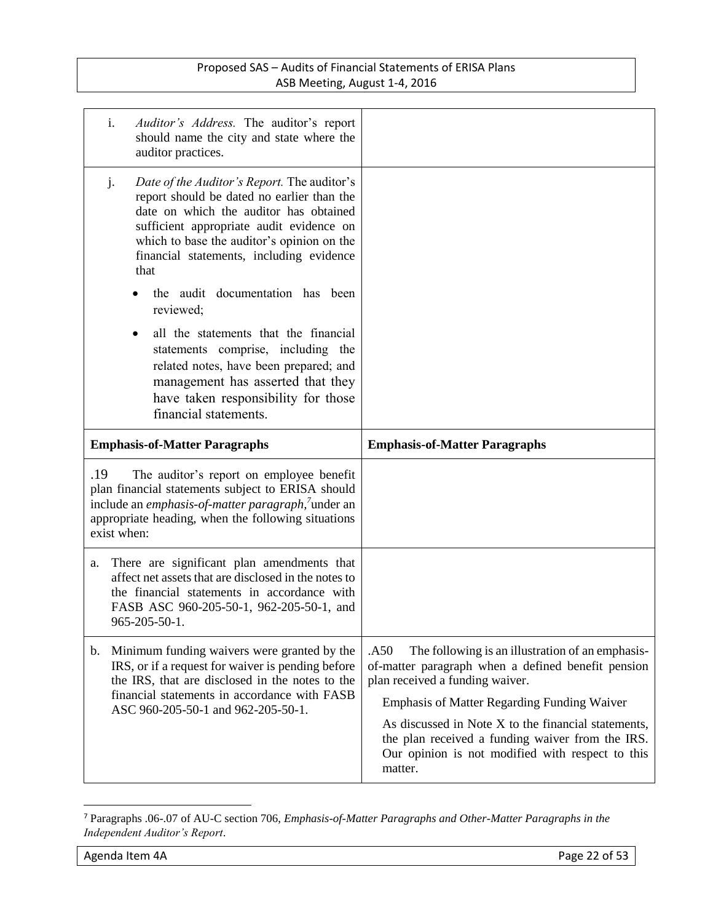|     | Auditor's Address. The auditor's report<br>i.<br>should name the city and state where the<br>auditor practices.                                                                                                                                                                                     |                                                                                                                                                                                                                                                                                                                                                                                   |
|-----|-----------------------------------------------------------------------------------------------------------------------------------------------------------------------------------------------------------------------------------------------------------------------------------------------------|-----------------------------------------------------------------------------------------------------------------------------------------------------------------------------------------------------------------------------------------------------------------------------------------------------------------------------------------------------------------------------------|
|     | Date of the Auditor's Report. The auditor's<br>j <sub>r</sub><br>report should be dated no earlier than the<br>date on which the auditor has obtained<br>sufficient appropriate audit evidence on<br>which to base the auditor's opinion on the<br>financial statements, including evidence<br>that |                                                                                                                                                                                                                                                                                                                                                                                   |
|     | the audit documentation has been<br>reviewed;                                                                                                                                                                                                                                                       |                                                                                                                                                                                                                                                                                                                                                                                   |
|     | all the statements that the financial<br>$\bullet$<br>statements comprise, including the<br>related notes, have been prepared; and<br>management has asserted that they<br>have taken responsibility for those<br>financial statements.                                                             |                                                                                                                                                                                                                                                                                                                                                                                   |
|     | <b>Emphasis-of-Matter Paragraphs</b>                                                                                                                                                                                                                                                                | <b>Emphasis-of-Matter Paragraphs</b>                                                                                                                                                                                                                                                                                                                                              |
| .19 | The auditor's report on employee benefit<br>plan financial statements subject to ERISA should<br>include an <i>emphasis-of-matter paragraph</i> , <sup>7</sup> under an<br>appropriate heading, when the following situations<br>exist when:                                                        |                                                                                                                                                                                                                                                                                                                                                                                   |
| a.  | There are significant plan amendments that<br>affect net assets that are disclosed in the notes to<br>the financial statements in accordance with<br>FASB ASC 960-205-50-1, 962-205-50-1, and<br>965-205-50-1.                                                                                      |                                                                                                                                                                                                                                                                                                                                                                                   |
| b.  | Minimum funding waivers were granted by the<br>IRS, or if a request for waiver is pending before<br>the IRS, that are disclosed in the notes to the<br>financial statements in accordance with FASB<br>ASC 960-205-50-1 and 962-205-50-1.                                                           | .A50<br>The following is an illustration of an emphasis-<br>of-matter paragraph when a defined benefit pension<br>plan received a funding waiver.<br><b>Emphasis of Matter Regarding Funding Waiver</b><br>As discussed in Note X to the financial statements,<br>the plan received a funding waiver from the IRS.<br>Our opinion is not modified with respect to this<br>matter. |

l <sup>7</sup> Paragraphs .06-.07 of AU-C section 706, *Emphasis-of-Matter Paragraphs and Other-Matter Paragraphs in the Independent Auditor's Report*.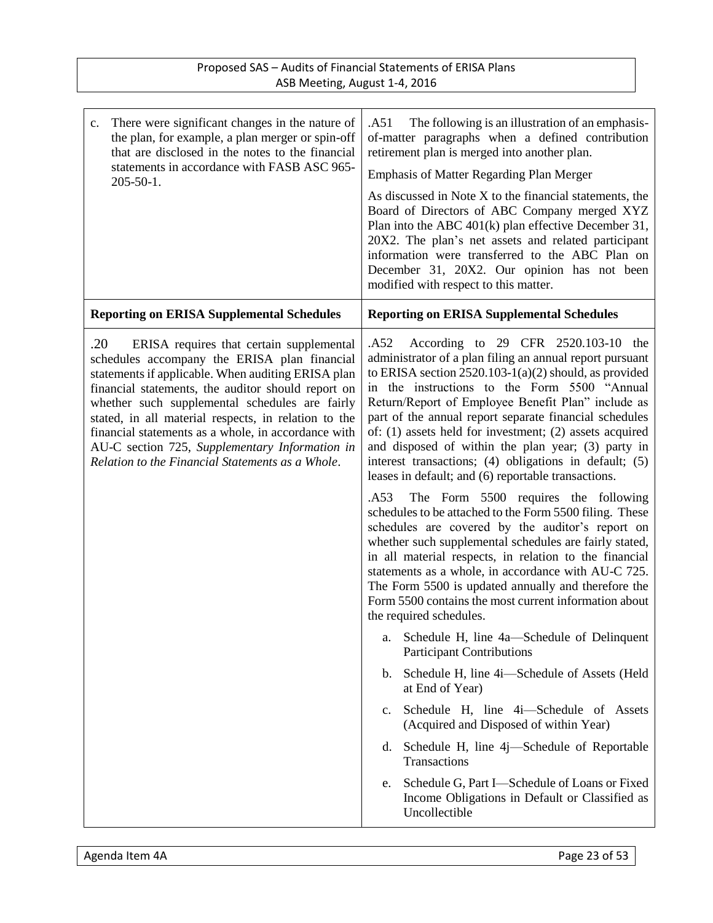<span id="page-22-0"></span>

| There were significant changes in the nature of<br>c.<br>the plan, for example, a plan merger or spin-off<br>that are disclosed in the notes to the financial<br>statements in accordance with FASB ASC 965-<br>$205 - 50 - 1$ .                                                                                                                                                                                                                                                   | The following is an illustration of an emphasis-<br>.A51<br>of-matter paragraphs when a defined contribution<br>retirement plan is merged into another plan.<br><b>Emphasis of Matter Regarding Plan Merger</b><br>As discussed in Note X to the financial statements, the<br>Board of Directors of ABC Company merged XYZ<br>Plan into the ABC 401(k) plan effective December 31,<br>20X2. The plan's net assets and related participant<br>information were transferred to the ABC Plan on<br>December 31, 20X2. Our opinion has not been<br>modified with respect to this matter. |
|------------------------------------------------------------------------------------------------------------------------------------------------------------------------------------------------------------------------------------------------------------------------------------------------------------------------------------------------------------------------------------------------------------------------------------------------------------------------------------|--------------------------------------------------------------------------------------------------------------------------------------------------------------------------------------------------------------------------------------------------------------------------------------------------------------------------------------------------------------------------------------------------------------------------------------------------------------------------------------------------------------------------------------------------------------------------------------|
| <b>Reporting on ERISA Supplemental Schedules</b>                                                                                                                                                                                                                                                                                                                                                                                                                                   | <b>Reporting on ERISA Supplemental Schedules</b>                                                                                                                                                                                                                                                                                                                                                                                                                                                                                                                                     |
| .20<br>ERISA requires that certain supplemental<br>schedules accompany the ERISA plan financial<br>statements if applicable. When auditing ERISA plan<br>financial statements, the auditor should report on<br>whether such supplemental schedules are fairly<br>stated, in all material respects, in relation to the<br>financial statements as a whole, in accordance with<br>AU-C section 725, Supplementary Information in<br>Relation to the Financial Statements as a Whole. | .A52<br>According to 29 CFR 2520.103-10 the<br>administrator of a plan filing an annual report pursuant<br>to ERISA section $2520.103-1(a)(2)$ should, as provided<br>in the instructions to the Form 5500 "Annual<br>Return/Report of Employee Benefit Plan" include as<br>part of the annual report separate financial schedules<br>of: (1) assets held for investment; (2) assets acquired<br>and disposed of within the plan year; (3) party in<br>interest transactions; (4) obligations in default; (5)<br>leases in default; and (6) reportable transactions.                 |
|                                                                                                                                                                                                                                                                                                                                                                                                                                                                                    | The Form 5500 requires the following<br>.A53<br>schedules to be attached to the Form 5500 filing. These<br>schedules are covered by the auditor's report on<br>whether such supplemental schedules are fairly stated,<br>in all material respects, in relation to the financial<br>statements as a whole, in accordance with AU-C 725.<br>The Form 5500 is updated annually and therefore the<br>Form 5500 contains the most current information about<br>the required schedules.                                                                                                    |
|                                                                                                                                                                                                                                                                                                                                                                                                                                                                                    | Schedule H, line 4a—Schedule of Delinquent<br>a.<br><b>Participant Contributions</b>                                                                                                                                                                                                                                                                                                                                                                                                                                                                                                 |
|                                                                                                                                                                                                                                                                                                                                                                                                                                                                                    | Schedule H, line 4i—Schedule of Assets (Held<br>$\mathbf{b}$ .<br>at End of Year)                                                                                                                                                                                                                                                                                                                                                                                                                                                                                                    |
|                                                                                                                                                                                                                                                                                                                                                                                                                                                                                    | Schedule H, line 4i—Schedule of Assets<br>$\mathbf{c}$ .<br>(Acquired and Disposed of within Year)                                                                                                                                                                                                                                                                                                                                                                                                                                                                                   |
|                                                                                                                                                                                                                                                                                                                                                                                                                                                                                    | Schedule H, line 4j—Schedule of Reportable<br>d.<br>Transactions                                                                                                                                                                                                                                                                                                                                                                                                                                                                                                                     |
|                                                                                                                                                                                                                                                                                                                                                                                                                                                                                    | Schedule G, Part I-Schedule of Loans or Fixed<br>e.<br>Income Obligations in Default or Classified as<br>Uncollectible                                                                                                                                                                                                                                                                                                                                                                                                                                                               |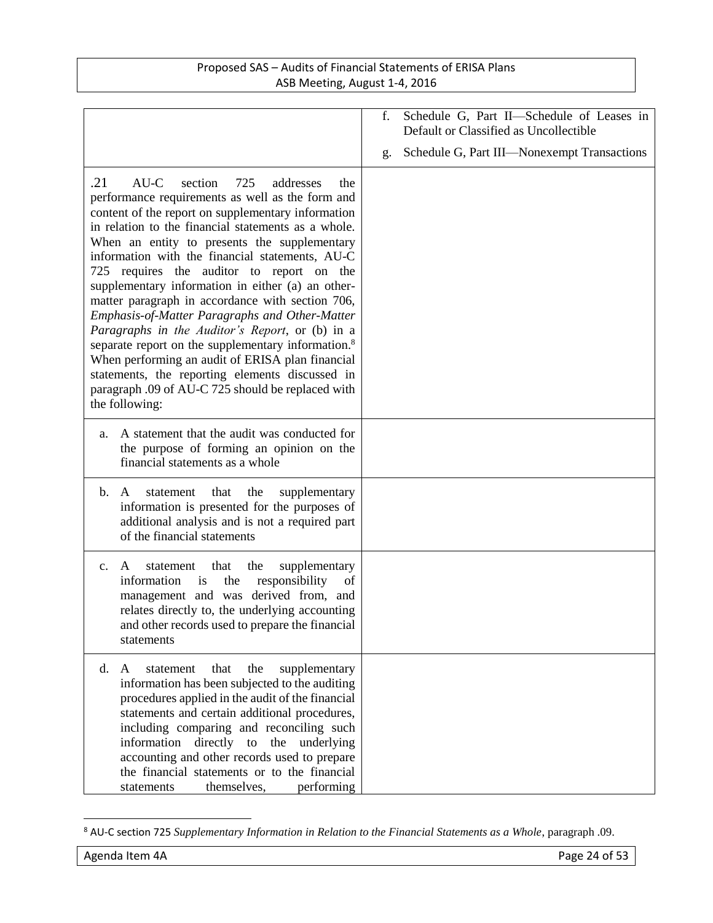<span id="page-23-0"></span>

|                                                                                                                                                                                                                                                                                                                                                                                                                                                                                                                                                                                                                                                                                                                                                                                                                                    | Schedule G, Part II-Schedule of Leases in<br>f.<br>Default or Classified as Uncollectible |
|------------------------------------------------------------------------------------------------------------------------------------------------------------------------------------------------------------------------------------------------------------------------------------------------------------------------------------------------------------------------------------------------------------------------------------------------------------------------------------------------------------------------------------------------------------------------------------------------------------------------------------------------------------------------------------------------------------------------------------------------------------------------------------------------------------------------------------|-------------------------------------------------------------------------------------------|
|                                                                                                                                                                                                                                                                                                                                                                                                                                                                                                                                                                                                                                                                                                                                                                                                                                    | Schedule G, Part III-Nonexempt Transactions<br>g.                                         |
| $AU-C$<br>.21<br>section<br>725<br>addresses<br>the<br>performance requirements as well as the form and<br>content of the report on supplementary information<br>in relation to the financial statements as a whole.<br>When an entity to presents the supplementary<br>information with the financial statements, AU-C<br>725 requires the auditor to report on the<br>supplementary information in either (a) an other-<br>matter paragraph in accordance with section 706,<br>Emphasis-of-Matter Paragraphs and Other-Matter<br>Paragraphs in the Auditor's Report, or (b) in a<br>separate report on the supplementary information. <sup>8</sup><br>When performing an audit of ERISA plan financial<br>statements, the reporting elements discussed in<br>paragraph .09 of AU-C 725 should be replaced with<br>the following: |                                                                                           |
| A statement that the audit was conducted for<br>a.<br>the purpose of forming an opinion on the<br>financial statements as a whole                                                                                                                                                                                                                                                                                                                                                                                                                                                                                                                                                                                                                                                                                                  |                                                                                           |
| the<br>b.<br>A<br>that<br>supplementary<br>statement<br>information is presented for the purposes of<br>additional analysis and is not a required part<br>of the financial statements                                                                                                                                                                                                                                                                                                                                                                                                                                                                                                                                                                                                                                              |                                                                                           |
| supplementary<br>A<br>that<br>the<br>statement<br>c.<br>the<br>information<br>responsibility<br>is<br>of<br>management and was derived from, and<br>relates directly to, the underlying accounting<br>and other records used to prepare the financial<br>statements                                                                                                                                                                                                                                                                                                                                                                                                                                                                                                                                                                |                                                                                           |
| that<br>the<br>supplementary<br>d.<br>statement<br>A<br>information has been subjected to the auditing<br>procedures applied in the audit of the financial<br>statements and certain additional procedures,<br>including comparing and reconciling such<br>information directly to the underlying<br>accounting and other records used to prepare<br>the financial statements or to the financial<br>themselves,<br>performing<br>statements                                                                                                                                                                                                                                                                                                                                                                                       |                                                                                           |

<sup>8</sup> AU-C section 725 *Supplementary Information in Relation to the Financial Statements as a Whole*, paragraph .09.

 $\overline{\phantom{a}}$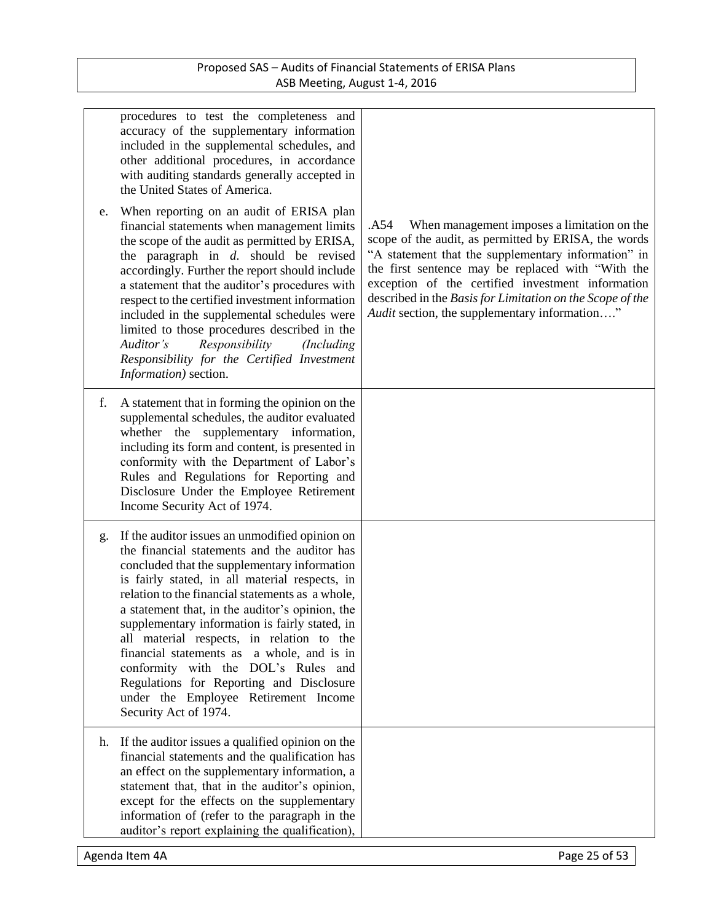| e. | procedures to test the completeness and<br>accuracy of the supplementary information<br>included in the supplemental schedules, and<br>other additional procedures, in accordance<br>with auditing standards generally accepted in<br>the United States of America.<br>When reporting on an audit of ERISA plan<br>financial statements when management limits<br>the scope of the audit as permitted by ERISA,<br>the paragraph in $d$ . should be revised<br>accordingly. Further the report should include<br>a statement that the auditor's procedures with<br>respect to the certified investment information<br>included in the supplemental schedules were<br>limited to those procedures described in the<br>Responsibility<br>Auditor's<br>(Including)<br>Responsibility for the Certified Investment<br>Information) section. | When management imposes a limitation on the<br>.A54<br>scope of the audit, as permitted by ERISA, the words<br>"A statement that the supplementary information" in<br>the first sentence may be replaced with "With the<br>exception of the certified investment information<br>described in the Basis for Limitation on the Scope of the<br>Audit section, the supplementary information" |
|----|-----------------------------------------------------------------------------------------------------------------------------------------------------------------------------------------------------------------------------------------------------------------------------------------------------------------------------------------------------------------------------------------------------------------------------------------------------------------------------------------------------------------------------------------------------------------------------------------------------------------------------------------------------------------------------------------------------------------------------------------------------------------------------------------------------------------------------------------|--------------------------------------------------------------------------------------------------------------------------------------------------------------------------------------------------------------------------------------------------------------------------------------------------------------------------------------------------------------------------------------------|
| f. | A statement that in forming the opinion on the<br>supplemental schedules, the auditor evaluated<br>whether the supplementary information,<br>including its form and content, is presented in<br>conformity with the Department of Labor's<br>Rules and Regulations for Reporting and<br>Disclosure Under the Employee Retirement<br>Income Security Act of 1974.                                                                                                                                                                                                                                                                                                                                                                                                                                                                        |                                                                                                                                                                                                                                                                                                                                                                                            |
| g. | If the auditor issues an unmodified opinion on<br>the financial statements and the auditor has<br>concluded that the supplementary information<br>is fairly stated, in all material respects, in<br>relation to the financial statements as a whole,<br>a statement that, in the auditor's opinion, the<br>supplementary information is fairly stated, in<br>all material respects, in relation to the<br>financial statements as a whole, and is in<br>conformity with the DOL's Rules and<br>Regulations for Reporting and Disclosure<br>under the Employee Retirement Income<br>Security Act of 1974.                                                                                                                                                                                                                                |                                                                                                                                                                                                                                                                                                                                                                                            |
| h. | If the auditor issues a qualified opinion on the<br>financial statements and the qualification has<br>an effect on the supplementary information, a<br>statement that, that in the auditor's opinion,<br>except for the effects on the supplementary<br>information of (refer to the paragraph in the<br>auditor's report explaining the qualification),                                                                                                                                                                                                                                                                                                                                                                                                                                                                                |                                                                                                                                                                                                                                                                                                                                                                                            |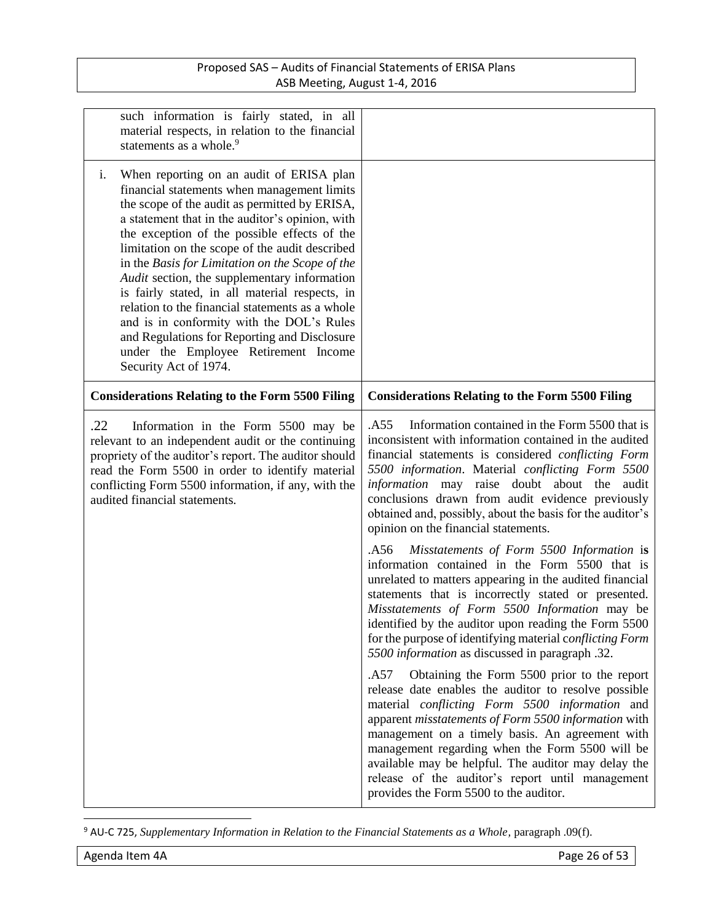| such information is fairly stated, in all<br>material respects, in relation to the financial<br>statements as a whole. <sup>9</sup>                                                                                                                                                                                                                                                                                                                                                                                                                                                                                                                                       |                                                                                                                                                                                                                                                                                                                                                                                                                                                                                                                                                                                                                                                                                                                                                                                                                                                                                                                                                                                                                                                                                                                                                                                                                                                                                                                                                                                    |
|---------------------------------------------------------------------------------------------------------------------------------------------------------------------------------------------------------------------------------------------------------------------------------------------------------------------------------------------------------------------------------------------------------------------------------------------------------------------------------------------------------------------------------------------------------------------------------------------------------------------------------------------------------------------------|------------------------------------------------------------------------------------------------------------------------------------------------------------------------------------------------------------------------------------------------------------------------------------------------------------------------------------------------------------------------------------------------------------------------------------------------------------------------------------------------------------------------------------------------------------------------------------------------------------------------------------------------------------------------------------------------------------------------------------------------------------------------------------------------------------------------------------------------------------------------------------------------------------------------------------------------------------------------------------------------------------------------------------------------------------------------------------------------------------------------------------------------------------------------------------------------------------------------------------------------------------------------------------------------------------------------------------------------------------------------------------|
| When reporting on an audit of ERISA plan<br>i.<br>financial statements when management limits<br>the scope of the audit as permitted by ERISA,<br>a statement that in the auditor's opinion, with<br>the exception of the possible effects of the<br>limitation on the scope of the audit described<br>in the Basis for Limitation on the Scope of the<br>Audit section, the supplementary information<br>is fairly stated, in all material respects, in<br>relation to the financial statements as a whole<br>and is in conformity with the DOL's Rules<br>and Regulations for Reporting and Disclosure<br>under the Employee Retirement Income<br>Security Act of 1974. |                                                                                                                                                                                                                                                                                                                                                                                                                                                                                                                                                                                                                                                                                                                                                                                                                                                                                                                                                                                                                                                                                                                                                                                                                                                                                                                                                                                    |
| <b>Considerations Relating to the Form 5500 Filing</b>                                                                                                                                                                                                                                                                                                                                                                                                                                                                                                                                                                                                                    | <b>Considerations Relating to the Form 5500 Filing</b>                                                                                                                                                                                                                                                                                                                                                                                                                                                                                                                                                                                                                                                                                                                                                                                                                                                                                                                                                                                                                                                                                                                                                                                                                                                                                                                             |
| .22<br>Information in the Form 5500 may be<br>relevant to an independent audit or the continuing<br>propriety of the auditor's report. The auditor should<br>read the Form 5500 in order to identify material<br>conflicting Form 5500 information, if any, with the<br>audited financial statements.                                                                                                                                                                                                                                                                                                                                                                     | Information contained in the Form 5500 that is<br>.A55<br>inconsistent with information contained in the audited<br>financial statements is considered conflicting Form<br>5500 information. Material conflicting Form 5500<br><i>information</i> may raise doubt about the<br>audit<br>conclusions drawn from audit evidence previously<br>obtained and, possibly, about the basis for the auditor's<br>opinion on the financial statements.<br>Misstatements of Form 5500 Information is<br>.A56<br>information contained in the Form 5500 that is<br>unrelated to matters appearing in the audited financial<br>statements that is incorrectly stated or presented.<br>Misstatements of Form 5500 Information may be<br>identified by the auditor upon reading the Form 5500<br>for the purpose of identifying material conflicting Form<br>5500 information as discussed in paragraph .32.<br>Obtaining the Form 5500 prior to the report<br>.A57<br>release date enables the auditor to resolve possible<br>material conflicting Form 5500 information and<br>apparent misstatements of Form 5500 information with<br>management on a timely basis. An agreement with<br>management regarding when the Form 5500 will be<br>available may be helpful. The auditor may delay the<br>release of the auditor's report until management<br>provides the Form 5500 to the auditor. |

<sup>9</sup> AU-C 725, *Supplementary Information in Relation to the Financial Statements as a Whole*, paragraph .09(f).

<span id="page-25-0"></span> $\overline{\phantom{a}}$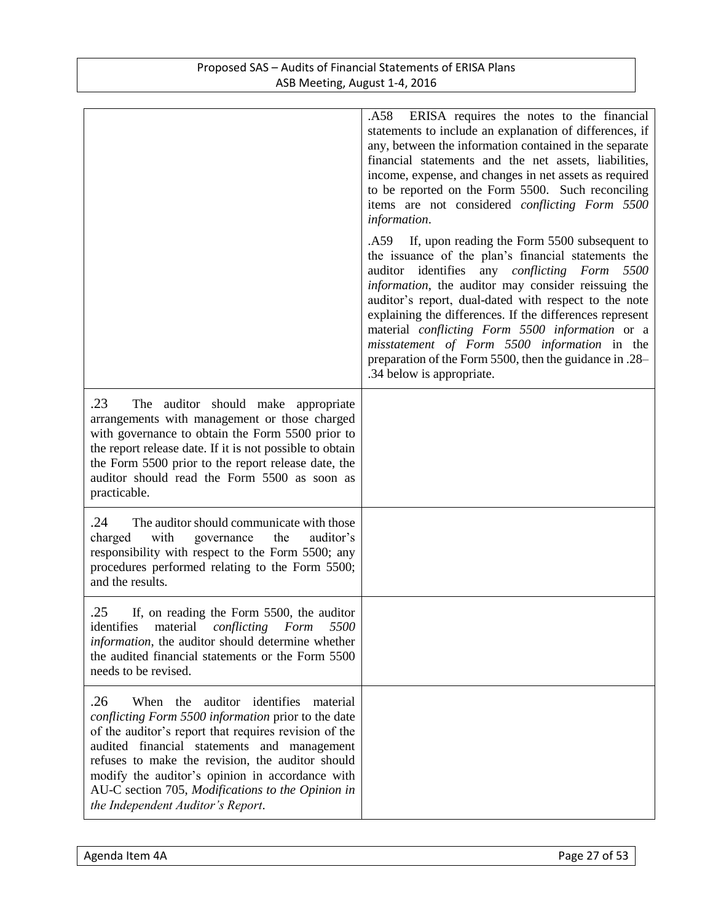|                                                                                                                                                                                                                                                                                                                                                                                                                         | ERISA requires the notes to the financial<br>.A58<br>statements to include an explanation of differences, if<br>any, between the information contained in the separate<br>financial statements and the net assets, liabilities,<br>income, expense, and changes in net assets as required<br>to be reported on the Form 5500. Such reconciling<br>items are not considered conflicting Form 5500<br>information.                                                                                                                   |
|-------------------------------------------------------------------------------------------------------------------------------------------------------------------------------------------------------------------------------------------------------------------------------------------------------------------------------------------------------------------------------------------------------------------------|------------------------------------------------------------------------------------------------------------------------------------------------------------------------------------------------------------------------------------------------------------------------------------------------------------------------------------------------------------------------------------------------------------------------------------------------------------------------------------------------------------------------------------|
|                                                                                                                                                                                                                                                                                                                                                                                                                         | If, upon reading the Form 5500 subsequent to<br>.A59<br>the issuance of the plan's financial statements the<br>auditor identifies any conflicting Form 5500<br>information, the auditor may consider reissuing the<br>auditor's report, dual-dated with respect to the note<br>explaining the differences. If the differences represent<br>material conflicting Form 5500 information or a<br>misstatement of Form 5500 information in the<br>preparation of the Form 5500, then the guidance in .28–<br>.34 below is appropriate. |
| .23<br>The auditor should make appropriate<br>arrangements with management or those charged<br>with governance to obtain the Form 5500 prior to<br>the report release date. If it is not possible to obtain<br>the Form 5500 prior to the report release date, the<br>auditor should read the Form 5500 as soon as<br>practicable.                                                                                      |                                                                                                                                                                                                                                                                                                                                                                                                                                                                                                                                    |
| The auditor should communicate with those<br>.24<br>with<br>the<br>auditor's<br>charged<br>governance<br>responsibility with respect to the Form 5500; any<br>procedures performed relating to the Form 5500;<br>and the results.                                                                                                                                                                                       |                                                                                                                                                                                                                                                                                                                                                                                                                                                                                                                                    |
| .25<br>If, on reading the Form 5500, the auditor<br>identifies material conflicting Form 5500<br>information, the auditor should determine whether<br>the audited financial statements or the Form 5500<br>needs to be revised.                                                                                                                                                                                         |                                                                                                                                                                                                                                                                                                                                                                                                                                                                                                                                    |
| .26<br>auditor<br>identifies<br>When<br>the<br>material<br>conflicting Form 5500 information prior to the date<br>of the auditor's report that requires revision of the<br>audited financial statements and management<br>refuses to make the revision, the auditor should<br>modify the auditor's opinion in accordance with<br>AU-C section 705, Modifications to the Opinion in<br>the Independent Auditor's Report. |                                                                                                                                                                                                                                                                                                                                                                                                                                                                                                                                    |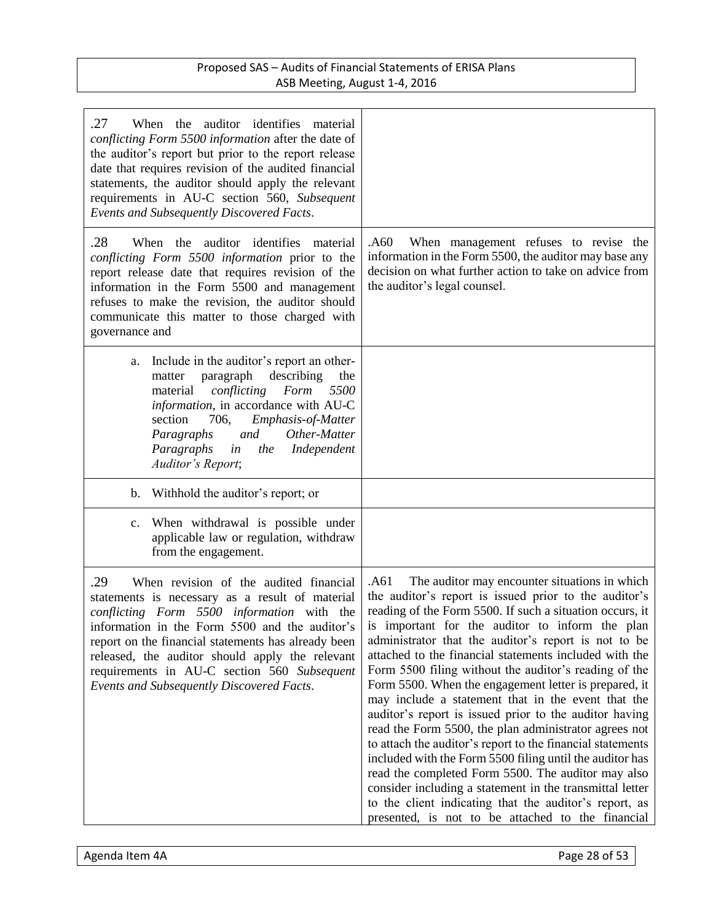<span id="page-27-0"></span>

| .27<br>auditor identifies material<br>When<br>the<br>conflicting Form 5500 information after the date of<br>the auditor's report but prior to the report release<br>date that requires revision of the audited financial<br>statements, the auditor should apply the relevant<br>requirements in AU-C section 560, Subsequent<br>Events and Subsequently Discovered Facts.                             |                                                                                                                                                                                                                                                                                                                                                                                                                                                                                                                                                                                                                                                                                                                                                                                                                                                                                                                                                                                                       |
|--------------------------------------------------------------------------------------------------------------------------------------------------------------------------------------------------------------------------------------------------------------------------------------------------------------------------------------------------------------------------------------------------------|-------------------------------------------------------------------------------------------------------------------------------------------------------------------------------------------------------------------------------------------------------------------------------------------------------------------------------------------------------------------------------------------------------------------------------------------------------------------------------------------------------------------------------------------------------------------------------------------------------------------------------------------------------------------------------------------------------------------------------------------------------------------------------------------------------------------------------------------------------------------------------------------------------------------------------------------------------------------------------------------------------|
| .28<br>When the<br>auditor identifies<br>material<br>conflicting Form 5500 information prior to the<br>report release date that requires revision of the<br>information in the Form 5500 and management<br>refuses to make the revision, the auditor should<br>communicate this matter to those charged with<br>governance and                                                                         | .A60<br>When management refuses to revise the<br>information in the Form 5500, the auditor may base any<br>decision on what further action to take on advice from<br>the auditor's legal counsel.                                                                                                                                                                                                                                                                                                                                                                                                                                                                                                                                                                                                                                                                                                                                                                                                     |
| Include in the auditor's report an other-<br>a.<br>describing<br>paragraph<br>matter<br>the<br>conflicting<br>5500<br>material<br>Form<br>information, in accordance with AU-C<br>section<br>706,<br><b>Emphasis-of-Matter</b><br>and<br>Other-Matter<br>Paragraphs<br>Paragraphs<br>the<br>Independent<br>in<br>Auditor's Report;                                                                     |                                                                                                                                                                                                                                                                                                                                                                                                                                                                                                                                                                                                                                                                                                                                                                                                                                                                                                                                                                                                       |
| Withhold the auditor's report; or<br>b.                                                                                                                                                                                                                                                                                                                                                                |                                                                                                                                                                                                                                                                                                                                                                                                                                                                                                                                                                                                                                                                                                                                                                                                                                                                                                                                                                                                       |
| When withdrawal is possible under<br>$\mathbf{c}$ .<br>applicable law or regulation, withdraw<br>from the engagement.                                                                                                                                                                                                                                                                                  |                                                                                                                                                                                                                                                                                                                                                                                                                                                                                                                                                                                                                                                                                                                                                                                                                                                                                                                                                                                                       |
| .29<br>When revision of the audited financial<br>statements is necessary as a result of material<br>conflicting Form 5500 information with the<br>information in the Form 5500 and the auditor's<br>report on the financial statements has already been<br>released, the auditor should apply the relevant<br>requirements in AU-C section 560 Subsequent<br>Events and Subsequently Discovered Facts. | The auditor may encounter situations in which<br>.A61<br>the auditor's report is issued prior to the auditor's<br>reading of the Form 5500. If such a situation occurs, it<br>is important for the auditor to inform the plan<br>administrator that the auditor's report is not to be<br>attached to the financial statements included with the<br>Form 5500 filing without the auditor's reading of the<br>Form 5500. When the engagement letter is prepared, it<br>may include a statement that in the event that the<br>auditor's report is issued prior to the auditor having<br>read the Form 5500, the plan administrator agrees not<br>to attach the auditor's report to the financial statements<br>included with the Form 5500 filing until the auditor has<br>read the completed Form 5500. The auditor may also<br>consider including a statement in the transmittal letter<br>to the client indicating that the auditor's report, as<br>presented, is not to be attached to the financial |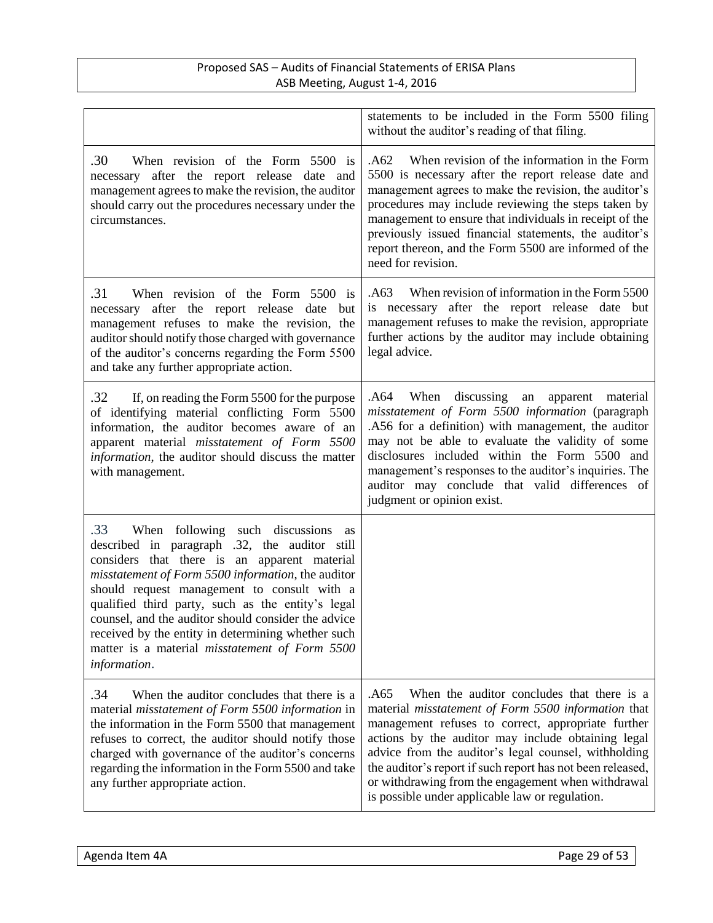<span id="page-28-1"></span><span id="page-28-0"></span>

|                                                                                                                                                                                                                                                                                                                                                                                                                                                                                        | statements to be included in the Form 5500 filing<br>without the auditor's reading of that filing.                                                                                                                                                                                                                                                                                                                                                          |
|----------------------------------------------------------------------------------------------------------------------------------------------------------------------------------------------------------------------------------------------------------------------------------------------------------------------------------------------------------------------------------------------------------------------------------------------------------------------------------------|-------------------------------------------------------------------------------------------------------------------------------------------------------------------------------------------------------------------------------------------------------------------------------------------------------------------------------------------------------------------------------------------------------------------------------------------------------------|
| .30<br>When revision of the Form 5500 is<br>after the report release date and<br>necessary<br>management agrees to make the revision, the auditor<br>should carry out the procedures necessary under the<br>circumstances.                                                                                                                                                                                                                                                             | When revision of the information in the Form<br>.A62<br>5500 is necessary after the report release date and<br>management agrees to make the revision, the auditor's<br>procedures may include reviewing the steps taken by<br>management to ensure that individuals in receipt of the<br>previously issued financial statements, the auditor's<br>report thereon, and the Form 5500 are informed of the<br>need for revision.                              |
| .31<br>When revision of the Form 5500 is<br>necessary after the report release date but<br>management refuses to make the revision, the<br>auditor should notify those charged with governance<br>of the auditor's concerns regarding the Form 5500<br>and take any further appropriate action.                                                                                                                                                                                        | When revision of information in the Form 5500<br>.A63<br>is necessary after the report release date but<br>management refuses to make the revision, appropriate<br>further actions by the auditor may include obtaining<br>legal advice.                                                                                                                                                                                                                    |
| .32<br>If, on reading the Form 5500 for the purpose<br>of identifying material conflicting Form 5500<br>information, the auditor becomes aware of an<br>apparent material misstatement of Form 5500<br>information, the auditor should discuss the matter<br>with management.                                                                                                                                                                                                          | .A64<br>When discussing an apparent material<br>misstatement of Form 5500 information (paragraph<br>.A56 for a definition) with management, the auditor<br>may not be able to evaluate the validity of some<br>disclosures included within the Form 5500 and<br>management's responses to the auditor's inquiries. The<br>auditor may conclude that valid differences of<br>judgment or opinion exist.                                                      |
| .33<br>When following such discussions<br>as<br>described in paragraph .32, the auditor still<br>considers that there is an apparent material<br>misstatement of Form 5500 information, the auditor<br>should request management to consult with a<br>qualified third party, such as the entity's legal<br>counsel, and the auditor should consider the advice<br>received by the entity in determining whether such<br>matter is a material misstatement of Form 5500<br>information. |                                                                                                                                                                                                                                                                                                                                                                                                                                                             |
| .34<br>When the auditor concludes that there is a<br>material <i>misstatement of Form 5500 information</i> in<br>the information in the Form 5500 that management<br>refuses to correct, the auditor should notify those<br>charged with governance of the auditor's concerns<br>regarding the information in the Form 5500 and take<br>any further appropriate action.                                                                                                                | When the auditor concludes that there is a<br>.A65<br>material <i>misstatement of Form 5500 information</i> that<br>management refuses to correct, appropriate further<br>actions by the auditor may include obtaining legal<br>advice from the auditor's legal counsel, withholding<br>the auditor's report if such report has not been released,<br>or withdrawing from the engagement when withdrawal<br>is possible under applicable law or regulation. |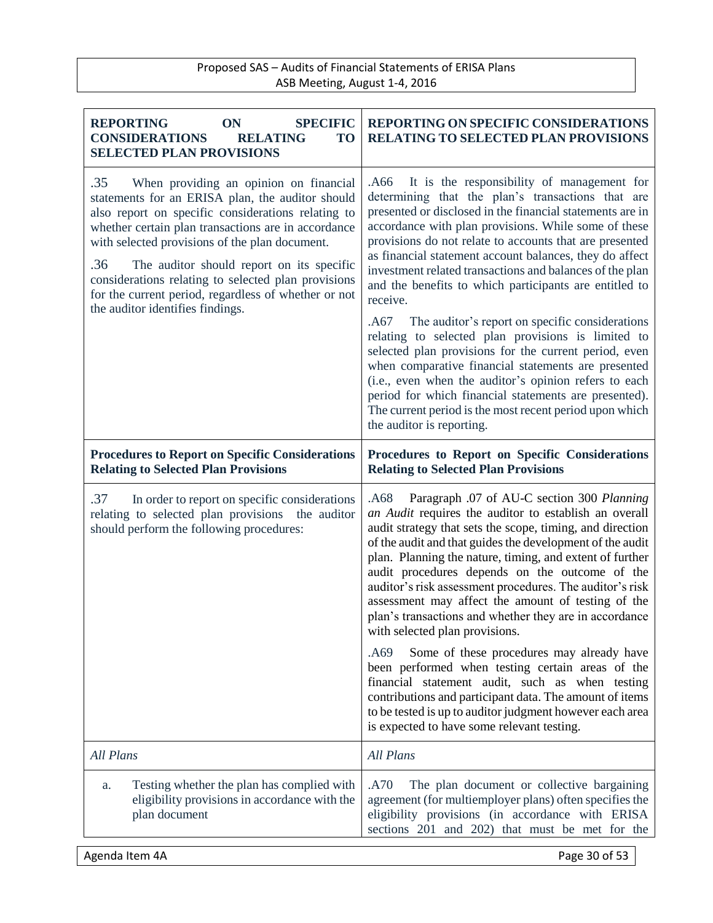<span id="page-29-0"></span>

| <b>SPECIFIC</b><br><b>REPORTING</b><br><b>ON</b><br><b>TO</b><br><b>CONSIDERATIONS</b><br><b>RELATING</b><br><b>SELECTED PLAN PROVISIONS</b>                                                                                                                                                                                                                                                                                                                            | REPORTING ON SPECIFIC CONSIDERATIONS<br><b>RELATING TO SELECTED PLAN PROVISIONS</b>                                                                                                                                                                                                                                                                                                                                                                                                                                                                                                                                                                                                                                                                                                                                                                                                                                             |
|-------------------------------------------------------------------------------------------------------------------------------------------------------------------------------------------------------------------------------------------------------------------------------------------------------------------------------------------------------------------------------------------------------------------------------------------------------------------------|---------------------------------------------------------------------------------------------------------------------------------------------------------------------------------------------------------------------------------------------------------------------------------------------------------------------------------------------------------------------------------------------------------------------------------------------------------------------------------------------------------------------------------------------------------------------------------------------------------------------------------------------------------------------------------------------------------------------------------------------------------------------------------------------------------------------------------------------------------------------------------------------------------------------------------|
| .35<br>When providing an opinion on financial<br>statements for an ERISA plan, the auditor should<br>also report on specific considerations relating to<br>whether certain plan transactions are in accordance<br>with selected provisions of the plan document.<br>.36<br>The auditor should report on its specific<br>considerations relating to selected plan provisions<br>for the current period, regardless of whether or not<br>the auditor identifies findings. | It is the responsibility of management for<br>.A66<br>determining that the plan's transactions that are<br>presented or disclosed in the financial statements are in<br>accordance with plan provisions. While some of these<br>provisions do not relate to accounts that are presented<br>as financial statement account balances, they do affect<br>investment related transactions and balances of the plan<br>and the benefits to which participants are entitled to<br>receive.<br>.A67<br>The auditor's report on specific considerations<br>relating to selected plan provisions is limited to<br>selected plan provisions for the current period, even<br>when comparative financial statements are presented<br>(i.e., even when the auditor's opinion refers to each<br>period for which financial statements are presented).<br>The current period is the most recent period upon which<br>the auditor is reporting. |
| <b>Procedures to Report on Specific Considerations</b><br><b>Relating to Selected Plan Provisions</b>                                                                                                                                                                                                                                                                                                                                                                   | Procedures to Report on Specific Considerations<br><b>Relating to Selected Plan Provisions</b>                                                                                                                                                                                                                                                                                                                                                                                                                                                                                                                                                                                                                                                                                                                                                                                                                                  |
| .37<br>In order to report on specific considerations<br>relating to selected plan provisions<br>the auditor<br>should perform the following procedures:                                                                                                                                                                                                                                                                                                                 | Paragraph .07 of AU-C section 300 Planning<br>.A68<br>an Audit requires the auditor to establish an overall<br>audit strategy that sets the scope, timing, and direction<br>of the audit and that guides the development of the audit<br>plan. Planning the nature, timing, and extent of further<br>audit procedures depends on the outcome of the<br>auditor's risk assessment procedures. The auditor's risk<br>assessment may affect the amount of testing of the<br>plan's transactions and whether they are in accordance<br>with selected plan provisions.<br>Some of these procedures may already have<br>A69.<br>been performed when testing certain areas of the<br>financial statement audit, such as when testing<br>contributions and participant data. The amount of items<br>to be tested is up to auditor judgment however each area<br>is expected to have some relevant testing.                              |
| <b>All Plans</b>                                                                                                                                                                                                                                                                                                                                                                                                                                                        | <b>All Plans</b>                                                                                                                                                                                                                                                                                                                                                                                                                                                                                                                                                                                                                                                                                                                                                                                                                                                                                                                |
| Testing whether the plan has complied with<br>a.<br>eligibility provisions in accordance with the<br>plan document                                                                                                                                                                                                                                                                                                                                                      | The plan document or collective bargaining<br>.A70<br>agreement (for multiemployer plans) often specifies the<br>eligibility provisions (in accordance with ERISA<br>sections 201 and 202) that must be met for the                                                                                                                                                                                                                                                                                                                                                                                                                                                                                                                                                                                                                                                                                                             |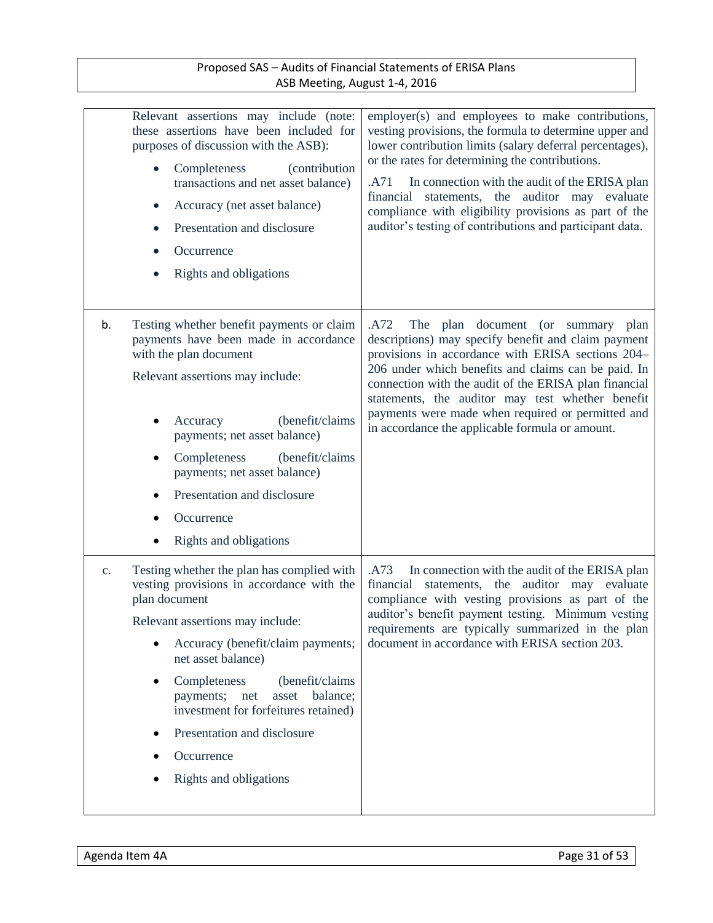|                                                                                                                                                                | Relevant assertions may include (note:<br>these assertions have been included for<br>purposes of discussion with the ASB):<br>Completeness<br><i>(contribution)</i><br>transactions and net asset balance)<br>Accuracy (net asset balance)<br>Presentation and disclosure<br>Occurrence<br>Rights and obligations | employer(s) and employees to make contributions,<br>vesting provisions, the formula to determine upper and<br>lower contribution limits (salary deferral percentages),<br>or the rates for determining the contributions.<br>.A71<br>In connection with the audit of the ERISA plan<br>financial statements, the auditor may evaluate<br>compliance with eligibility provisions as part of the<br>auditor's testing of contributions and participant data. |
|----------------------------------------------------------------------------------------------------------------------------------------------------------------|-------------------------------------------------------------------------------------------------------------------------------------------------------------------------------------------------------------------------------------------------------------------------------------------------------------------|------------------------------------------------------------------------------------------------------------------------------------------------------------------------------------------------------------------------------------------------------------------------------------------------------------------------------------------------------------------------------------------------------------------------------------------------------------|
|                                                                                                                                                                |                                                                                                                                                                                                                                                                                                                   |                                                                                                                                                                                                                                                                                                                                                                                                                                                            |
|                                                                                                                                                                |                                                                                                                                                                                                                                                                                                                   |                                                                                                                                                                                                                                                                                                                                                                                                                                                            |
|                                                                                                                                                                |                                                                                                                                                                                                                                                                                                                   |                                                                                                                                                                                                                                                                                                                                                                                                                                                            |
|                                                                                                                                                                |                                                                                                                                                                                                                                                                                                                   |                                                                                                                                                                                                                                                                                                                                                                                                                                                            |
|                                                                                                                                                                |                                                                                                                                                                                                                                                                                                                   |                                                                                                                                                                                                                                                                                                                                                                                                                                                            |
| Testing whether benefit payments or claim<br>.A72<br>b.<br>payments have been made in accordance<br>with the plan document<br>Relevant assertions may include: | The plan document (or summary plan<br>descriptions) may specify benefit and claim payment<br>provisions in accordance with ERISA sections 204-<br>206 under which benefits and claims can be paid. In                                                                                                             |                                                                                                                                                                                                                                                                                                                                                                                                                                                            |
|                                                                                                                                                                |                                                                                                                                                                                                                                                                                                                   | connection with the audit of the ERISA plan financial<br>statements, the auditor may test whether benefit                                                                                                                                                                                                                                                                                                                                                  |
|                                                                                                                                                                | Accuracy<br>(benefit/claims)<br>payments; net asset balance)                                                                                                                                                                                                                                                      | payments were made when required or permitted and<br>in accordance the applicable formula or amount.                                                                                                                                                                                                                                                                                                                                                       |
|                                                                                                                                                                | Completeness<br>(benefit/claims)<br>payments; net asset balance)                                                                                                                                                                                                                                                  |                                                                                                                                                                                                                                                                                                                                                                                                                                                            |
|                                                                                                                                                                | Presentation and disclosure                                                                                                                                                                                                                                                                                       |                                                                                                                                                                                                                                                                                                                                                                                                                                                            |
|                                                                                                                                                                | Occurrence                                                                                                                                                                                                                                                                                                        |                                                                                                                                                                                                                                                                                                                                                                                                                                                            |
|                                                                                                                                                                | Rights and obligations                                                                                                                                                                                                                                                                                            |                                                                                                                                                                                                                                                                                                                                                                                                                                                            |
|                                                                                                                                                                | Testing whether the plan has complied with<br>.A73<br>$C_{\star}$<br>vesting provisions in accordance with the                                                                                                                                                                                                    |                                                                                                                                                                                                                                                                                                                                                                                                                                                            |
|                                                                                                                                                                | plan document                                                                                                                                                                                                                                                                                                     | In connection with the audit of the ERISA plan<br>financial statements, the auditor may evaluate<br>compliance with vesting provisions as part of the                                                                                                                                                                                                                                                                                                      |
|                                                                                                                                                                | Relevant assertions may include:                                                                                                                                                                                                                                                                                  | auditor's benefit payment testing. Minimum vesting                                                                                                                                                                                                                                                                                                                                                                                                         |
|                                                                                                                                                                | Accuracy (benefit/claim payments;<br>$\bullet$<br>net asset balance)                                                                                                                                                                                                                                              | requirements are typically summarized in the plan<br>document in accordance with ERISA section 203.                                                                                                                                                                                                                                                                                                                                                        |
|                                                                                                                                                                | Completeness<br>(benefit/claims<br>٠<br>balance;<br>payments;<br>net<br>asset<br>investment for forfeitures retained)                                                                                                                                                                                             |                                                                                                                                                                                                                                                                                                                                                                                                                                                            |
|                                                                                                                                                                | Presentation and disclosure                                                                                                                                                                                                                                                                                       |                                                                                                                                                                                                                                                                                                                                                                                                                                                            |
|                                                                                                                                                                | Occurrence                                                                                                                                                                                                                                                                                                        |                                                                                                                                                                                                                                                                                                                                                                                                                                                            |
|                                                                                                                                                                | Rights and obligations                                                                                                                                                                                                                                                                                            |                                                                                                                                                                                                                                                                                                                                                                                                                                                            |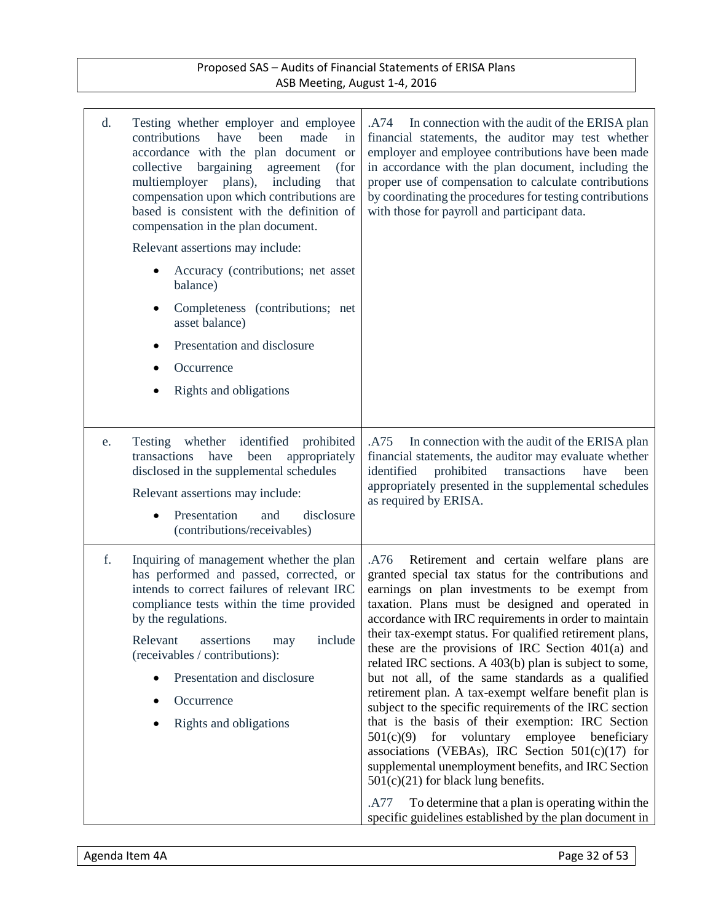| d. | Testing whether employer and employee<br>contributions<br>have<br>been<br>made<br>in<br>accordance with the plan document or<br>bargaining<br>collective<br>agreement<br>(for<br>multiemployer plans),<br>including<br>that<br>compensation upon which contributions are<br>based is consistent with the definition of<br>compensation in the plan document. | In connection with the audit of the ERISA plan<br>.A74<br>financial statements, the auditor may test whether<br>employer and employee contributions have been made<br>in accordance with the plan document, including the<br>proper use of compensation to calculate contributions<br>by coordinating the procedures for testing contributions<br>with those for payroll and participant data.                                                                                                                                                                                                                                                                                                                                                                                                                                                                                                                                                                |
|----|--------------------------------------------------------------------------------------------------------------------------------------------------------------------------------------------------------------------------------------------------------------------------------------------------------------------------------------------------------------|---------------------------------------------------------------------------------------------------------------------------------------------------------------------------------------------------------------------------------------------------------------------------------------------------------------------------------------------------------------------------------------------------------------------------------------------------------------------------------------------------------------------------------------------------------------------------------------------------------------------------------------------------------------------------------------------------------------------------------------------------------------------------------------------------------------------------------------------------------------------------------------------------------------------------------------------------------------|
|    | Relevant assertions may include:                                                                                                                                                                                                                                                                                                                             |                                                                                                                                                                                                                                                                                                                                                                                                                                                                                                                                                                                                                                                                                                                                                                                                                                                                                                                                                               |
|    | Accuracy (contributions; net asset<br>balance)                                                                                                                                                                                                                                                                                                               |                                                                                                                                                                                                                                                                                                                                                                                                                                                                                                                                                                                                                                                                                                                                                                                                                                                                                                                                                               |
|    | Completeness (contributions; net<br>٠<br>asset balance)                                                                                                                                                                                                                                                                                                      |                                                                                                                                                                                                                                                                                                                                                                                                                                                                                                                                                                                                                                                                                                                                                                                                                                                                                                                                                               |
|    | Presentation and disclosure                                                                                                                                                                                                                                                                                                                                  |                                                                                                                                                                                                                                                                                                                                                                                                                                                                                                                                                                                                                                                                                                                                                                                                                                                                                                                                                               |
|    | Occurrence                                                                                                                                                                                                                                                                                                                                                   |                                                                                                                                                                                                                                                                                                                                                                                                                                                                                                                                                                                                                                                                                                                                                                                                                                                                                                                                                               |
|    | Rights and obligations<br>٠                                                                                                                                                                                                                                                                                                                                  |                                                                                                                                                                                                                                                                                                                                                                                                                                                                                                                                                                                                                                                                                                                                                                                                                                                                                                                                                               |
|    |                                                                                                                                                                                                                                                                                                                                                              |                                                                                                                                                                                                                                                                                                                                                                                                                                                                                                                                                                                                                                                                                                                                                                                                                                                                                                                                                               |
| e. | Testing whether identified<br>prohibited<br>have<br>been<br>transactions<br>appropriately<br>disclosed in the supplemental schedules<br>Relevant assertions may include:<br>Presentation<br>disclosure<br>and<br>(contributions/receivables)                                                                                                                 | .A75<br>In connection with the audit of the ERISA plan<br>financial statements, the auditor may evaluate whether<br>identified<br>prohibited<br>transactions<br>have<br>been<br>appropriately presented in the supplemental schedules<br>as required by ERISA.                                                                                                                                                                                                                                                                                                                                                                                                                                                                                                                                                                                                                                                                                                |
| f. | Inquiring of management whether the plan<br>has performed and passed, corrected, or<br>intends to correct failures of relevant IRC<br>compliance tests within the time provided<br>by the regulations.<br>Relevant<br>include<br>assertions<br>may<br>(receivables / contributions):<br>Presentation and disclosure<br>Occurrence<br>Rights and obligations  | .A76<br>Retirement and certain welfare plans are<br>granted special tax status for the contributions and<br>earnings on plan investments to be exempt from<br>taxation. Plans must be designed and operated in<br>accordance with IRC requirements in order to maintain<br>their tax-exempt status. For qualified retirement plans,<br>these are the provisions of IRC Section 401(a) and<br>related IRC sections. A 403(b) plan is subject to some,<br>but not all, of the same standards as a qualified<br>retirement plan. A tax-exempt welfare benefit plan is<br>subject to the specific requirements of the IRC section<br>that is the basis of their exemption: IRC Section<br>for voluntary<br>employee<br>501(c)(9)<br>beneficiary<br>associations (VEBAs), IRC Section $501(c)(17)$ for<br>supplemental unemployment benefits, and IRC Section<br>$501(c)(21)$ for black lung benefits.<br>To determine that a plan is operating within the<br>.A77 |
|    |                                                                                                                                                                                                                                                                                                                                                              | specific guidelines established by the plan document in                                                                                                                                                                                                                                                                                                                                                                                                                                                                                                                                                                                                                                                                                                                                                                                                                                                                                                       |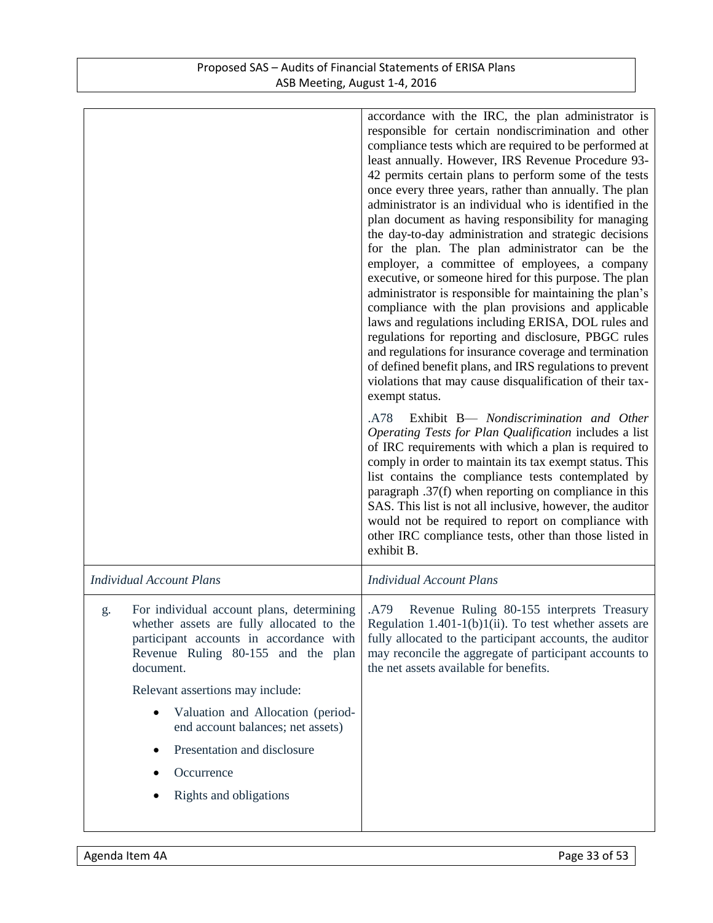|    |                                                                                                                                                                                                                          | accordance with the IRC, the plan administrator is<br>responsible for certain nondiscrimination and other<br>compliance tests which are required to be performed at<br>least annually. However, IRS Revenue Procedure 93-<br>42 permits certain plans to perform some of the tests<br>once every three years, rather than annually. The plan<br>administrator is an individual who is identified in the<br>plan document as having responsibility for managing<br>the day-to-day administration and strategic decisions<br>for the plan. The plan administrator can be the<br>employer, a committee of employees, a company<br>executive, or someone hired for this purpose. The plan<br>administrator is responsible for maintaining the plan's<br>compliance with the plan provisions and applicable<br>laws and regulations including ERISA, DOL rules and<br>regulations for reporting and disclosure, PBGC rules<br>and regulations for insurance coverage and termination<br>of defined benefit plans, and IRS regulations to prevent<br>violations that may cause disqualification of their tax-<br>exempt status.<br>Exhibit B- Nondiscrimination and Other<br>.A78<br>Operating Tests for Plan Qualification includes a list<br>of IRC requirements with which a plan is required to<br>comply in order to maintain its tax exempt status. This<br>list contains the compliance tests contemplated by<br>paragraph .37(f) when reporting on compliance in this<br>SAS. This list is not all inclusive, however, the auditor<br>would not be required to report on compliance with<br>other IRC compliance tests, other than those listed in<br>exhibit B. |
|----|--------------------------------------------------------------------------------------------------------------------------------------------------------------------------------------------------------------------------|--------------------------------------------------------------------------------------------------------------------------------------------------------------------------------------------------------------------------------------------------------------------------------------------------------------------------------------------------------------------------------------------------------------------------------------------------------------------------------------------------------------------------------------------------------------------------------------------------------------------------------------------------------------------------------------------------------------------------------------------------------------------------------------------------------------------------------------------------------------------------------------------------------------------------------------------------------------------------------------------------------------------------------------------------------------------------------------------------------------------------------------------------------------------------------------------------------------------------------------------------------------------------------------------------------------------------------------------------------------------------------------------------------------------------------------------------------------------------------------------------------------------------------------------------------------------------------------------------------------------------------------------------------------------|
|    | <b>Individual Account Plans</b>                                                                                                                                                                                          | <b>Individual Account Plans</b>                                                                                                                                                                                                                                                                                                                                                                                                                                                                                                                                                                                                                                                                                                                                                                                                                                                                                                                                                                                                                                                                                                                                                                                                                                                                                                                                                                                                                                                                                                                                                                                                                                    |
| g. | For individual account plans, determining<br>whether assets are fully allocated to the<br>participant accounts in accordance with<br>Revenue Ruling 80-155 and the plan<br>document.<br>Relevant assertions may include: | Revenue Ruling 80-155 interprets Treasury<br>.A79<br>Regulation 1.401-1(b)1(ii). To test whether assets are<br>fully allocated to the participant accounts, the auditor<br>may reconcile the aggregate of participant accounts to<br>the net assets available for benefits.                                                                                                                                                                                                                                                                                                                                                                                                                                                                                                                                                                                                                                                                                                                                                                                                                                                                                                                                                                                                                                                                                                                                                                                                                                                                                                                                                                                        |
|    | Valuation and Allocation (period-<br>$\bullet$                                                                                                                                                                           |                                                                                                                                                                                                                                                                                                                                                                                                                                                                                                                                                                                                                                                                                                                                                                                                                                                                                                                                                                                                                                                                                                                                                                                                                                                                                                                                                                                                                                                                                                                                                                                                                                                                    |
|    | end account balances; net assets)                                                                                                                                                                                        |                                                                                                                                                                                                                                                                                                                                                                                                                                                                                                                                                                                                                                                                                                                                                                                                                                                                                                                                                                                                                                                                                                                                                                                                                                                                                                                                                                                                                                                                                                                                                                                                                                                                    |
|    | Presentation and disclosure                                                                                                                                                                                              |                                                                                                                                                                                                                                                                                                                                                                                                                                                                                                                                                                                                                                                                                                                                                                                                                                                                                                                                                                                                                                                                                                                                                                                                                                                                                                                                                                                                                                                                                                                                                                                                                                                                    |
|    | Occurrence                                                                                                                                                                                                               |                                                                                                                                                                                                                                                                                                                                                                                                                                                                                                                                                                                                                                                                                                                                                                                                                                                                                                                                                                                                                                                                                                                                                                                                                                                                                                                                                                                                                                                                                                                                                                                                                                                                    |
|    | Rights and obligations                                                                                                                                                                                                   |                                                                                                                                                                                                                                                                                                                                                                                                                                                                                                                                                                                                                                                                                                                                                                                                                                                                                                                                                                                                                                                                                                                                                                                                                                                                                                                                                                                                                                                                                                                                                                                                                                                                    |
|    |                                                                                                                                                                                                                          |                                                                                                                                                                                                                                                                                                                                                                                                                                                                                                                                                                                                                                                                                                                                                                                                                                                                                                                                                                                                                                                                                                                                                                                                                                                                                                                                                                                                                                                                                                                                                                                                                                                                    |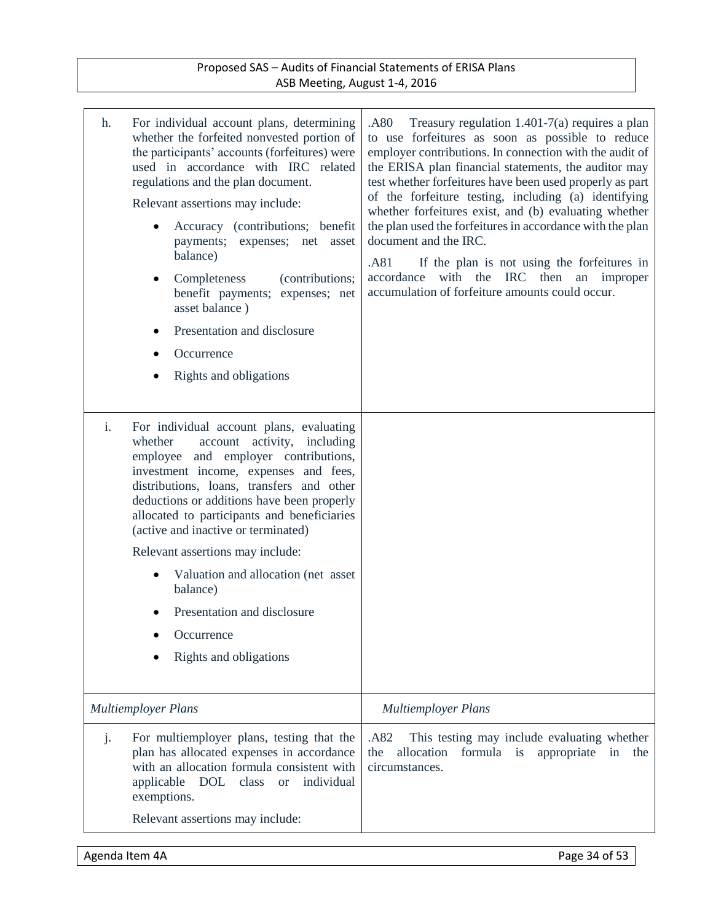| h. | For individual account plans, determining<br>whether the forfeited nonvested portion of<br>the participants' accounts (forfeitures) were<br>used in accordance with IRC related<br>regulations and the plan document.<br>Relevant assertions may include:<br>Accuracy (contributions; benefit<br>payments;<br>expenses; net asset<br>balance)<br>(contributions;<br>Completeness<br>$\bullet$<br>benefit payments; expenses; net<br>asset balance)<br>Presentation and disclosure<br>Occurrence<br>Rights and obligations<br>$\bullet$ | Treasury regulation $1.401-7(a)$ requires a plan<br>.A80<br>to use forfeitures as soon as possible to reduce<br>employer contributions. In connection with the audit of<br>the ERISA plan financial statements, the auditor may<br>test whether forfeitures have been used properly as part<br>of the forfeiture testing, including (a) identifying<br>whether forfeitures exist, and (b) evaluating whether<br>the plan used the forfeitures in accordance with the plan<br>document and the IRC.<br>.A81<br>If the plan is not using the forfeitures in<br>with<br>the<br><b>IRC</b><br>then<br>accordance<br>an<br>improper<br>accumulation of forfeiture amounts could occur. |
|----|----------------------------------------------------------------------------------------------------------------------------------------------------------------------------------------------------------------------------------------------------------------------------------------------------------------------------------------------------------------------------------------------------------------------------------------------------------------------------------------------------------------------------------------|-----------------------------------------------------------------------------------------------------------------------------------------------------------------------------------------------------------------------------------------------------------------------------------------------------------------------------------------------------------------------------------------------------------------------------------------------------------------------------------------------------------------------------------------------------------------------------------------------------------------------------------------------------------------------------------|
| i. | For individual account plans, evaluating<br>account activity, including<br>whether<br>employee and employer contributions,<br>investment income, expenses and fees,<br>distributions, loans, transfers and other<br>deductions or additions have been properly<br>allocated to participants and beneficiaries<br>(active and inactive or terminated)<br>Relevant assertions may include:<br>Valuation and allocation (net asset<br>balance)<br>Presentation and disclosure<br>Occurrence<br>Rights and obligations                     |                                                                                                                                                                                                                                                                                                                                                                                                                                                                                                                                                                                                                                                                                   |
|    | <b>Multiemployer Plans</b>                                                                                                                                                                                                                                                                                                                                                                                                                                                                                                             | <b>Multiemployer Plans</b>                                                                                                                                                                                                                                                                                                                                                                                                                                                                                                                                                                                                                                                        |
| j. | For multiemployer plans, testing that the<br>plan has allocated expenses in accordance<br>with an allocation formula consistent with<br>applicable DOL<br>class<br>individual<br><b>or</b><br>exemptions.<br>Relevant assertions may include:                                                                                                                                                                                                                                                                                          | .A82<br>This testing may include evaluating whether<br>formula is<br>allocation<br>appropriate<br>the<br>the<br>in<br>circumstances.                                                                                                                                                                                                                                                                                                                                                                                                                                                                                                                                              |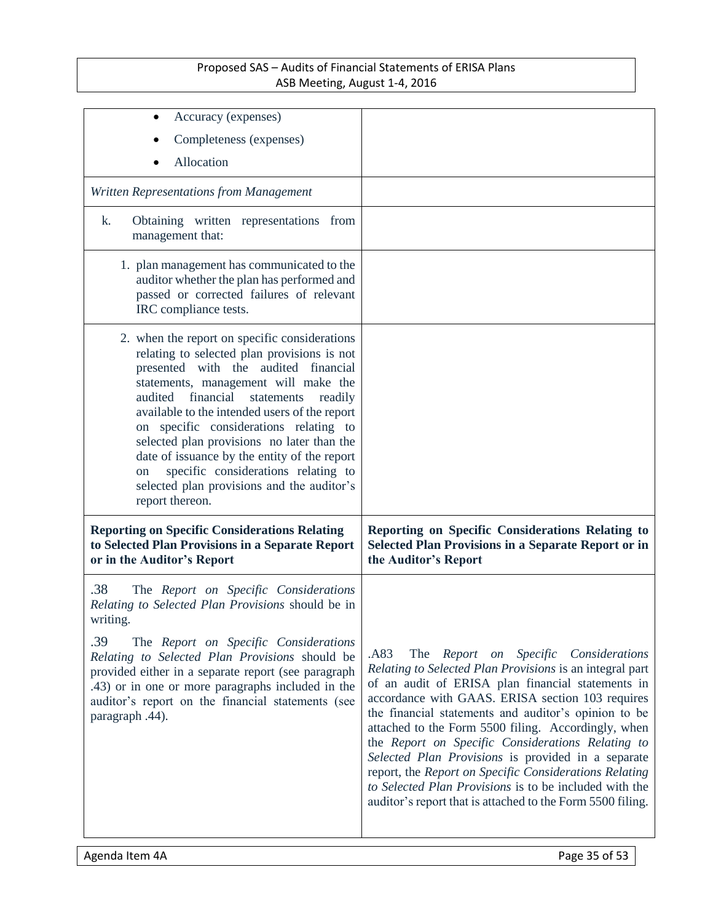| Accuracy (expenses)                                                                                                                                                                                                                                                                                                                                                                                                                                                                                                                  |                                                                                                                                                                                                                                                                                                                                                                                                                                                                                                                                                                  |
|--------------------------------------------------------------------------------------------------------------------------------------------------------------------------------------------------------------------------------------------------------------------------------------------------------------------------------------------------------------------------------------------------------------------------------------------------------------------------------------------------------------------------------------|------------------------------------------------------------------------------------------------------------------------------------------------------------------------------------------------------------------------------------------------------------------------------------------------------------------------------------------------------------------------------------------------------------------------------------------------------------------------------------------------------------------------------------------------------------------|
| Completeness (expenses)                                                                                                                                                                                                                                                                                                                                                                                                                                                                                                              |                                                                                                                                                                                                                                                                                                                                                                                                                                                                                                                                                                  |
|                                                                                                                                                                                                                                                                                                                                                                                                                                                                                                                                      |                                                                                                                                                                                                                                                                                                                                                                                                                                                                                                                                                                  |
| Allocation                                                                                                                                                                                                                                                                                                                                                                                                                                                                                                                           |                                                                                                                                                                                                                                                                                                                                                                                                                                                                                                                                                                  |
| Written Representations from Management                                                                                                                                                                                                                                                                                                                                                                                                                                                                                              |                                                                                                                                                                                                                                                                                                                                                                                                                                                                                                                                                                  |
| k.<br>Obtaining written representations from<br>management that:                                                                                                                                                                                                                                                                                                                                                                                                                                                                     |                                                                                                                                                                                                                                                                                                                                                                                                                                                                                                                                                                  |
| 1. plan management has communicated to the<br>auditor whether the plan has performed and<br>passed or corrected failures of relevant<br>IRC compliance tests.                                                                                                                                                                                                                                                                                                                                                                        |                                                                                                                                                                                                                                                                                                                                                                                                                                                                                                                                                                  |
| 2. when the report on specific considerations<br>relating to selected plan provisions is not<br>presented with the audited financial<br>statements, management will make the<br>financial<br>audited<br>statements<br>readily<br>available to the intended users of the report<br>on specific considerations relating to<br>selected plan provisions no later than the<br>date of issuance by the entity of the report<br>specific considerations relating to<br>on<br>selected plan provisions and the auditor's<br>report thereon. |                                                                                                                                                                                                                                                                                                                                                                                                                                                                                                                                                                  |
| <b>Reporting on Specific Considerations Relating</b><br>to Selected Plan Provisions in a Separate Report<br>or in the Auditor's Report                                                                                                                                                                                                                                                                                                                                                                                               | Reporting on Specific Considerations Relating to<br><b>Selected Plan Provisions in a Separate Report or in</b><br>the Auditor's Report                                                                                                                                                                                                                                                                                                                                                                                                                           |
| .38<br>The Report on Specific Considerations<br>Relating to Selected Plan Provisions should be in<br>writing.<br>.39<br>The Report on Specific Considerations<br>Relating to Selected Plan Provisions should be<br>provided either in a separate report (see paragraph<br>.43) or in one or more paragraphs included in the<br>auditor's report on the financial statements (see<br>paragraph .44).                                                                                                                                  | .A83<br>The Report on Specific Considerations<br>Relating to Selected Plan Provisions is an integral part<br>of an audit of ERISA plan financial statements in<br>accordance with GAAS. ERISA section 103 requires<br>the financial statements and auditor's opinion to be<br>attached to the Form 5500 filing. Accordingly, when<br>the Report on Specific Considerations Relating to<br>Selected Plan Provisions is provided in a separate<br>report, the Report on Specific Considerations Relating<br>to Selected Plan Provisions is to be included with the |
|                                                                                                                                                                                                                                                                                                                                                                                                                                                                                                                                      | auditor's report that is attached to the Form 5500 filing.                                                                                                                                                                                                                                                                                                                                                                                                                                                                                                       |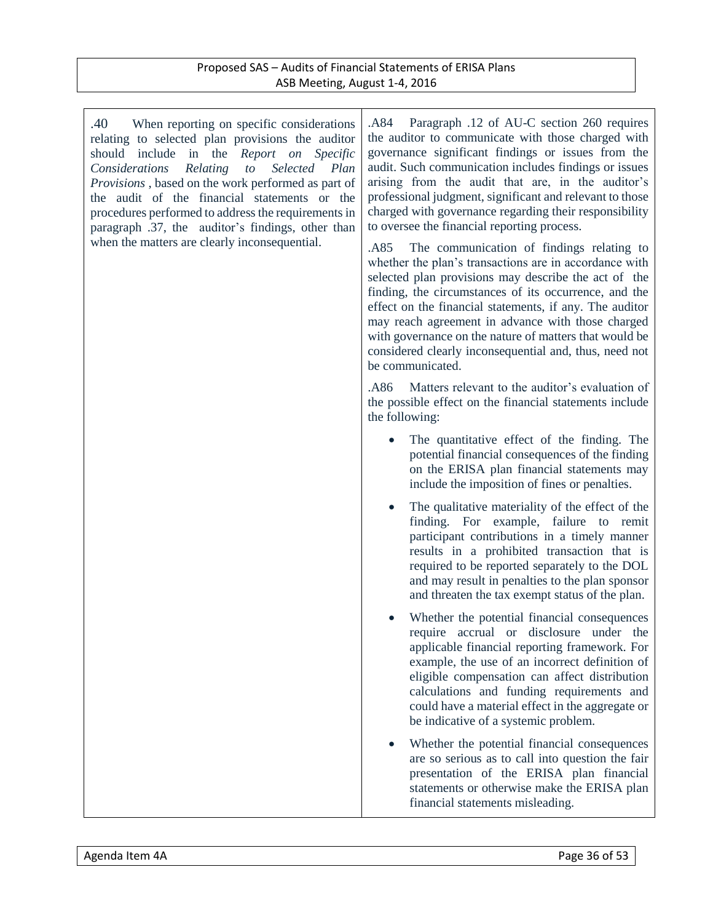| .40<br>When reporting on specific considerations<br>relating to selected plan provisions the auditor<br>should include in the Report on Specific<br>Considerations<br>Relating<br>Selected Plan<br>to<br>Provisions, based on the work performed as part of<br>the audit of the financial statements or the<br>procedures performed to address the requirements in<br>paragraph .37, the auditor's findings, other than | .A84 Paragraph .12 of AU-C section 260 requires<br>the auditor to communicate with those charged with<br>governance significant findings or issues from the<br>audit. Such communication includes findings or issues<br>arising from the audit that are, in the auditor's<br>professional judgment, significant and relevant to those<br>charged with governance regarding their responsibility<br>to oversee the financial reporting process.                                       |
|-------------------------------------------------------------------------------------------------------------------------------------------------------------------------------------------------------------------------------------------------------------------------------------------------------------------------------------------------------------------------------------------------------------------------|--------------------------------------------------------------------------------------------------------------------------------------------------------------------------------------------------------------------------------------------------------------------------------------------------------------------------------------------------------------------------------------------------------------------------------------------------------------------------------------|
| when the matters are clearly inconsequential.                                                                                                                                                                                                                                                                                                                                                                           | The communication of findings relating to<br>.A85<br>whether the plan's transactions are in accordance with<br>selected plan provisions may describe the act of the<br>finding, the circumstances of its occurrence, and the<br>effect on the financial statements, if any. The auditor<br>may reach agreement in advance with those charged<br>with governance on the nature of matters that would be<br>considered clearly inconsequential and, thus, need not<br>be communicated. |
|                                                                                                                                                                                                                                                                                                                                                                                                                         | Matters relevant to the auditor's evaluation of<br>.A86<br>the possible effect on the financial statements include<br>the following:                                                                                                                                                                                                                                                                                                                                                 |
|                                                                                                                                                                                                                                                                                                                                                                                                                         | The quantitative effect of the finding. The<br>potential financial consequences of the finding<br>on the ERISA plan financial statements may<br>include the imposition of fines or penalties.                                                                                                                                                                                                                                                                                        |
|                                                                                                                                                                                                                                                                                                                                                                                                                         | The qualitative materiality of the effect of the<br>finding. For example, failure to remit<br>participant contributions in a timely manner<br>results in a prohibited transaction that is<br>required to be reported separately to the DOL<br>and may result in penalties to the plan sponsor<br>and threaten the tax exempt status of the plan.                                                                                                                                     |
|                                                                                                                                                                                                                                                                                                                                                                                                                         | Whether the potential financial consequences<br>require accrual or disclosure under the<br>applicable financial reporting framework. For<br>example, the use of an incorrect definition of<br>eligible compensation can affect distribution<br>calculations and funding requirements and<br>could have a material effect in the aggregate or<br>be indicative of a systemic problem.                                                                                                 |
|                                                                                                                                                                                                                                                                                                                                                                                                                         | Whether the potential financial consequences<br>are so serious as to call into question the fair<br>presentation of the ERISA plan financial<br>statements or otherwise make the ERISA plan                                                                                                                                                                                                                                                                                          |

financial statements misleading.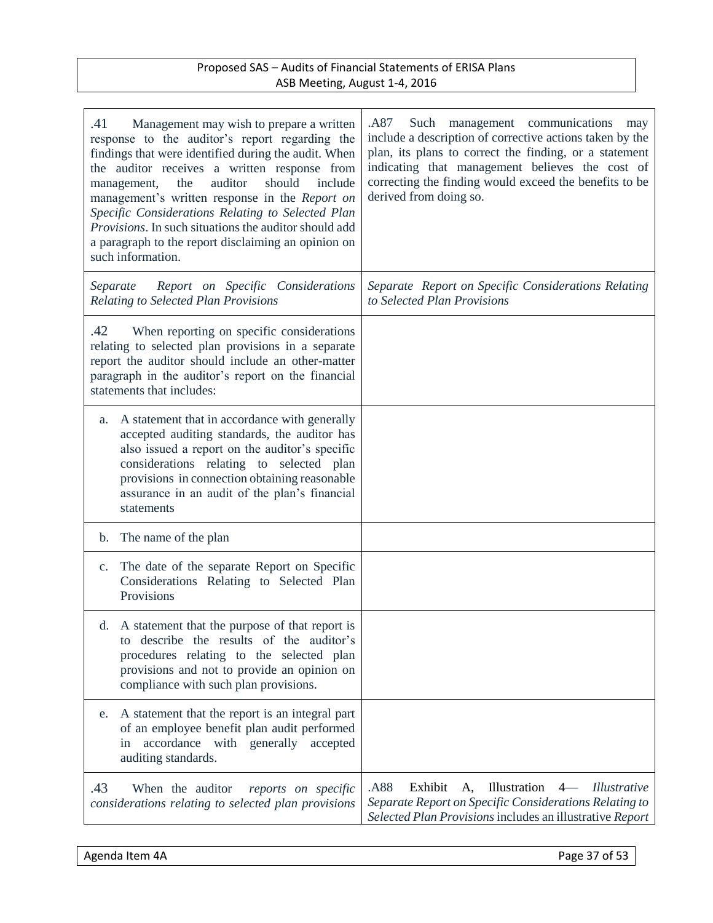<span id="page-36-0"></span>

| Management may wish to prepare a written<br>.41<br>response to the auditor's report regarding the<br>findings that were identified during the audit. When<br>the auditor receives a written response from<br>auditor<br>the<br>should<br>include<br>management,<br>management's written response in the Report on<br>Specific Considerations Relating to Selected Plan<br>Provisions. In such situations the auditor should add<br>a paragraph to the report disclaiming an opinion on<br>such information. | .A87<br>Such management communications<br>may<br>include a description of corrective actions taken by the<br>plan, its plans to correct the finding, or a statement<br>indicating that management believes the cost of<br>correcting the finding would exceed the benefits to be<br>derived from doing so. |
|-------------------------------------------------------------------------------------------------------------------------------------------------------------------------------------------------------------------------------------------------------------------------------------------------------------------------------------------------------------------------------------------------------------------------------------------------------------------------------------------------------------|------------------------------------------------------------------------------------------------------------------------------------------------------------------------------------------------------------------------------------------------------------------------------------------------------------|
| Report on Specific Considerations<br>Separate<br>Relating to Selected Plan Provisions                                                                                                                                                                                                                                                                                                                                                                                                                       | Separate Report on Specific Considerations Relating<br>to Selected Plan Provisions                                                                                                                                                                                                                         |
| .42<br>When reporting on specific considerations<br>relating to selected plan provisions in a separate<br>report the auditor should include an other-matter<br>paragraph in the auditor's report on the financial<br>statements that includes:                                                                                                                                                                                                                                                              |                                                                                                                                                                                                                                                                                                            |
| A statement that in accordance with generally<br>a.<br>accepted auditing standards, the auditor has<br>also issued a report on the auditor's specific<br>considerations relating to selected plan<br>provisions in connection obtaining reasonable<br>assurance in an audit of the plan's financial<br>statements                                                                                                                                                                                           |                                                                                                                                                                                                                                                                                                            |
| The name of the plan<br>$\mathbf{b}$ .                                                                                                                                                                                                                                                                                                                                                                                                                                                                      |                                                                                                                                                                                                                                                                                                            |
| The date of the separate Report on Specific<br>c.<br>Considerations Relating to Selected Plan<br>Provisions                                                                                                                                                                                                                                                                                                                                                                                                 |                                                                                                                                                                                                                                                                                                            |
| d. A statement that the purpose of that report is<br>to describe the results of the auditor's<br>procedures relating to the selected plan<br>provisions and not to provide an opinion on<br>compliance with such plan provisions.                                                                                                                                                                                                                                                                           |                                                                                                                                                                                                                                                                                                            |
| A statement that the report is an integral part<br>e.<br>of an employee benefit plan audit performed<br>accordance with generally accepted<br>in<br>auditing standards.                                                                                                                                                                                                                                                                                                                                     |                                                                                                                                                                                                                                                                                                            |
| .43<br>When the auditor<br>reports on specific<br>considerations relating to selected plan provisions                                                                                                                                                                                                                                                                                                                                                                                                       | .A88<br>Exhibit<br>Illustration<br><i>Illustrative</i><br>A,<br>$4-$<br>Separate Report on Specific Considerations Relating to<br>Selected Plan Provisions includes an illustrative Report                                                                                                                 |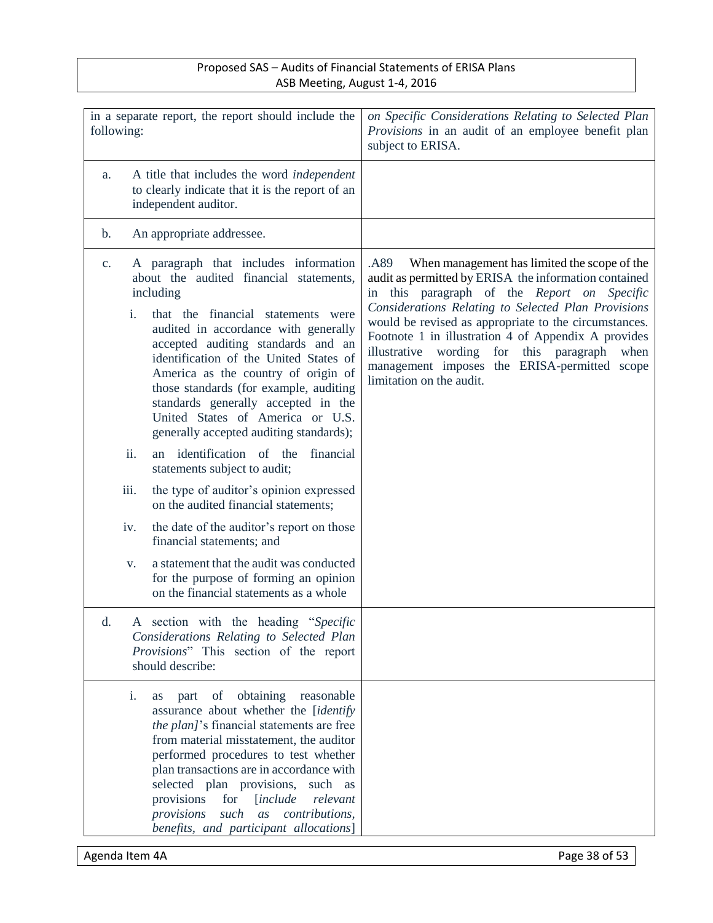| in a separate report, the report should include the<br>following:                                                                                                                                                                                                                                                                                                                                                                                   | on Specific Considerations Relating to Selected Plan<br>Provisions in an audit of an employee benefit plan<br>subject to ERISA.                                                                                                                                                                                                                                                                    |
|-----------------------------------------------------------------------------------------------------------------------------------------------------------------------------------------------------------------------------------------------------------------------------------------------------------------------------------------------------------------------------------------------------------------------------------------------------|----------------------------------------------------------------------------------------------------------------------------------------------------------------------------------------------------------------------------------------------------------------------------------------------------------------------------------------------------------------------------------------------------|
| A title that includes the word independent<br>a.<br>to clearly indicate that it is the report of an<br>independent auditor.                                                                                                                                                                                                                                                                                                                         |                                                                                                                                                                                                                                                                                                                                                                                                    |
| An appropriate addressee.<br>$\mathbf{b}$ .                                                                                                                                                                                                                                                                                                                                                                                                         |                                                                                                                                                                                                                                                                                                                                                                                                    |
| A paragraph that includes information<br>$\mathbf{c}$ .<br>about the audited financial statements,<br>including<br>i.<br>that the financial statements were<br>audited in accordance with generally<br>accepted auditing standards and an<br>identification of the United States of                                                                                                                                                                 | .A89<br>When management has limited the scope of the<br>audit as permitted by ERISA the information contained<br>in this paragraph of the Report on Specific<br>Considerations Relating to Selected Plan Provisions<br>would be revised as appropriate to the circumstances.<br>Footnote 1 in illustration 4 of Appendix A provides<br>wording<br>this<br>illustrative<br>for<br>when<br>paragraph |
| America as the country of origin of<br>those standards (for example, auditing<br>standards generally accepted in the<br>United States of America or U.S.<br>generally accepted auditing standards);                                                                                                                                                                                                                                                 | management imposes the ERISA-permitted scope<br>limitation on the audit.                                                                                                                                                                                                                                                                                                                           |
| ii.<br>an identification of the<br>statements subject to audit;                                                                                                                                                                                                                                                                                                                                                                                     | financial                                                                                                                                                                                                                                                                                                                                                                                          |
| iii.<br>the type of auditor's opinion expressed<br>on the audited financial statements;                                                                                                                                                                                                                                                                                                                                                             |                                                                                                                                                                                                                                                                                                                                                                                                    |
| the date of the auditor's report on those<br>iv.<br>financial statements; and                                                                                                                                                                                                                                                                                                                                                                       |                                                                                                                                                                                                                                                                                                                                                                                                    |
| a statement that the audit was conducted<br>V.<br>for the purpose of forming an opinion<br>on the financial statements as a whole                                                                                                                                                                                                                                                                                                                   |                                                                                                                                                                                                                                                                                                                                                                                                    |
| d. A section with the heading "Specific<br>Considerations Relating to Selected Plan<br>Provisions" This section of the report<br>should describe:                                                                                                                                                                                                                                                                                                   |                                                                                                                                                                                                                                                                                                                                                                                                    |
| obtaining<br>i.<br>of<br>reasonable<br>as<br>part<br>assurance about whether the [identify<br><i>the plan]</i> 's financial statements are free<br>from material misstatement, the auditor<br>performed procedures to test whether<br>plan transactions are in accordance with<br>selected plan provisions,<br>provisions<br>for<br>[include]<br>provisions<br>such<br>$\overline{a}$ s<br>contributions,<br>benefits, and participant allocations] | such as<br>relevant                                                                                                                                                                                                                                                                                                                                                                                |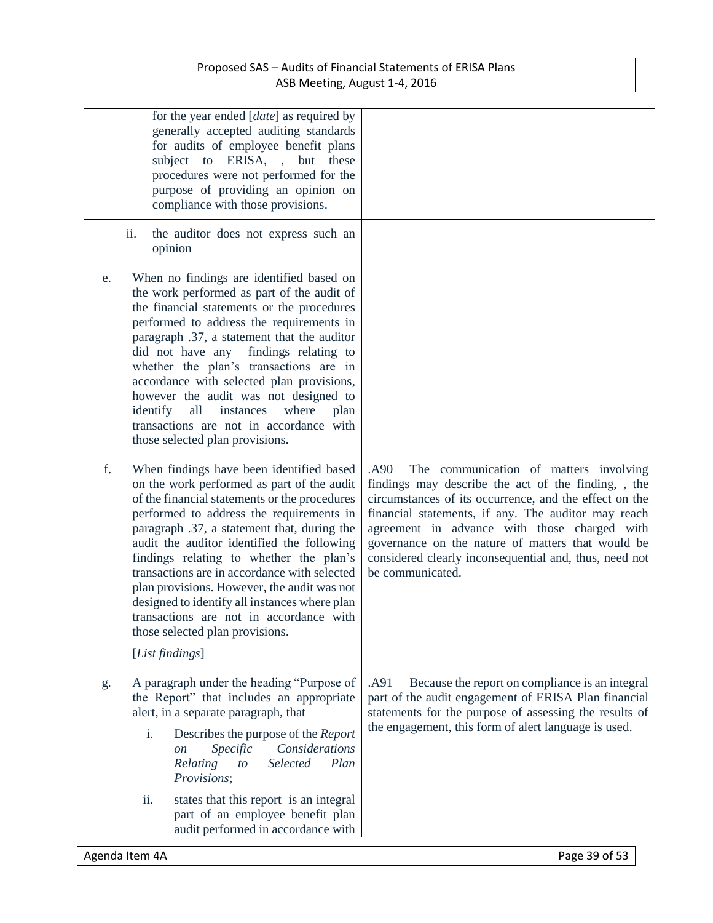|    | for the year ended [date] as required by<br>generally accepted auditing standards<br>for audits of employee benefit plans<br>subject to ERISA, , but<br>these<br>procedures were not performed for the<br>purpose of providing an opinion on<br>compliance with those provisions.<br>the auditor does not express such an<br>ii.<br>opinion                                                                                                                                                                                                                                  |                                                                                                                                                                                                                                                                                                                                                                                                           |
|----|------------------------------------------------------------------------------------------------------------------------------------------------------------------------------------------------------------------------------------------------------------------------------------------------------------------------------------------------------------------------------------------------------------------------------------------------------------------------------------------------------------------------------------------------------------------------------|-----------------------------------------------------------------------------------------------------------------------------------------------------------------------------------------------------------------------------------------------------------------------------------------------------------------------------------------------------------------------------------------------------------|
| e. | When no findings are identified based on<br>the work performed as part of the audit of<br>the financial statements or the procedures<br>performed to address the requirements in<br>paragraph .37, a statement that the auditor<br>did not have any<br>findings relating to<br>whether the plan's transactions are in<br>accordance with selected plan provisions,<br>however the audit was not designed to<br>identify<br>all<br>instances<br>where<br>plan<br>transactions are not in accordance with<br>those selected plan provisions.                                   |                                                                                                                                                                                                                                                                                                                                                                                                           |
| f. | When findings have been identified based<br>on the work performed as part of the audit<br>of the financial statements or the procedures<br>performed to address the requirements in<br>paragraph .37, a statement that, during the<br>audit the auditor identified the following<br>findings relating to whether the plan's<br>transactions are in accordance with selected<br>plan provisions. However, the audit was not<br>designed to identify all instances where plan<br>transactions are not in accordance with<br>those selected plan provisions.<br>[List findings] | .A90<br>The communication of matters involving<br>findings may describe the act of the finding, , the<br>circumstances of its occurrence, and the effect on the<br>financial statements, if any. The auditor may reach<br>agreement in advance with those charged with<br>governance on the nature of matters that would be<br>considered clearly inconsequential and, thus, need not<br>be communicated. |
| g. | A paragraph under the heading "Purpose of<br>the Report" that includes an appropriate<br>alert, in a separate paragraph, that<br>i.<br>Describes the purpose of the Report<br>Considerations<br>Specific<br><i>on</i><br>Relating<br>Selected<br>Plan<br>to<br>Provisions;<br>ii.<br>states that this report is an integral<br>part of an employee benefit plan<br>audit performed in accordance with                                                                                                                                                                        | .A91<br>Because the report on compliance is an integral<br>part of the audit engagement of ERISA Plan financial<br>statements for the purpose of assessing the results of<br>the engagement, this form of alert language is used.                                                                                                                                                                         |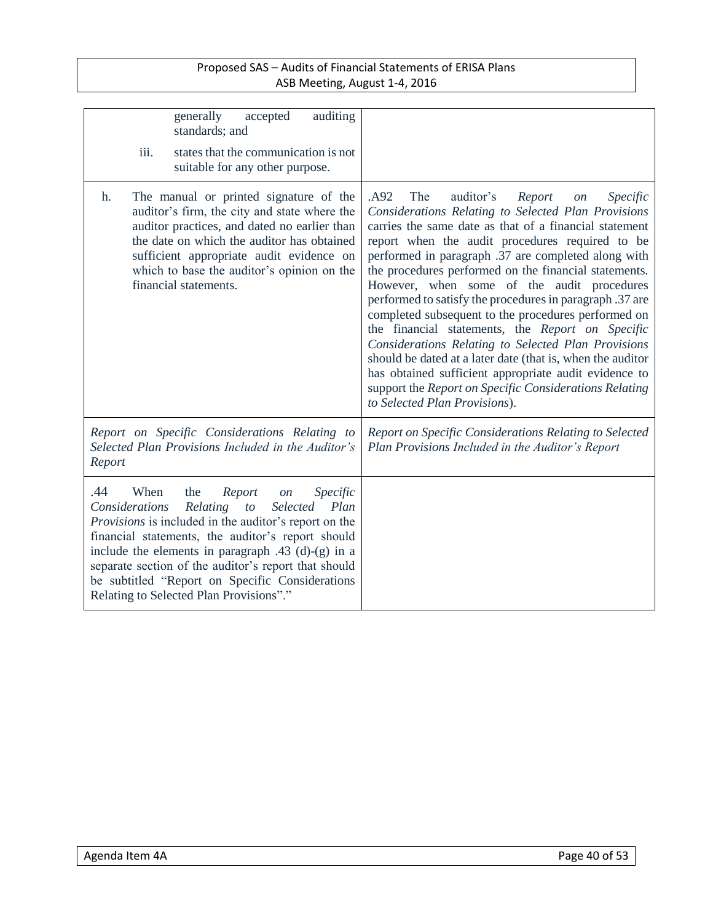<span id="page-39-0"></span>

| auditing<br>generally<br>accepted<br>standards; and                                                                                                                                                                                                                                                                                                                                                                                    |                                                                                                                                                                                                                                                                                                                                                                                                                                                                                                                                                                                                                                                                                                                                                                                                                                               |
|----------------------------------------------------------------------------------------------------------------------------------------------------------------------------------------------------------------------------------------------------------------------------------------------------------------------------------------------------------------------------------------------------------------------------------------|-----------------------------------------------------------------------------------------------------------------------------------------------------------------------------------------------------------------------------------------------------------------------------------------------------------------------------------------------------------------------------------------------------------------------------------------------------------------------------------------------------------------------------------------------------------------------------------------------------------------------------------------------------------------------------------------------------------------------------------------------------------------------------------------------------------------------------------------------|
| states that the communication is not<br>iii.<br>suitable for any other purpose.                                                                                                                                                                                                                                                                                                                                                        |                                                                                                                                                                                                                                                                                                                                                                                                                                                                                                                                                                                                                                                                                                                                                                                                                                               |
| The manual or printed signature of the<br>h.<br>auditor's firm, the city and state where the<br>auditor practices, and dated no earlier than<br>the date on which the auditor has obtained<br>sufficient appropriate audit evidence on<br>which to base the auditor's opinion on the<br>financial statements.                                                                                                                          | The<br>auditor's<br>.A92<br>Report<br>Specific<br><i>on</i><br>Considerations Relating to Selected Plan Provisions<br>carries the same date as that of a financial statement<br>report when the audit procedures required to be<br>performed in paragraph .37 are completed along with<br>the procedures performed on the financial statements.<br>However, when some of the audit procedures<br>performed to satisfy the procedures in paragraph .37 are<br>completed subsequent to the procedures performed on<br>the financial statements, the Report on Specific<br>Considerations Relating to Selected Plan Provisions<br>should be dated at a later date (that is, when the auditor<br>has obtained sufficient appropriate audit evidence to<br>support the Report on Specific Considerations Relating<br>to Selected Plan Provisions). |
| Report on Specific Considerations Relating to<br>Selected Plan Provisions Included in the Auditor's<br>Report                                                                                                                                                                                                                                                                                                                          | Report on Specific Considerations Relating to Selected<br>Plan Provisions Included in the Auditor's Report                                                                                                                                                                                                                                                                                                                                                                                                                                                                                                                                                                                                                                                                                                                                    |
| .44<br>When<br>the<br>Report<br>Specific<br><i>on</i><br>Considerations<br>Relating to<br>Plan<br>Selected<br>Provisions is included in the auditor's report on the<br>financial statements, the auditor's report should<br>include the elements in paragraph $.43$ (d)-(g) in a<br>separate section of the auditor's report that should<br>be subtitled "Report on Specific Considerations<br>Relating to Selected Plan Provisions"." |                                                                                                                                                                                                                                                                                                                                                                                                                                                                                                                                                                                                                                                                                                                                                                                                                                               |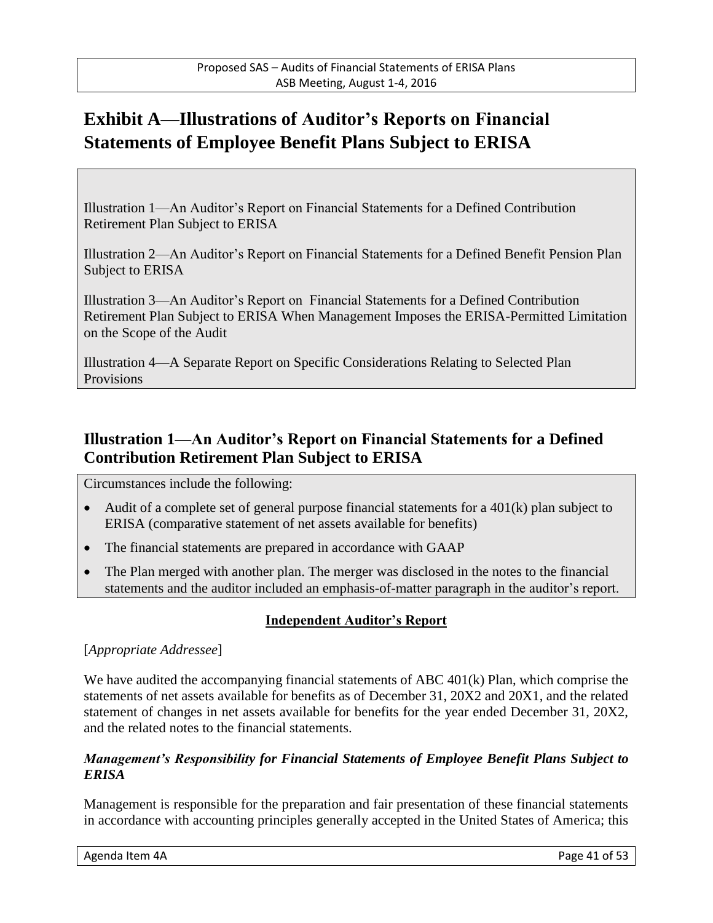# **Exhibit A—Illustrations of Auditor's Reports on Financial Statements of Employee Benefit Plans Subject to ERISA**

Illustration 1—An Auditor's Report on Financial Statements for a Defined Contribution Retirement Plan Subject to ERISA

Illustration 2—An Auditor's Report on Financial Statements for a Defined Benefit Pension Plan Subject to ERISA

Illustration 3—An Auditor's Report on Financial Statements for a Defined Contribution Retirement Plan Subject to ERISA When Management Imposes the ERISA-Permitted Limitation on the Scope of the Audit

Illustration 4—A Separate Report on Specific Considerations Relating to Selected Plan Provisions

# **Illustration 1—An Auditor's Report on Financial Statements for a Defined Contribution Retirement Plan Subject to ERISA**

Circumstances include the following:

- Audit of a complete set of general purpose financial statements for a  $401(k)$  plan subject to ERISA (comparative statement of net assets available for benefits)
- The financial statements are prepared in accordance with GAAP
- The Plan merged with another plan. The merger was disclosed in the notes to the financial statements and the auditor included an emphasis-of-matter paragraph in the auditor's report.

# **Independent Auditor's Report**

#### [*Appropriate Addressee*]

We have audited the accompanying financial statements of ABC 401(k) Plan, which comprise the statements of net assets available for benefits as of December 31, 20X2 and 20X1, and the related statement of changes in net assets available for benefits for the year ended December 31, 20X2, and the related notes to the financial statements.

#### *Management's Responsibility for Financial Statements of Employee Benefit Plans Subject to ERISA*

Management is responsible for the preparation and fair presentation of these financial statements in accordance with accounting principles generally accepted in the United States of America; this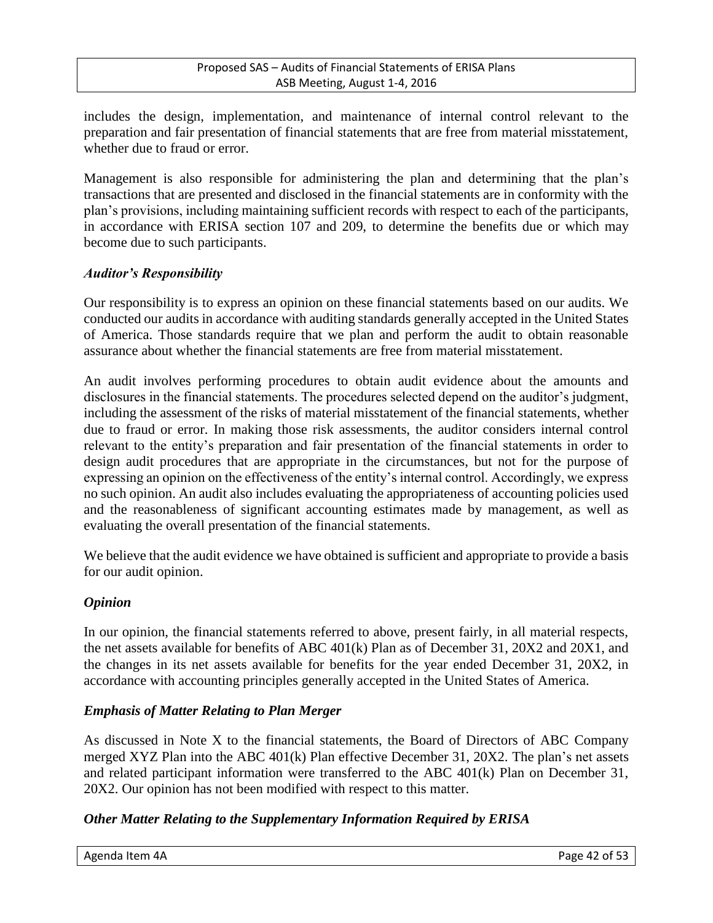includes the design, implementation, and maintenance of internal control relevant to the preparation and fair presentation of financial statements that are free from material misstatement, whether due to fraud or error.

Management is also responsible for administering the plan and determining that the plan's transactions that are presented and disclosed in the financial statements are in conformity with the plan's provisions, including maintaining sufficient records with respect to each of the participants, in accordance with ERISA section 107 and 209, to determine the benefits due or which may become due to such participants.

# *Auditor's Responsibility*

Our responsibility is to express an opinion on these financial statements based on our audits. We conducted our audits in accordance with auditing standards generally accepted in the United States of America. Those standards require that we plan and perform the audit to obtain reasonable assurance about whether the financial statements are free from material misstatement.

An audit involves performing procedures to obtain audit evidence about the amounts and disclosures in the financial statements. The procedures selected depend on the auditor's judgment, including the assessment of the risks of material misstatement of the financial statements, whether due to fraud or error. In making those risk assessments, the auditor considers internal control relevant to the entity's preparation and fair presentation of the financial statements in order to design audit procedures that are appropriate in the circumstances, but not for the purpose of expressing an opinion on the effectiveness of the entity's internal control. Accordingly, we express no such opinion. An audit also includes evaluating the appropriateness of accounting policies used and the reasonableness of significant accounting estimates made by management, as well as evaluating the overall presentation of the financial statements.

We believe that the audit evidence we have obtained is sufficient and appropriate to provide a basis for our audit opinion.

#### *Opinion*

In our opinion, the financial statements referred to above, present fairly, in all material respects, the net assets available for benefits of ABC 401(k) Plan as of December 31, 20X2 and 20X1, and the changes in its net assets available for benefits for the year ended December 31, 20X2, in accordance with accounting principles generally accepted in the United States of America.

#### *Emphasis of Matter Relating to Plan Merger*

As discussed in Note X to the financial statements, the Board of Directors of ABC Company merged XYZ Plan into the ABC 401(k) Plan effective December 31, 20X2. The plan's net assets and related participant information were transferred to the ABC 401(k) Plan on December 31, 20X2. Our opinion has not been modified with respect to this matter.

#### *Other Matter Relating to the Supplementary Information Required by ERISA*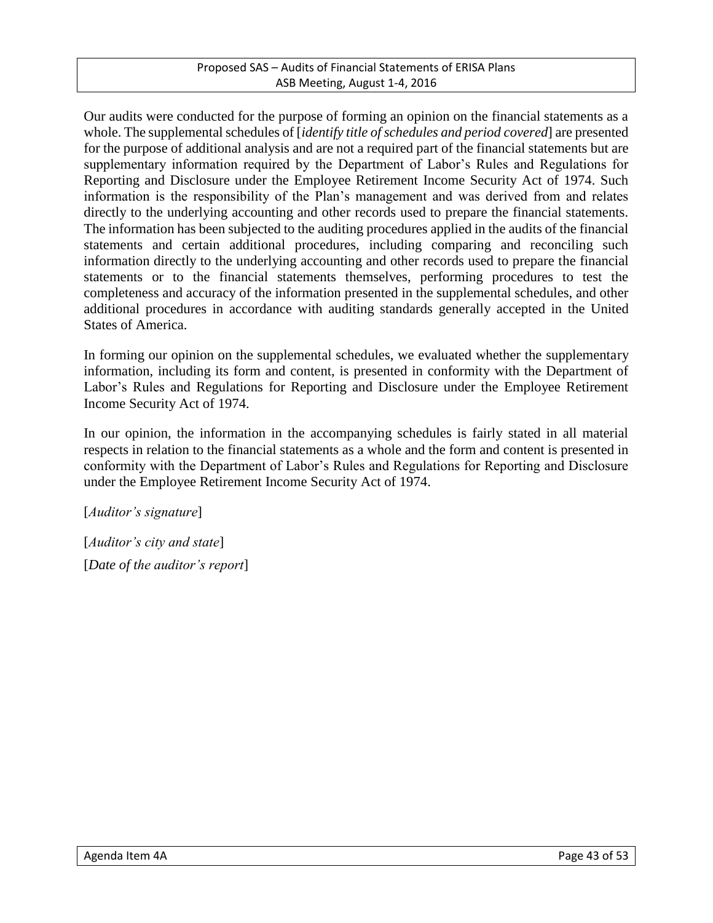Our audits were conducted for the purpose of forming an opinion on the financial statements as a whole. The supplemental schedules of [*identify title of schedules and period covered*] are presented for the purpose of additional analysis and are not a required part of the financial statements but are supplementary information required by the Department of Labor's Rules and Regulations for Reporting and Disclosure under the Employee Retirement Income Security Act of 1974. Such information is the responsibility of the Plan's management and was derived from and relates directly to the underlying accounting and other records used to prepare the financial statements. The information has been subjected to the auditing procedures applied in the audits of the financial statements and certain additional procedures, including comparing and reconciling such information directly to the underlying accounting and other records used to prepare the financial statements or to the financial statements themselves, performing procedures to test the completeness and accuracy of the information presented in the supplemental schedules, and other additional procedures in accordance with auditing standards generally accepted in the United States of America.

In forming our opinion on the supplemental schedules, we evaluated whether the supplementary information, including its form and content, is presented in conformity with the Department of Labor's Rules and Regulations for Reporting and Disclosure under the Employee Retirement Income Security Act of 1974.

In our opinion, the information in the accompanying schedules is fairly stated in all material respects in relation to the financial statements as a whole and the form and content is presented in conformity with the Department of Labor's Rules and Regulations for Reporting and Disclosure under the Employee Retirement Income Security Act of 1974.

[*Auditor's signature*]

[*Auditor's city and state*] [*Date of the auditor's report*]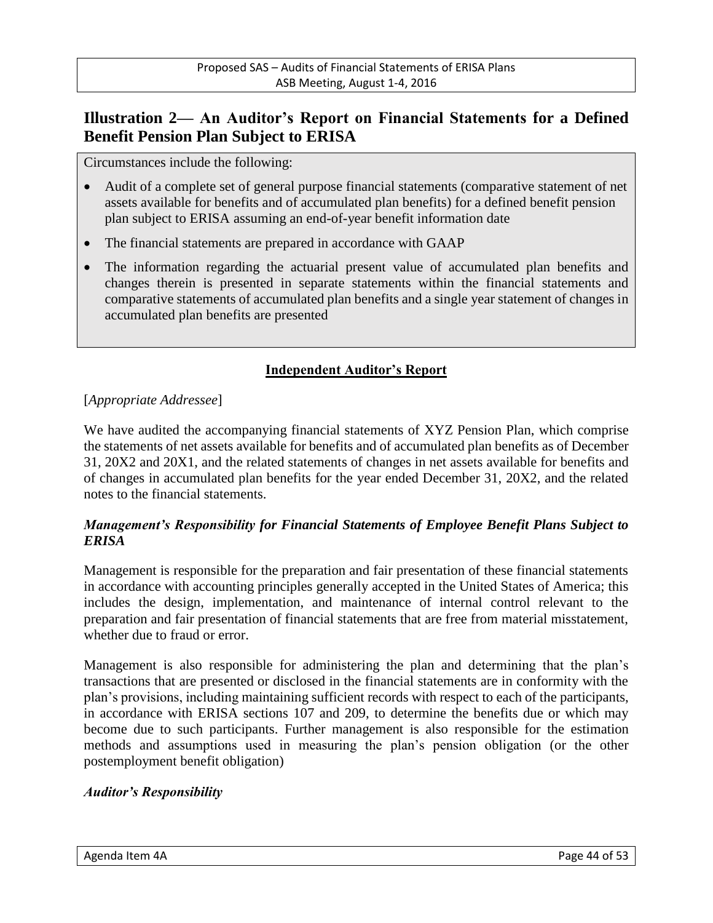# **Illustration 2— An Auditor's Report on Financial Statements for a Defined Benefit Pension Plan Subject to ERISA**

Circumstances include the following:

- Audit of a complete set of general purpose financial statements (comparative statement of net assets available for benefits and of accumulated plan benefits) for a defined benefit pension plan subject to ERISA assuming an end-of-year benefit information date
- The financial statements are prepared in accordance with GAAP
- The information regarding the actuarial present value of accumulated plan benefits and changes therein is presented in separate statements within the financial statements and comparative statements of accumulated plan benefits and a single year statement of changes in accumulated plan benefits are presented

# **Independent Auditor's Report**

[*Appropriate Addressee*]

We have audited the accompanying financial statements of XYZ Pension Plan, which comprise the statements of net assets available for benefits and of accumulated plan benefits as of December 31, 20X2 and 20X1, and the related statements of changes in net assets available for benefits and of changes in accumulated plan benefits for the year ended December 31, 20X2, and the related notes to the financial statements.

#### *Management's Responsibility for Financial Statements of Employee Benefit Plans Subject to ERISA*

Management is responsible for the preparation and fair presentation of these financial statements in accordance with accounting principles generally accepted in the United States of America; this includes the design, implementation, and maintenance of internal control relevant to the preparation and fair presentation of financial statements that are free from material misstatement, whether due to fraud or error.

Management is also responsible for administering the plan and determining that the plan's transactions that are presented or disclosed in the financial statements are in conformity with the plan's provisions, including maintaining sufficient records with respect to each of the participants, in accordance with ERISA sections 107 and 209, to determine the benefits due or which may become due to such participants. Further management is also responsible for the estimation methods and assumptions used in measuring the plan's pension obligation (or the other postemployment benefit obligation)

#### *Auditor's Responsibility*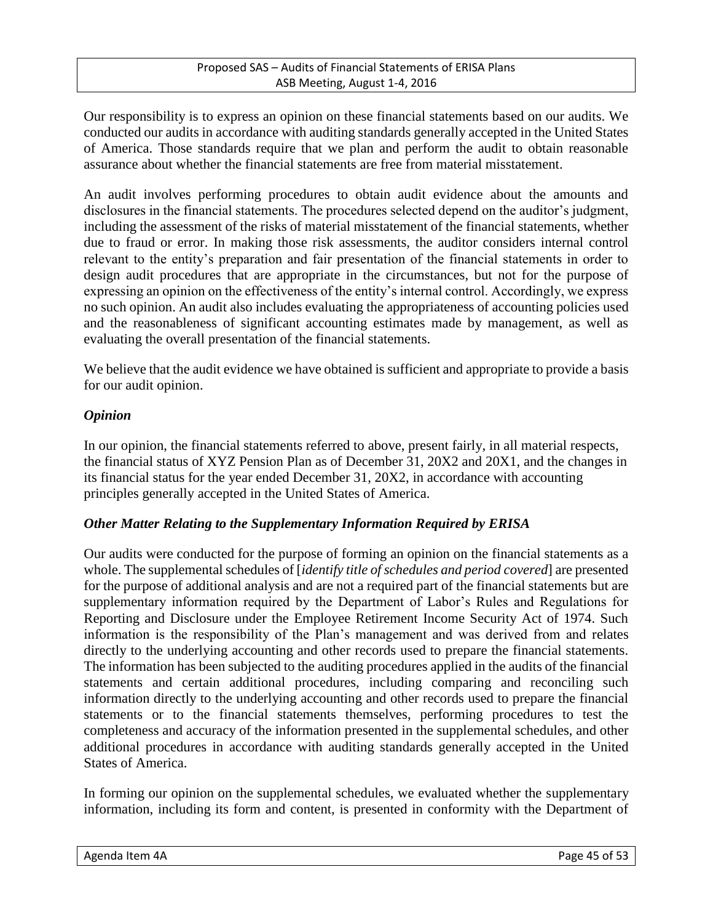Our responsibility is to express an opinion on these financial statements based on our audits. We conducted our audits in accordance with auditing standards generally accepted in the United States of America. Those standards require that we plan and perform the audit to obtain reasonable assurance about whether the financial statements are free from material misstatement.

An audit involves performing procedures to obtain audit evidence about the amounts and disclosures in the financial statements. The procedures selected depend on the auditor's judgment, including the assessment of the risks of material misstatement of the financial statements, whether due to fraud or error. In making those risk assessments, the auditor considers internal control relevant to the entity's preparation and fair presentation of the financial statements in order to design audit procedures that are appropriate in the circumstances, but not for the purpose of expressing an opinion on the effectiveness of the entity's internal control. Accordingly, we express no such opinion. An audit also includes evaluating the appropriateness of accounting policies used and the reasonableness of significant accounting estimates made by management, as well as evaluating the overall presentation of the financial statements.

We believe that the audit evidence we have obtained is sufficient and appropriate to provide a basis for our audit opinion.

# *Opinion*

In our opinion, the financial statements referred to above, present fairly, in all material respects, the financial status of XYZ Pension Plan as of December 31, 20X2 and 20X1, and the changes in its financial status for the year ended December 31, 20X2, in accordance with accounting principles generally accepted in the United States of America.

# *Other Matter Relating to the Supplementary Information Required by ERISA*

Our audits were conducted for the purpose of forming an opinion on the financial statements as a whole. The supplemental schedules of [*identify title of schedules and period covered*] are presented for the purpose of additional analysis and are not a required part of the financial statements but are supplementary information required by the Department of Labor's Rules and Regulations for Reporting and Disclosure under the Employee Retirement Income Security Act of 1974. Such information is the responsibility of the Plan's management and was derived from and relates directly to the underlying accounting and other records used to prepare the financial statements. The information has been subjected to the auditing procedures applied in the audits of the financial statements and certain additional procedures, including comparing and reconciling such information directly to the underlying accounting and other records used to prepare the financial statements or to the financial statements themselves, performing procedures to test the completeness and accuracy of the information presented in the supplemental schedules, and other additional procedures in accordance with auditing standards generally accepted in the United States of America.

In forming our opinion on the supplemental schedules, we evaluated whether the supplementary information, including its form and content, is presented in conformity with the Department of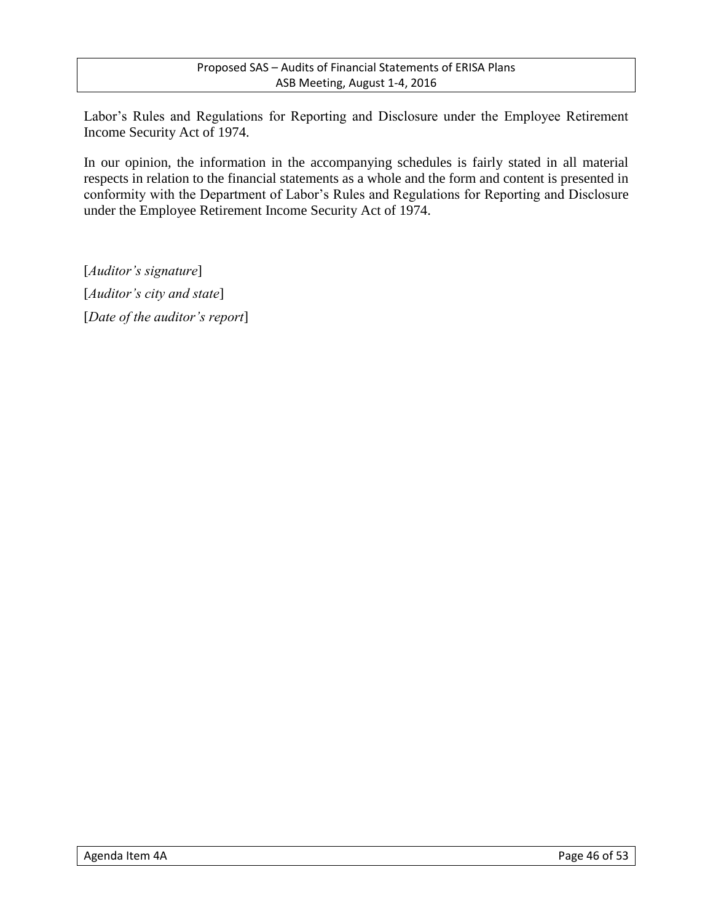Labor's Rules and Regulations for Reporting and Disclosure under the Employee Retirement Income Security Act of 1974.

In our opinion, the information in the accompanying schedules is fairly stated in all material respects in relation to the financial statements as a whole and the form and content is presented in conformity with the Department of Labor's Rules and Regulations for Reporting and Disclosure under the Employee Retirement Income Security Act of 1974.

[*Auditor's signature*] [*Auditor's city and state*] [*Date of the auditor's report*]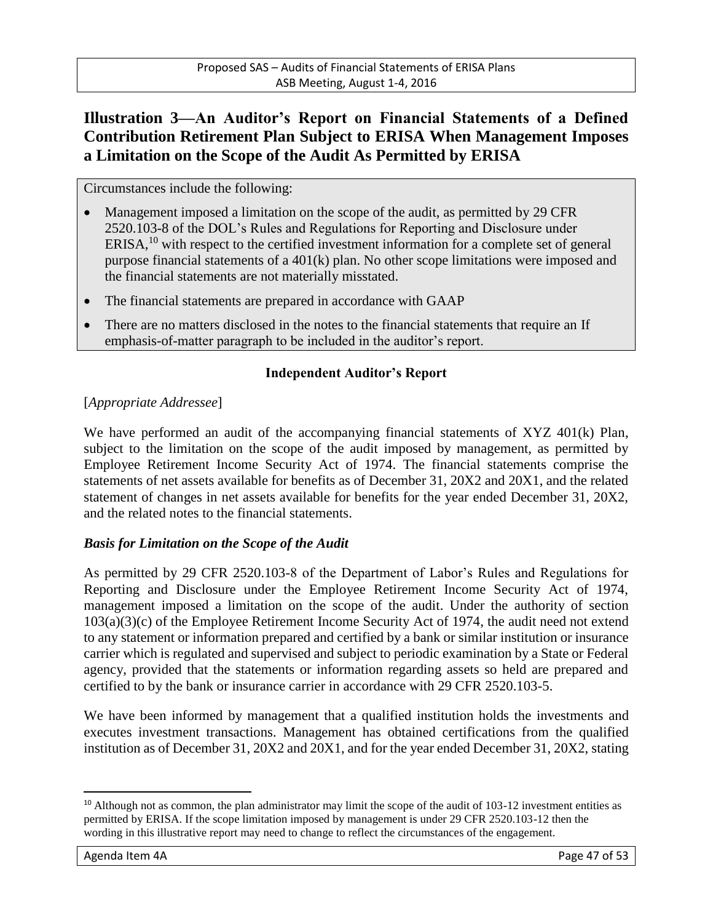# **Illustration 3—An Auditor's Report on Financial Statements of a Defined Contribution Retirement Plan Subject to ERISA When Management Imposes a Limitation on the Scope of the Audit As Permitted by ERISA**

Circumstances include the following:

- Management imposed a limitation on the scope of the audit, as permitted by 29 CFR 2520.103-8 of the DOL's Rules and Regulations for Reporting and Disclosure under  $ERISA<sub>10</sub>$  with respect to the certified investment information for a complete set of general purpose financial statements of a 401(k) plan. No other scope limitations were imposed and the financial statements are not materially misstated.
- The financial statements are prepared in accordance with GAAP
- There are no matters disclosed in the notes to the financial statements that require an If emphasis-of-matter paragraph to be included in the auditor's report.

# **Independent Auditor's Report**

# [*Appropriate Addressee*]

We have performed an audit of the accompanying financial statements of XYZ 401(k) Plan, subject to the limitation on the scope of the audit imposed by management, as permitted by Employee Retirement Income Security Act of 1974. The financial statements comprise the statements of net assets available for benefits as of December 31, 20X2 and 20X1, and the related statement of changes in net assets available for benefits for the year ended December 31, 20X2, and the related notes to the financial statements.

#### *Basis for Limitation on the Scope of the Audit*

As permitted by 29 CFR 2520.103-8 of the Department of Labor's Rules and Regulations for Reporting and Disclosure under the Employee Retirement Income Security Act of 1974, management imposed a limitation on the scope of the audit. Under the authority of section 103(a)(3)(c) of the Employee Retirement Income Security Act of 1974, the audit need not extend to any statement or information prepared and certified by a bank or similar institution or insurance carrier which is regulated and supervised and subject to periodic examination by a State or Federal agency, provided that the statements or information regarding assets so held are prepared and certified to by the bank or insurance carrier in accordance with 29 CFR 2520.103-5.

We have been informed by management that a qualified institution holds the investments and executes investment transactions. Management has obtained certifications from the qualified institution as of December 31, 20X2 and 20X1, and for the year ended December 31, 20X2, stating

 $\overline{\phantom{a}}$ 

<sup>&</sup>lt;sup>10</sup> Although not as common, the plan administrator may limit the scope of the audit of 103-12 investment entities as permitted by ERISA. If the scope limitation imposed by management is under 29 CFR 2520.103-12 then the wording in this illustrative report may need to change to reflect the circumstances of the engagement.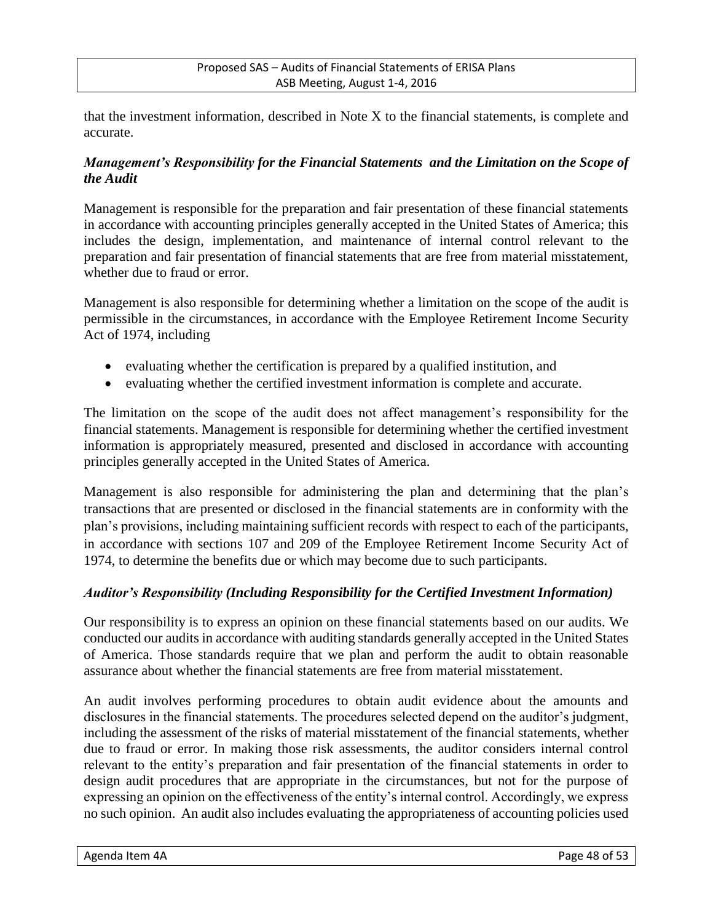that the investment information, described in Note X to the financial statements, is complete and accurate.

# *Management's Responsibility for the Financial Statements and the Limitation on the Scope of the Audit*

Management is responsible for the preparation and fair presentation of these financial statements in accordance with accounting principles generally accepted in the United States of America; this includes the design, implementation, and maintenance of internal control relevant to the preparation and fair presentation of financial statements that are free from material misstatement, whether due to fraud or error.

Management is also responsible for determining whether a limitation on the scope of the audit is permissible in the circumstances, in accordance with the Employee Retirement Income Security Act of 1974, including

- evaluating whether the certification is prepared by a qualified institution, and
- evaluating whether the certified investment information is complete and accurate.

The limitation on the scope of the audit does not affect management's responsibility for the financial statements. Management is responsible for determining whether the certified investment information is appropriately measured, presented and disclosed in accordance with accounting principles generally accepted in the United States of America.

Management is also responsible for administering the plan and determining that the plan's transactions that are presented or disclosed in the financial statements are in conformity with the plan's provisions, including maintaining sufficient records with respect to each of the participants, in accordance with sections 107 and 209 of the Employee Retirement Income Security Act of 1974, to determine the benefits due or which may become due to such participants.

# *Auditor's Responsibility (Including Responsibility for the Certified Investment Information)*

Our responsibility is to express an opinion on these financial statements based on our audits. We conducted our audits in accordance with auditing standards generally accepted in the United States of America. Those standards require that we plan and perform the audit to obtain reasonable assurance about whether the financial statements are free from material misstatement.

An audit involves performing procedures to obtain audit evidence about the amounts and disclosures in the financial statements. The procedures selected depend on the auditor's judgment, including the assessment of the risks of material misstatement of the financial statements, whether due to fraud or error. In making those risk assessments, the auditor considers internal control relevant to the entity's preparation and fair presentation of the financial statements in order to design audit procedures that are appropriate in the circumstances, but not for the purpose of expressing an opinion on the effectiveness of the entity's internal control. Accordingly, we express no such opinion. An audit also includes evaluating the appropriateness of accounting policies used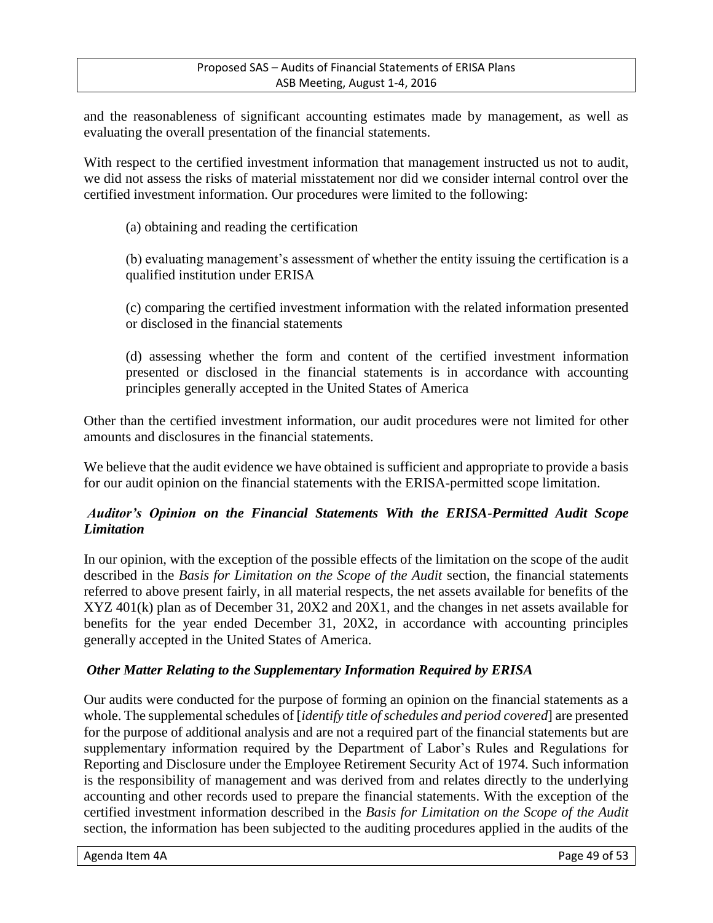and the reasonableness of significant accounting estimates made by management, as well as evaluating the overall presentation of the financial statements.

With respect to the certified investment information that management instructed us not to audit, we did not assess the risks of material misstatement nor did we consider internal control over the certified investment information. Our procedures were limited to the following:

(a) obtaining and reading the certification

(b) evaluating management's assessment of whether the entity issuing the certification is a qualified institution under ERISA

(c) comparing the certified investment information with the related information presented or disclosed in the financial statements

(d) assessing whether the form and content of the certified investment information presented or disclosed in the financial statements is in accordance with accounting principles generally accepted in the United States of America

Other than the certified investment information, our audit procedures were not limited for other amounts and disclosures in the financial statements.

We believe that the audit evidence we have obtained is sufficient and appropriate to provide a basis for our audit opinion on the financial statements with the ERISA-permitted scope limitation.

# *Auditor's Opinion on the Financial Statements With the ERISA-Permitted Audit Scope Limitation*

In our opinion, with the exception of the possible effects of the limitation on the scope of the audit described in the *Basis for Limitation on the Scope of the Audit* section, the financial statements referred to above present fairly, in all material respects, the net assets available for benefits of the XYZ 401(k) plan as of December 31, 20X2 and 20X1, and the changes in net assets available for benefits for the year ended December 31, 20X2, in accordance with accounting principles generally accepted in the United States of America.

# *Other Matter Relating to the Supplementary Information Required by ERISA*

Our audits were conducted for the purpose of forming an opinion on the financial statements as a whole. The supplemental schedules of [*identify title of schedules and period covered*] are presented for the purpose of additional analysis and are not a required part of the financial statements but are supplementary information required by the Department of Labor's Rules and Regulations for Reporting and Disclosure under the Employee Retirement Security Act of 1974. Such information is the responsibility of management and was derived from and relates directly to the underlying accounting and other records used to prepare the financial statements. With the exception of the certified investment information described in the *Basis for Limitation on the Scope of the Audit* section, the information has been subjected to the auditing procedures applied in the audits of the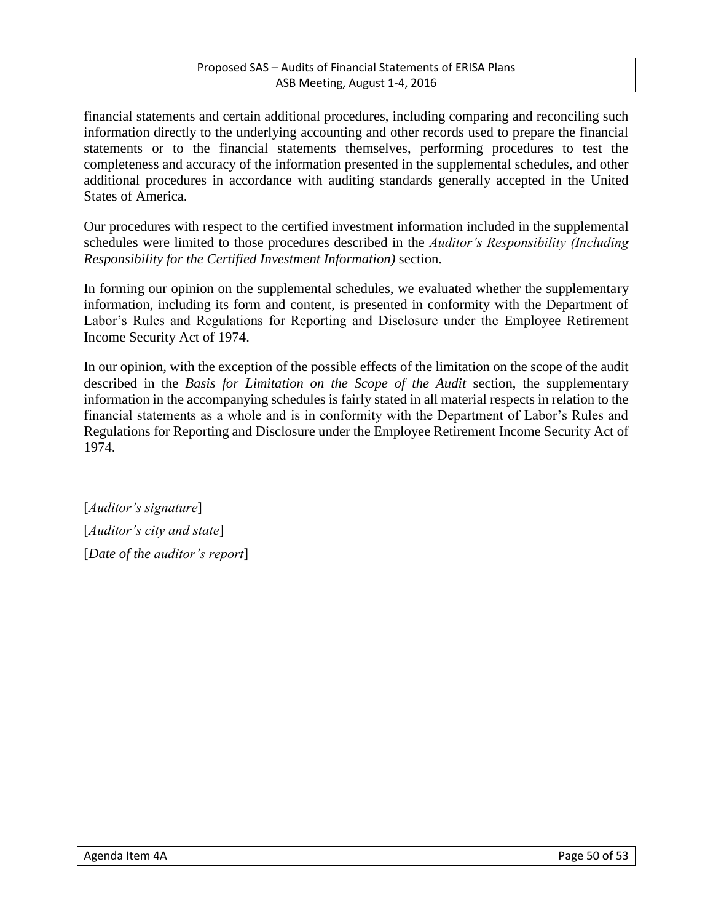financial statements and certain additional procedures, including comparing and reconciling such information directly to the underlying accounting and other records used to prepare the financial statements or to the financial statements themselves, performing procedures to test the completeness and accuracy of the information presented in the supplemental schedules, and other additional procedures in accordance with auditing standards generally accepted in the United States of America.

Our procedures with respect to the certified investment information included in the supplemental schedules were limited to those procedures described in the *Auditor's Responsibility (Including Responsibility for the Certified Investment Information)* section.

In forming our opinion on the supplemental schedules, we evaluated whether the supplementary information, including its form and content, is presented in conformity with the Department of Labor's Rules and Regulations for Reporting and Disclosure under the Employee Retirement Income Security Act of 1974.

In our opinion, with the exception of the possible effects of the limitation on the scope of the audit described in the *Basis for Limitation on the Scope of the Audit* section, the supplementary information in the accompanying schedules is fairly stated in all material respects in relation to the financial statements as a whole and is in conformity with the Department of Labor's Rules and Regulations for Reporting and Disclosure under the Employee Retirement Income Security Act of 1974.

[*Auditor's signature*] [*Auditor's city and state*] [*Date of the auditor's report*]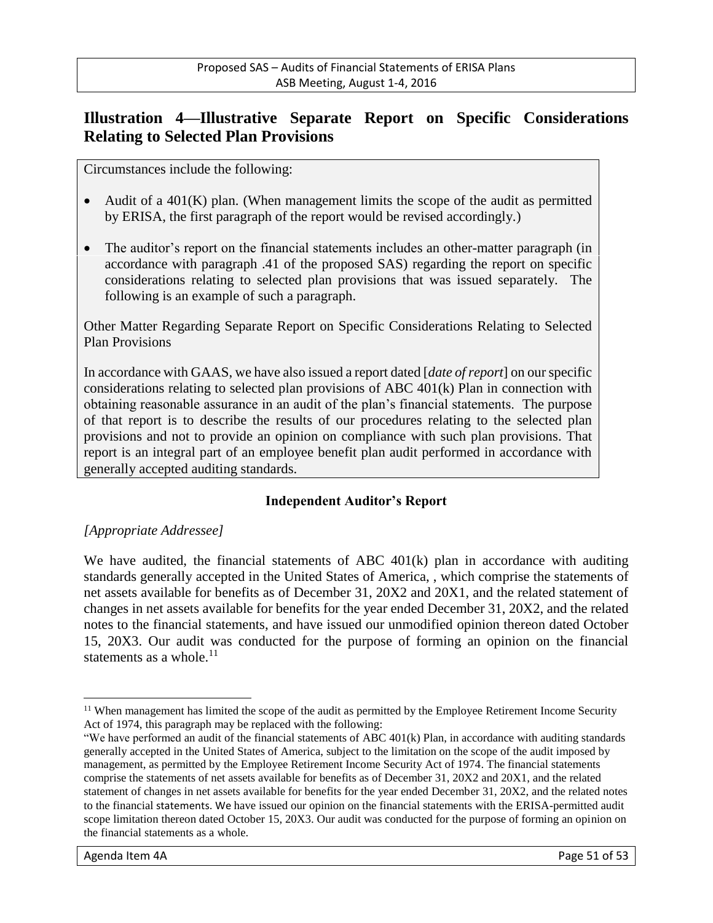# **Illustration 4—Illustrative Separate Report on Specific Considerations Relating to Selected Plan Provisions**

Circumstances include the following:

- Audit of a 401(K) plan. (When management limits the scope of the audit as permitted by ERISA, the first paragraph of the report would be revised accordingly.)
- The auditor's report on the financial statements includes an other-matter paragraph (in accordance with paragraph .41 of the proposed SAS) regarding the report on specific considerations relating to selected plan provisions that was issued separately. The following is an example of such a paragraph.

Other Matter Regarding Separate Report on Specific Considerations Relating to Selected Plan Provisions

In accordance with GAAS, we have also issued a report dated [*date of report*] on our specific considerations relating to selected plan provisions of ABC 401(k) Plan in connection with obtaining reasonable assurance in an audit of the plan's financial statements. The purpose of that report is to describe the results of our procedures relating to the selected plan provisions and not to provide an opinion on compliance with such plan provisions. That report is an integral part of an employee benefit plan audit performed in accordance with generally accepted auditing standards.

#### **Independent Auditor's Report**

#### *[Appropriate Addressee]*

We have audited, the financial statements of ABC 401(k) plan in accordance with auditing standards generally accepted in the United States of America, , which comprise the statements of net assets available for benefits as of December 31, 20X2 and 20X1, and the related statement of changes in net assets available for benefits for the year ended December 31, 20X2, and the related notes to the financial statements, and have issued our unmodified opinion thereon dated October 15, 20X3. Our audit was conducted for the purpose of forming an opinion on the financial statements as a whole. $^{11}$ 

 $\overline{\phantom{a}}$ <sup>11</sup> When management has limited the scope of the audit as permitted by the Employee Retirement Income Security Act of 1974, this paragraph may be replaced with the following:

<sup>&</sup>quot;We have performed an audit of the financial statements of  $\overline{ABC}$  401(k) Plan, in accordance with auditing standards generally accepted in the United States of America, subject to the limitation on the scope of the audit imposed by management, as permitted by the Employee Retirement Income Security Act of 1974. The financial statements comprise the statements of net assets available for benefits as of December 31, 20X2 and 20X1, and the related statement of changes in net assets available for benefits for the year ended December 31, 20X2, and the related notes to the financial statements. We have issued our opinion on the financial statements with the ERISA-permitted audit scope limitation thereon dated October 15, 20X3. Our audit was conducted for the purpose of forming an opinion on the financial statements as a whole.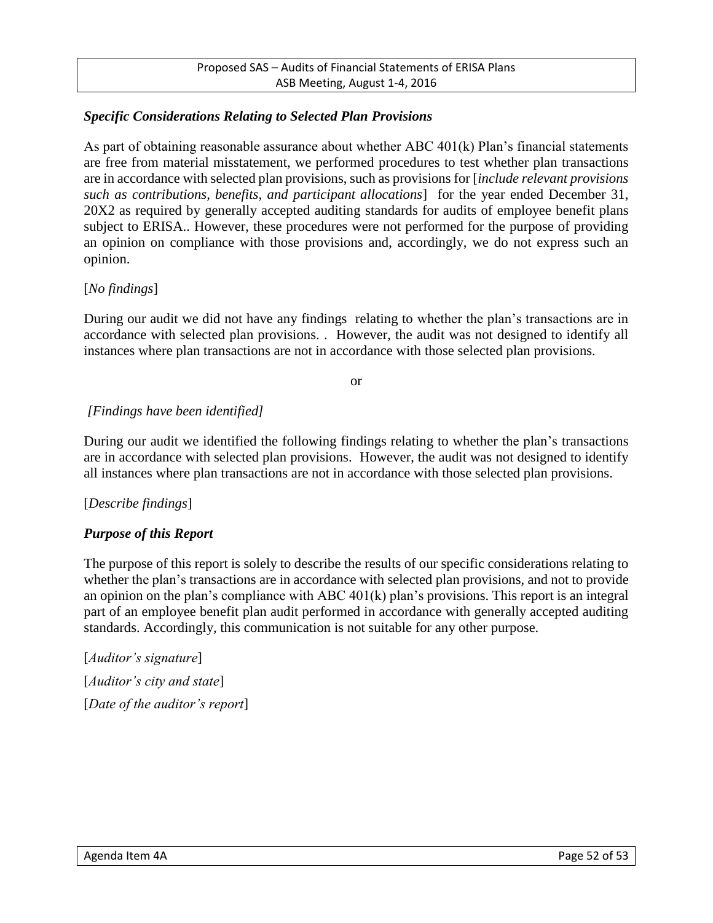# *Specific Considerations Relating to Selected Plan Provisions*

As part of obtaining reasonable assurance about whether ABC 401(k) Plan's financial statements are free from material misstatement, we performed procedures to test whether plan transactions are in accordance with selected plan provisions, such as provisions for [*include relevant provisions such as contributions, benefits, and participant allocations*] for the year ended December 31, 20X2 as required by generally accepted auditing standards for audits of employee benefit plans subject to ERISA.. However, these procedures were not performed for the purpose of providing an opinion on compliance with those provisions and, accordingly, we do not express such an opinion.

#### [*No findings*]

During our audit we did not have any findings relating to whether the plan's transactions are in accordance with selected plan provisions. . However, the audit was not designed to identify all instances where plan transactions are not in accordance with those selected plan provisions.

or

#### *[Findings have been identified]*

During our audit we identified the following findings relating to whether the plan's transactions are in accordance with selected plan provisions. However, the audit was not designed to identify all instances where plan transactions are not in accordance with those selected plan provisions.

#### [*Describe findings*]

#### *Purpose of this Report*

The purpose of this report is solely to describe the results of our specific considerations relating to whether the plan's transactions are in accordance with selected plan provisions, and not to provide an opinion on the plan's compliance with ABC 401(k) plan's provisions. This report is an integral part of an employee benefit plan audit performed in accordance with generally accepted auditing standards. Accordingly, this communication is not suitable for any other purpose.

[*Auditor's signature*] [*Auditor's city and state*] [*Date of the auditor's report*]